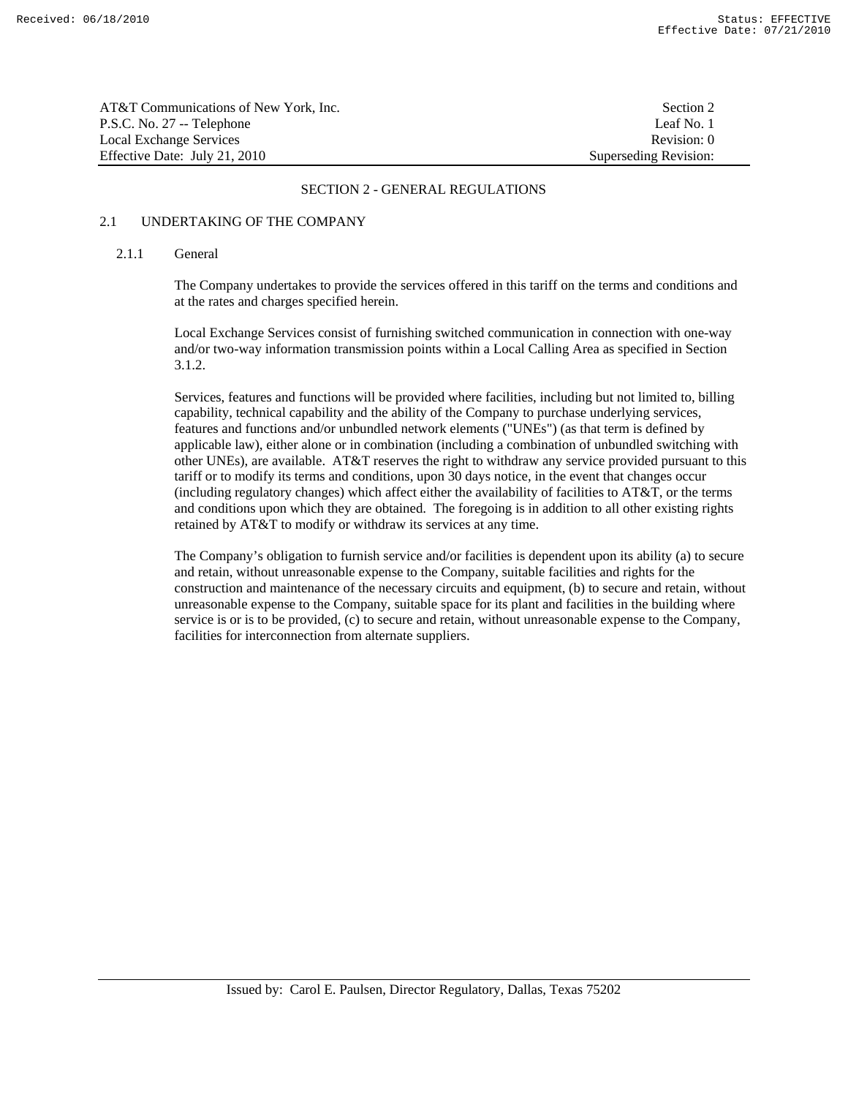| AT&T Communications of New York, Inc. | Section 2             |
|---------------------------------------|-----------------------|
| P.S.C. No. 27 -- Telephone            | Leaf No. 1            |
| Local Exchange Services               | Revision: 0           |
| Effective Date: July 21, 2010         | Superseding Revision: |

# 2.1 UNDERTAKING OF THE COMPANY

#### 2.1.1 General

 The Company undertakes to provide the services offered in this tariff on the terms and conditions and at the rates and charges specified herein.

 Local Exchange Services consist of furnishing switched communication in connection with one-way and/or two-way information transmission points within a Local Calling Area as specified in Section 3.1.2.

 Services, features and functions will be provided where facilities, including but not limited to, billing capability, technical capability and the ability of the Company to purchase underlying services, features and functions and/or unbundled network elements ("UNEs") (as that term is defined by applicable law), either alone or in combination (including a combination of unbundled switching with other UNEs), are available. AT&T reserves the right to withdraw any service provided pursuant to this tariff or to modify its terms and conditions, upon 30 days notice, in the event that changes occur (including regulatory changes) which affect either the availability of facilities to AT&T, or the terms and conditions upon which they are obtained. The foregoing is in addition to all other existing rights retained by AT&T to modify or withdraw its services at any time.

 The Company's obligation to furnish service and/or facilities is dependent upon its ability (a) to secure and retain, without unreasonable expense to the Company, suitable facilities and rights for the construction and maintenance of the necessary circuits and equipment, (b) to secure and retain, without unreasonable expense to the Company, suitable space for its plant and facilities in the building where service is or is to be provided, (c) to secure and retain, without unreasonable expense to the Company, facilities for interconnection from alternate suppliers.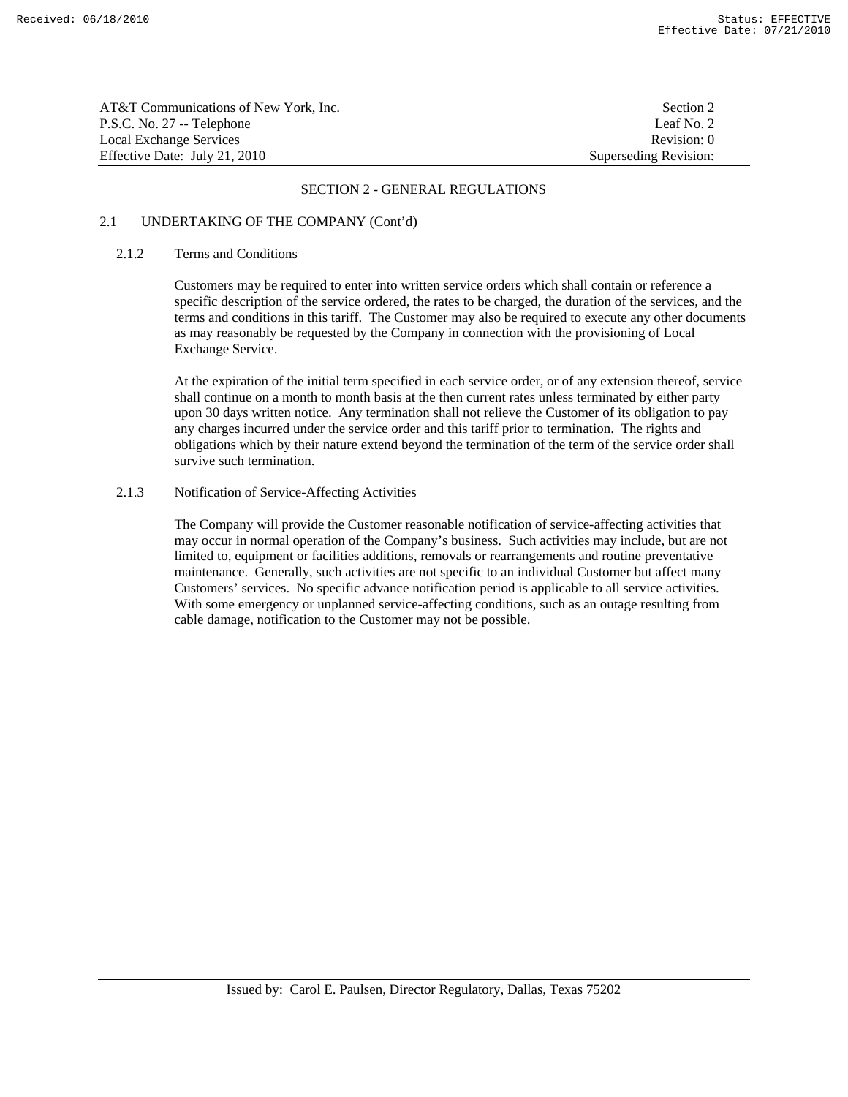| AT&T Communications of New York. Inc. | Section 2             |
|---------------------------------------|-----------------------|
| P.S.C. No. 27 -- Telephone            | Leaf No. 2            |
| Local Exchange Services               | Revision: 0           |
| Effective Date: July 21, 2010         | Superseding Revision: |

# 2.1 UNDERTAKING OF THE COMPANY (Cont'd)

#### 2.1.2 Terms and Conditions

 Customers may be required to enter into written service orders which shall contain or reference a specific description of the service ordered, the rates to be charged, the duration of the services, and the terms and conditions in this tariff. The Customer may also be required to execute any other documents as may reasonably be requested by the Company in connection with the provisioning of Local Exchange Service.

 At the expiration of the initial term specified in each service order, or of any extension thereof, service shall continue on a month to month basis at the then current rates unless terminated by either party upon 30 days written notice. Any termination shall not relieve the Customer of its obligation to pay any charges incurred under the service order and this tariff prior to termination. The rights and obligations which by their nature extend beyond the termination of the term of the service order shall survive such termination.

#### 2.1.3 Notification of Service-Affecting Activities

 The Company will provide the Customer reasonable notification of service-affecting activities that may occur in normal operation of the Company's business. Such activities may include, but are not limited to, equipment or facilities additions, removals or rearrangements and routine preventative maintenance. Generally, such activities are not specific to an individual Customer but affect many Customers' services. No specific advance notification period is applicable to all service activities. With some emergency or unplanned service-affecting conditions, such as an outage resulting from cable damage, notification to the Customer may not be possible.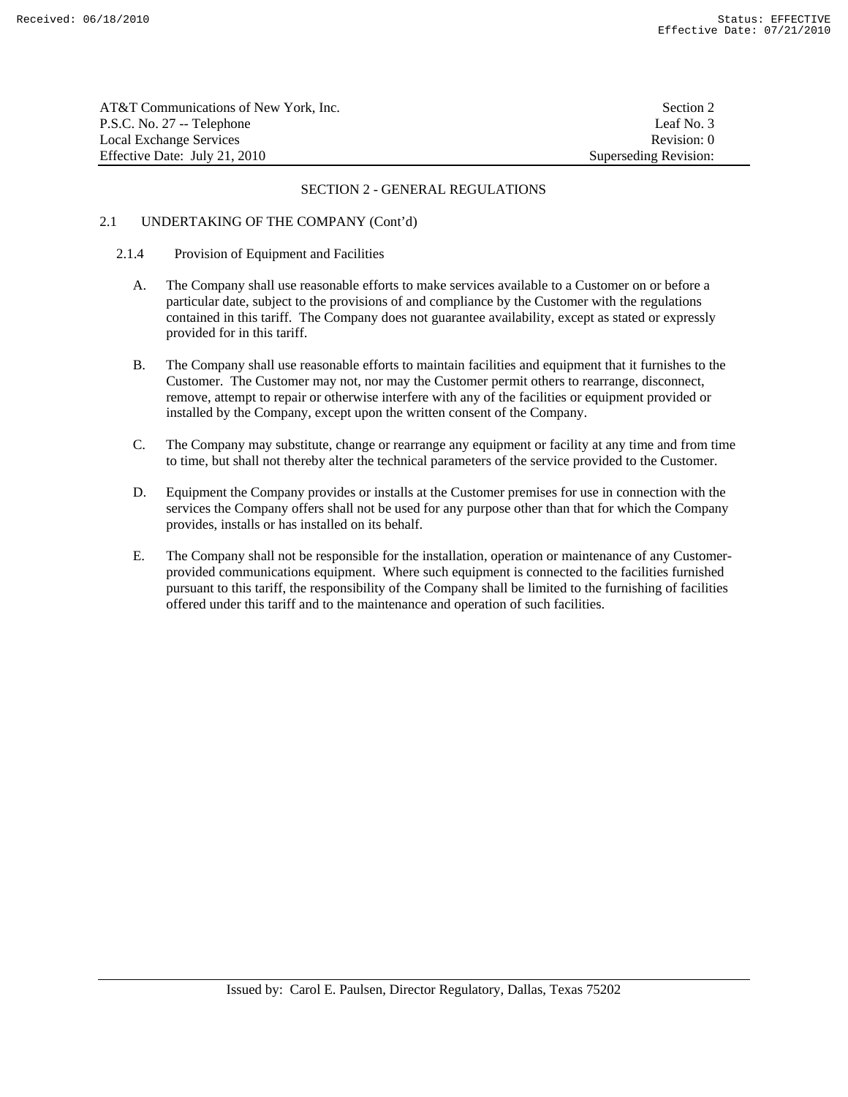| AT&T Communications of New York, Inc. | Section 2             |
|---------------------------------------|-----------------------|
| P.S.C. No. 27 -- Telephone            | Leaf No. 3            |
| Local Exchange Services               | Revision: 0           |
| Effective Date: July 21, 2010         | Superseding Revision: |

# 2.1 UNDERTAKING OF THE COMPANY (Cont'd)

## 2.1.4 Provision of Equipment and Facilities

- A. The Company shall use reasonable efforts to make services available to a Customer on or before a particular date, subject to the provisions of and compliance by the Customer with the regulations contained in this tariff. The Company does not guarantee availability, except as stated or expressly provided for in this tariff.
- B. The Company shall use reasonable efforts to maintain facilities and equipment that it furnishes to the Customer. The Customer may not, nor may the Customer permit others to rearrange, disconnect, remove, attempt to repair or otherwise interfere with any of the facilities or equipment provided or installed by the Company, except upon the written consent of the Company.
- C. The Company may substitute, change or rearrange any equipment or facility at any time and from time to time, but shall not thereby alter the technical parameters of the service provided to the Customer.
- D. Equipment the Company provides or installs at the Customer premises for use in connection with the services the Company offers shall not be used for any purpose other than that for which the Company provides, installs or has installed on its behalf.
- E. The Company shall not be responsible for the installation, operation or maintenance of any Customerprovided communications equipment. Where such equipment is connected to the facilities furnished pursuant to this tariff, the responsibility of the Company shall be limited to the furnishing of facilities offered under this tariff and to the maintenance and operation of such facilities.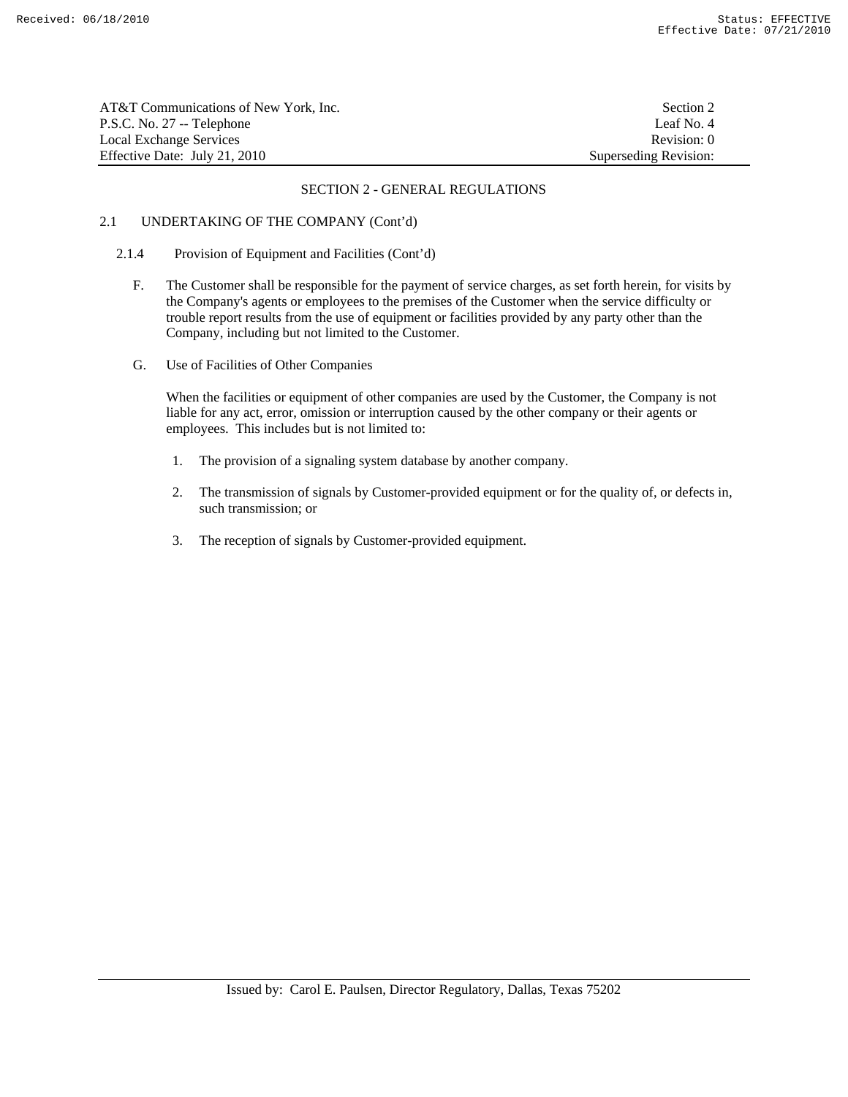| AT&T Communications of New York, Inc. | Section 2             |
|---------------------------------------|-----------------------|
| P.S.C. No. 27 -- Telephone            | Leaf No. 4            |
| Local Exchange Services               | Revision: 0           |
| Effective Date: July 21, 2010         | Superseding Revision: |

# 2.1 UNDERTAKING OF THE COMPANY (Cont'd)

## 2.1.4 Provision of Equipment and Facilities (Cont'd)

- F. The Customer shall be responsible for the payment of service charges, as set forth herein, for visits by the Company's agents or employees to the premises of the Customer when the service difficulty or trouble report results from the use of equipment or facilities provided by any party other than the Company, including but not limited to the Customer.
- G. Use of Facilities of Other Companies

 When the facilities or equipment of other companies are used by the Customer, the Company is not liable for any act, error, omission or interruption caused by the other company or their agents or employees. This includes but is not limited to:

- 1. The provision of a signaling system database by another company.
- 2. The transmission of signals by Customer-provided equipment or for the quality of, or defects in, such transmission; or
- 3. The reception of signals by Customer-provided equipment.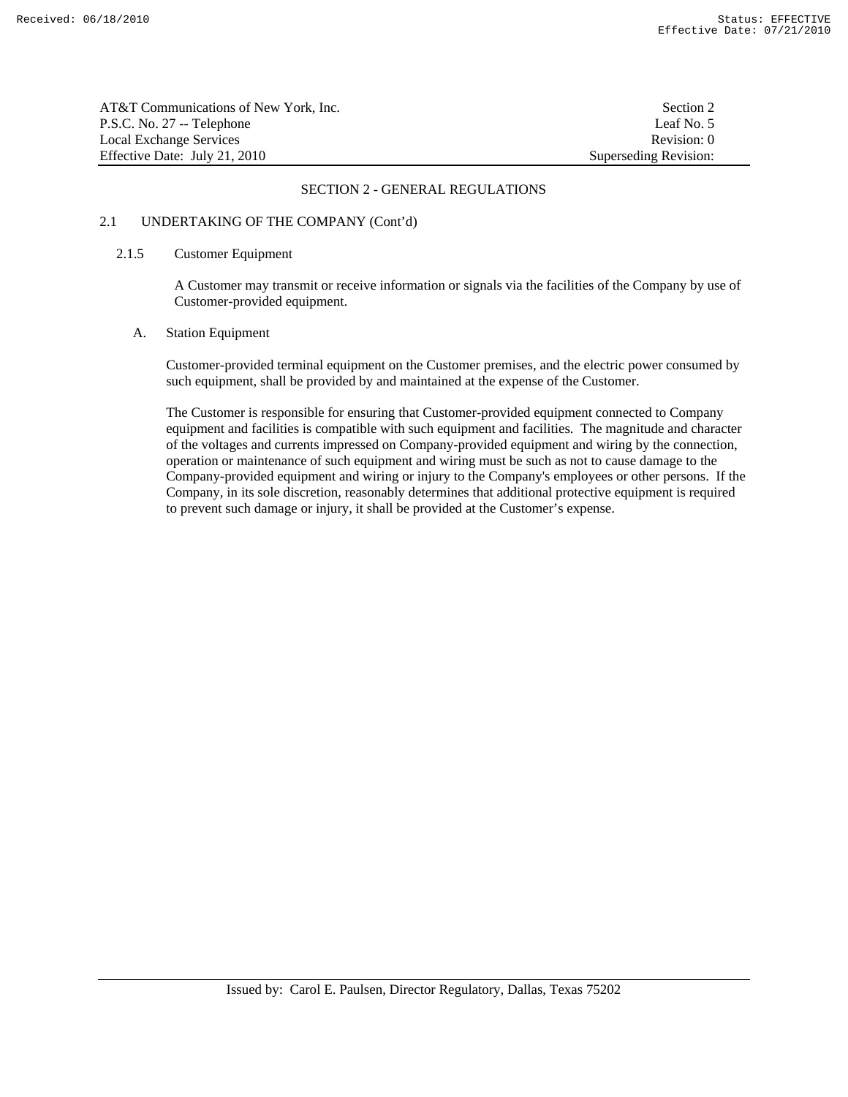| AT&T Communications of New York. Inc. | Section 2             |
|---------------------------------------|-----------------------|
| P.S.C. No. 27 -- Telephone            | Leaf No. 5            |
| Local Exchange Services               | Revision: 0           |
| Effective Date: July 21, 2010         | Superseding Revision: |

# 2.1 UNDERTAKING OF THE COMPANY (Cont'd)

#### 2.1.5 Customer Equipment

 A Customer may transmit or receive information or signals via the facilities of the Company by use of Customer-provided equipment.

#### A. Station Equipment

 Customer-provided terminal equipment on the Customer premises, and the electric power consumed by such equipment, shall be provided by and maintained at the expense of the Customer.

 The Customer is responsible for ensuring that Customer-provided equipment connected to Company equipment and facilities is compatible with such equipment and facilities. The magnitude and character of the voltages and currents impressed on Company-provided equipment and wiring by the connection, operation or maintenance of such equipment and wiring must be such as not to cause damage to the Company-provided equipment and wiring or injury to the Company's employees or other persons. If the Company, in its sole discretion, reasonably determines that additional protective equipment is required to prevent such damage or injury, it shall be provided at the Customer's expense.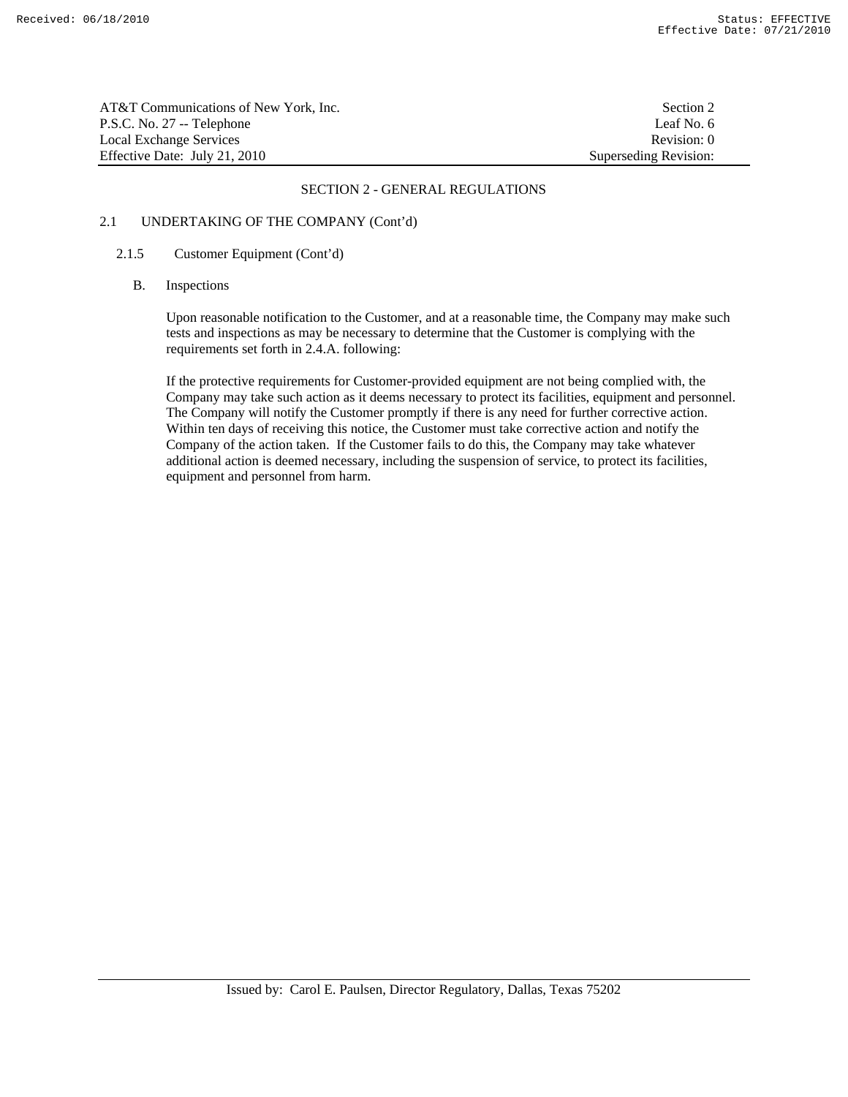AT&T Communications of New York, Inc. Section 2 P.S.C. No. 27 -- Telephone Leaf No. 6 Local Exchange Services **Revision:** 0 Effective Date: July 21, 2010 Superseding Revision:

#### SECTION 2 - GENERAL REGULATIONS

# 2.1 UNDERTAKING OF THE COMPANY (Cont'd)

#### 2.1.5 Customer Equipment (Cont'd)

#### B. Inspections

 Upon reasonable notification to the Customer, and at a reasonable time, the Company may make such tests and inspections as may be necessary to determine that the Customer is complying with the requirements set forth in 2.4.A. following:

 If the protective requirements for Customer-provided equipment are not being complied with, the Company may take such action as it deems necessary to protect its facilities, equipment and personnel. The Company will notify the Customer promptly if there is any need for further corrective action. Within ten days of receiving this notice, the Customer must take corrective action and notify the Company of the action taken. If the Customer fails to do this, the Company may take whatever additional action is deemed necessary, including the suspension of service, to protect its facilities, equipment and personnel from harm.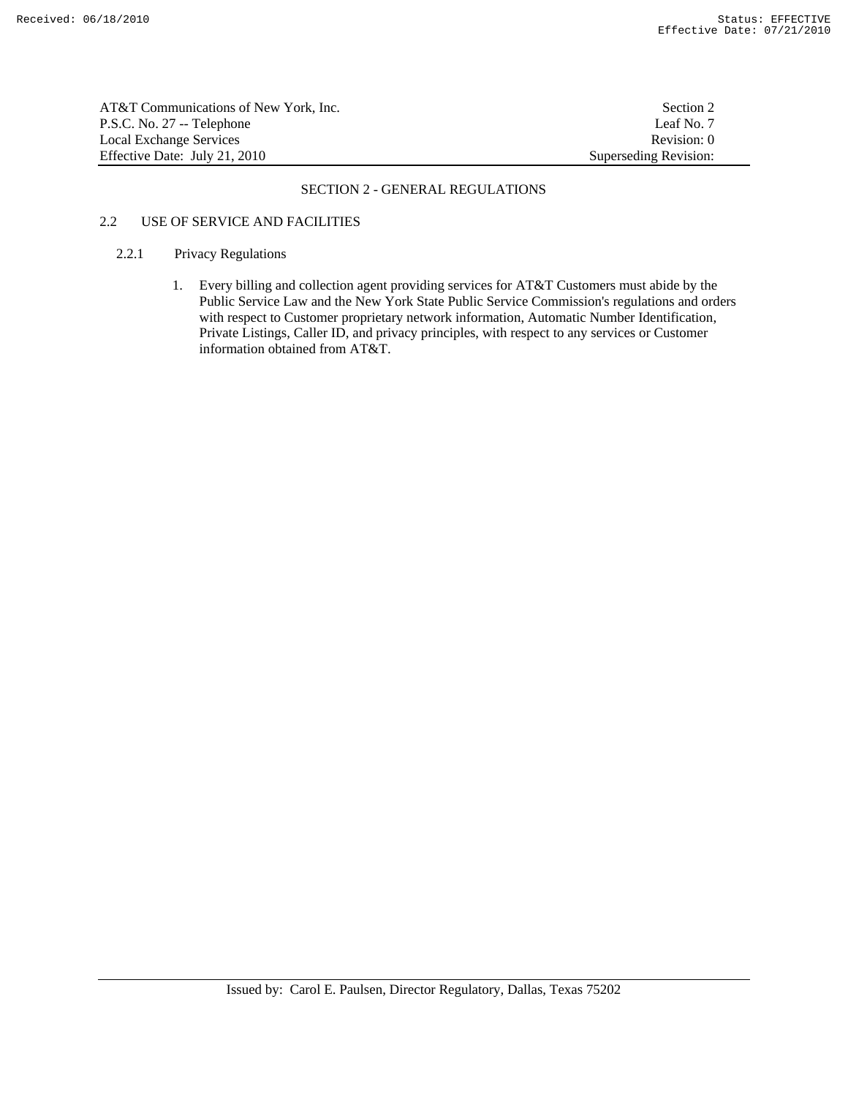AT&T Communications of New York, Inc. Section 2 P.S.C. No. 27 -- Telephone Leaf No. 7 Local Exchange Services **Revision: 0 Revision: 0 Revision: 0 Revision: 0 Revision: 0** Effective Date: July 21, 2010 Superseding Revision:

#### SECTION 2 - GENERAL REGULATIONS

# 2.2 USE OF SERVICE AND FACILITIES

#### 2.2.1 Privacy Regulations

 1. Every billing and collection agent providing services for AT&T Customers must abide by the Public Service Law and the New York State Public Service Commission's regulations and orders with respect to Customer proprietary network information, Automatic Number Identification, Private Listings, Caller ID, and privacy principles, with respect to any services or Customer information obtained from AT&T.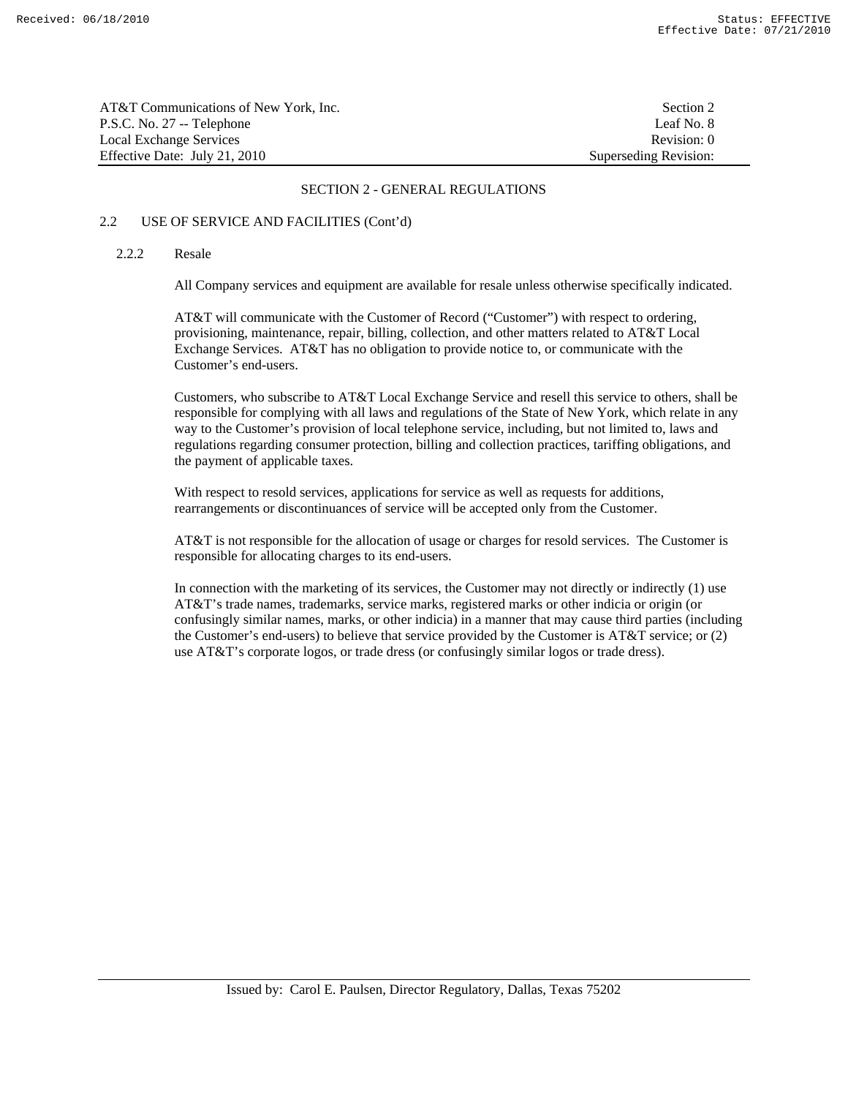| AT&T Communications of New York, Inc. | Section 2             |
|---------------------------------------|-----------------------|
| P.S.C. No. 27 -- Telephone            | Leaf No. 8            |
| Local Exchange Services               | Revision: 0           |
| Effective Date: July 21, 2010         | Superseding Revision: |

# 2.2 USE OF SERVICE AND FACILITIES (Cont'd)

## 2.2.2 Resale

All Company services and equipment are available for resale unless otherwise specifically indicated.

 AT&T will communicate with the Customer of Record ("Customer") with respect to ordering, provisioning, maintenance, repair, billing, collection, and other matters related to AT&T Local Exchange Services. AT&T has no obligation to provide notice to, or communicate with the Customer's end-users.

 Customers, who subscribe to AT&T Local Exchange Service and resell this service to others, shall be responsible for complying with all laws and regulations of the State of New York, which relate in any way to the Customer's provision of local telephone service, including, but not limited to, laws and regulations regarding consumer protection, billing and collection practices, tariffing obligations, and the payment of applicable taxes.

 With respect to resold services, applications for service as well as requests for additions, rearrangements or discontinuances of service will be accepted only from the Customer.

 AT&T is not responsible for the allocation of usage or charges for resold services. The Customer is responsible for allocating charges to its end-users.

 In connection with the marketing of its services, the Customer may not directly or indirectly (1) use AT&T's trade names, trademarks, service marks, registered marks or other indicia or origin (or confusingly similar names, marks, or other indicia) in a manner that may cause third parties (including the Customer's end-users) to believe that service provided by the Customer is  $AT&T$  service; or (2) use AT&T's corporate logos, or trade dress (or confusingly similar logos or trade dress).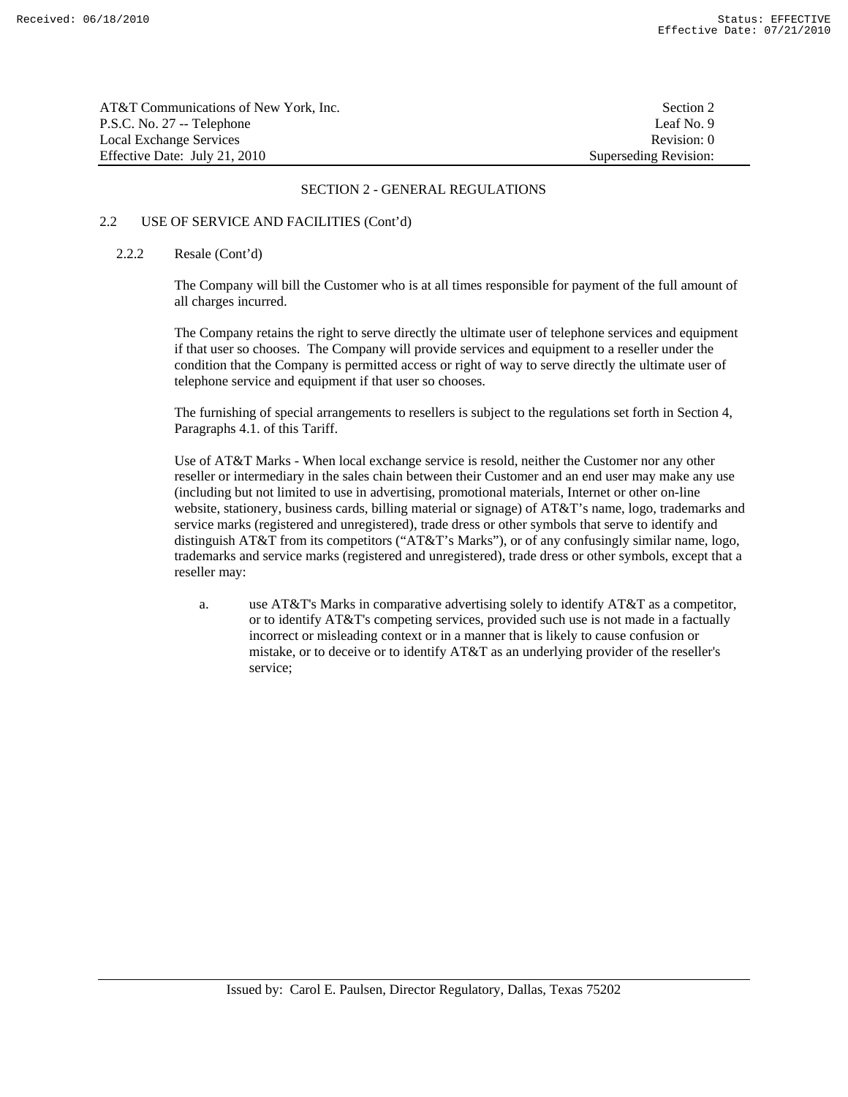| AT&T Communications of New York, Inc. | Section 2             |
|---------------------------------------|-----------------------|
| P.S.C. No. 27 -- Telephone            | Leaf No. 9            |
| Local Exchange Services               | Revision: 0           |
| Effective Date: July 21, 2010         | Superseding Revision: |

# 2.2 USE OF SERVICE AND FACILITIES (Cont'd)

#### 2.2.2 Resale (Cont'd)

 The Company will bill the Customer who is at all times responsible for payment of the full amount of all charges incurred.

 The Company retains the right to serve directly the ultimate user of telephone services and equipment if that user so chooses. The Company will provide services and equipment to a reseller under the condition that the Company is permitted access or right of way to serve directly the ultimate user of telephone service and equipment if that user so chooses.

 The furnishing of special arrangements to resellers is subject to the regulations set forth in Section 4, Paragraphs 4.1. of this Tariff.

 Use of AT&T Marks - When local exchange service is resold, neither the Customer nor any other reseller or intermediary in the sales chain between their Customer and an end user may make any use (including but not limited to use in advertising, promotional materials, Internet or other on-line website, stationery, business cards, billing material or signage) of AT&T's name, logo, trademarks and service marks (registered and unregistered), trade dress or other symbols that serve to identify and distinguish AT&T from its competitors ("AT&T's Marks"), or of any confusingly similar name, logo, trademarks and service marks (registered and unregistered), trade dress or other symbols, except that a reseller may:

a. use AT&T's Marks in comparative advertising solely to identify AT&T as a competitor, or to identify AT&T's competing services, provided such use is not made in a factually incorrect or misleading context or in a manner that is likely to cause confusion or mistake, or to deceive or to identify AT&T as an underlying provider of the reseller's service;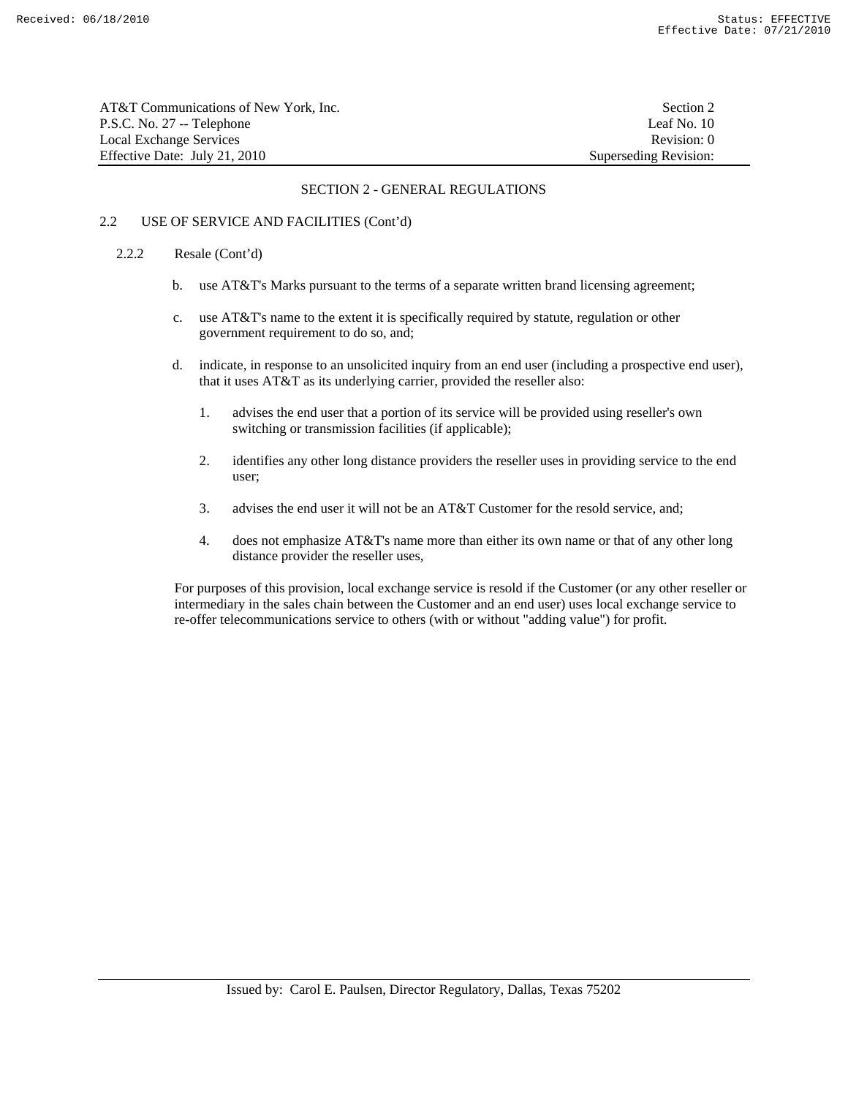| AT&T Communications of New York. Inc. | Section 2             |
|---------------------------------------|-----------------------|
| P.S.C. No. 27 -- Telephone            | Leaf No. 10           |
| Local Exchange Services               | Revision: 0           |
| Effective Date: July 21, 2010         | Superseding Revision: |

# 2.2 USE OF SERVICE AND FACILITIES (Cont'd)

#### 2.2.2 Resale (Cont'd)

- b. use AT&T's Marks pursuant to the terms of a separate written brand licensing agreement;
- c. use AT&T's name to the extent it is specifically required by statute, regulation or other government requirement to do so, and;
- d. indicate, in response to an unsolicited inquiry from an end user (including a prospective end user), that it uses AT&T as its underlying carrier, provided the reseller also:
	- 1. advises the end user that a portion of its service will be provided using reseller's own switching or transmission facilities (if applicable);
	- 2. identifies any other long distance providers the reseller uses in providing service to the end user;
	- 3. advises the end user it will not be an AT&T Customer for the resold service, and;
	- 4. does not emphasize AT&T's name more than either its own name or that of any other long distance provider the reseller uses,

 For purposes of this provision, local exchange service is resold if the Customer (or any other reseller or intermediary in the sales chain between the Customer and an end user) uses local exchange service to re-offer telecommunications service to others (with or without "adding value") for profit.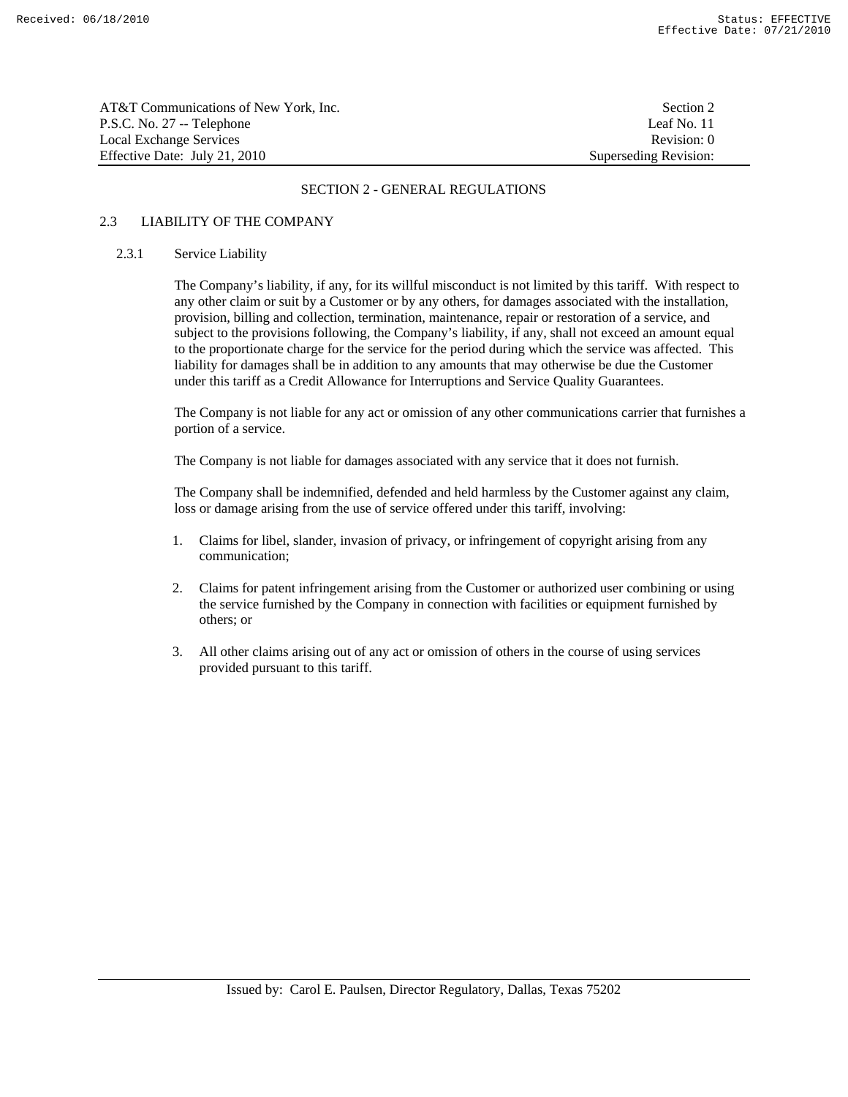| AT&T Communications of New York, Inc. | Section 2             |
|---------------------------------------|-----------------------|
| P.S.C. No. 27 -- Telephone            | Leaf No. 11           |
| Local Exchange Services               | Revision: 0           |
| Effective Date: July 21, 2010         | Superseding Revision: |

# 2.3 LIABILITY OF THE COMPANY

#### 2.3.1 Service Liability

 The Company's liability, if any, for its willful misconduct is not limited by this tariff. With respect to any other claim or suit by a Customer or by any others, for damages associated with the installation, provision, billing and collection, termination, maintenance, repair or restoration of a service, and subject to the provisions following, the Company's liability, if any, shall not exceed an amount equal to the proportionate charge for the service for the period during which the service was affected. This liability for damages shall be in addition to any amounts that may otherwise be due the Customer under this tariff as a Credit Allowance for Interruptions and Service Quality Guarantees.

 The Company is not liable for any act or omission of any other communications carrier that furnishes a portion of a service.

The Company is not liable for damages associated with any service that it does not furnish.

 The Company shall be indemnified, defended and held harmless by the Customer against any claim, loss or damage arising from the use of service offered under this tariff, involving:

- 1. Claims for libel, slander, invasion of privacy, or infringement of copyright arising from any communication;
- 2. Claims for patent infringement arising from the Customer or authorized user combining or using the service furnished by the Company in connection with facilities or equipment furnished by others; or
- 3. All other claims arising out of any act or omission of others in the course of using services provided pursuant to this tariff.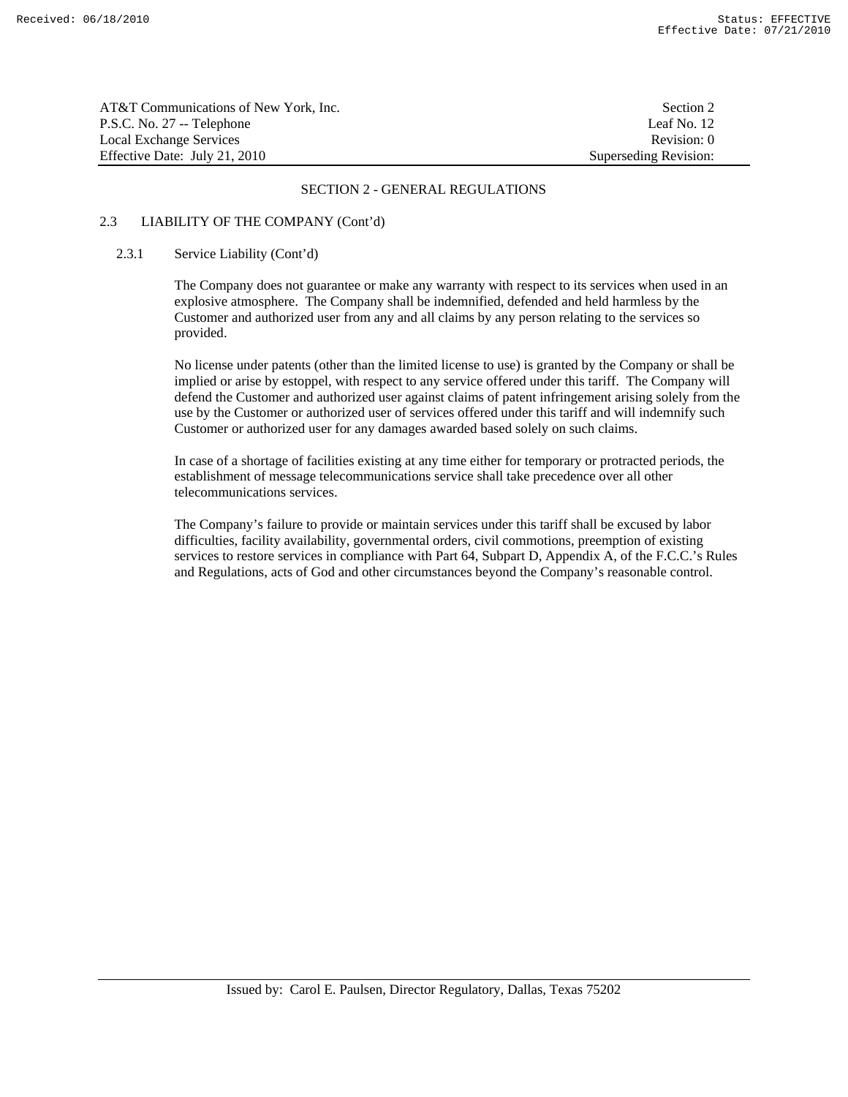| AT&T Communications of New York. Inc. | Section 2             |
|---------------------------------------|-----------------------|
| P.S.C. No. 27 -- Telephone            | Leaf No. 12           |
| Local Exchange Services               | Revision: 0           |
| Effective Date: July 21, 2010         | Superseding Revision: |

# 2.3 LIABILITY OF THE COMPANY (Cont'd)

#### 2.3.1 Service Liability (Cont'd)

 The Company does not guarantee or make any warranty with respect to its services when used in an explosive atmosphere. The Company shall be indemnified, defended and held harmless by the Customer and authorized user from any and all claims by any person relating to the services so provided.

 No license under patents (other than the limited license to use) is granted by the Company or shall be implied or arise by estoppel, with respect to any service offered under this tariff. The Company will defend the Customer and authorized user against claims of patent infringement arising solely from the use by the Customer or authorized user of services offered under this tariff and will indemnify such Customer or authorized user for any damages awarded based solely on such claims.

 In case of a shortage of facilities existing at any time either for temporary or protracted periods, the establishment of message telecommunications service shall take precedence over all other telecommunications services.

 The Company's failure to provide or maintain services under this tariff shall be excused by labor difficulties, facility availability, governmental orders, civil commotions, preemption of existing services to restore services in compliance with Part 64, Subpart D, Appendix A, of the F.C.C.'s Rules and Regulations, acts of God and other circumstances beyond the Company's reasonable control.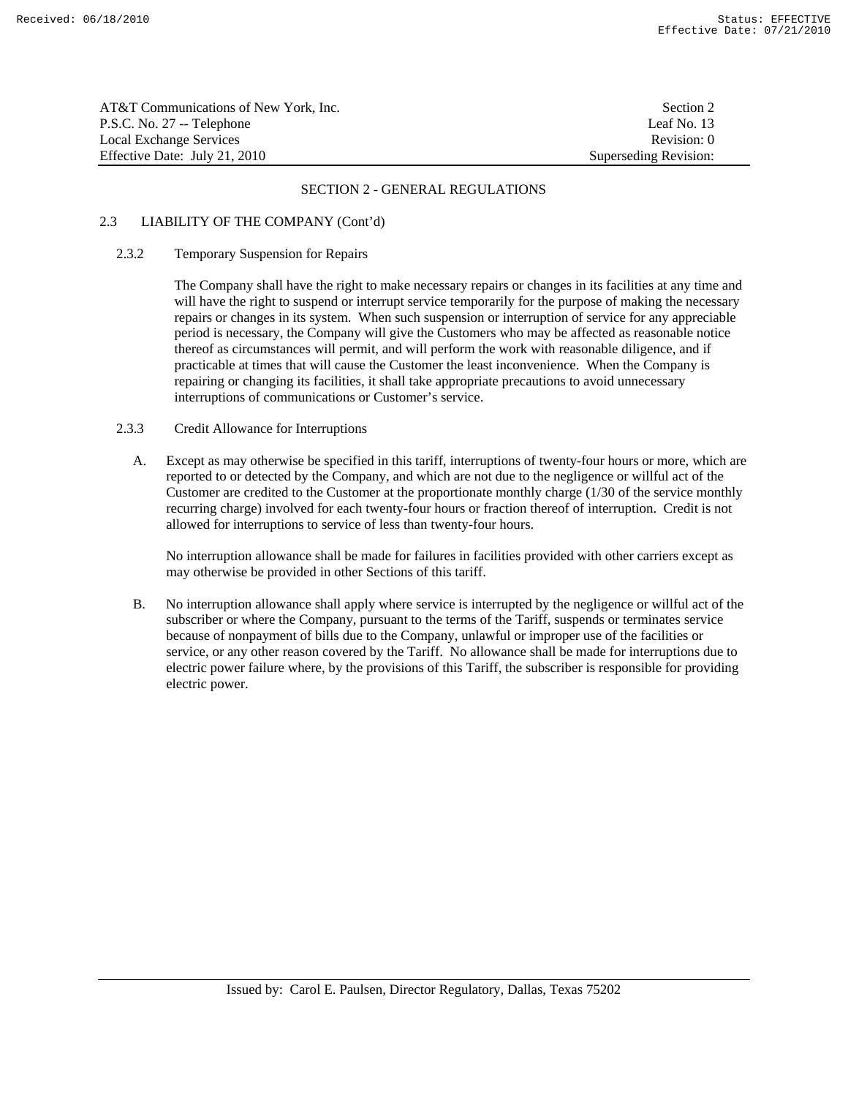| AT&T Communications of New York, Inc. | Section 2             |
|---------------------------------------|-----------------------|
| P.S.C. No. 27 -- Telephone            | Leaf No. 13           |
| Local Exchange Services               | Revision: 0           |
| Effective Date: July 21, 2010         | Superseding Revision: |

# 2.3 LIABILITY OF THE COMPANY (Cont'd)

## 2.3.2 Temporary Suspension for Repairs

 The Company shall have the right to make necessary repairs or changes in its facilities at any time and will have the right to suspend or interrupt service temporarily for the purpose of making the necessary repairs or changes in its system. When such suspension or interruption of service for any appreciable period is necessary, the Company will give the Customers who may be affected as reasonable notice thereof as circumstances will permit, and will perform the work with reasonable diligence, and if practicable at times that will cause the Customer the least inconvenience. When the Company is repairing or changing its facilities, it shall take appropriate precautions to avoid unnecessary interruptions of communications or Customer's service.

#### 2.3.3 Credit Allowance for Interruptions

A. Except as may otherwise be specified in this tariff, interruptions of twenty-four hours or more, which are reported to or detected by the Company, and which are not due to the negligence or willful act of the Customer are credited to the Customer at the proportionate monthly charge (1/30 of the service monthly recurring charge) involved for each twenty-four hours or fraction thereof of interruption. Credit is not allowed for interruptions to service of less than twenty-four hours.

 No interruption allowance shall be made for failures in facilities provided with other carriers except as may otherwise be provided in other Sections of this tariff.

B. No interruption allowance shall apply where service is interrupted by the negligence or willful act of the subscriber or where the Company, pursuant to the terms of the Tariff, suspends or terminates service because of nonpayment of bills due to the Company, unlawful or improper use of the facilities or service, or any other reason covered by the Tariff. No allowance shall be made for interruptions due to electric power failure where, by the provisions of this Tariff, the subscriber is responsible for providing electric power.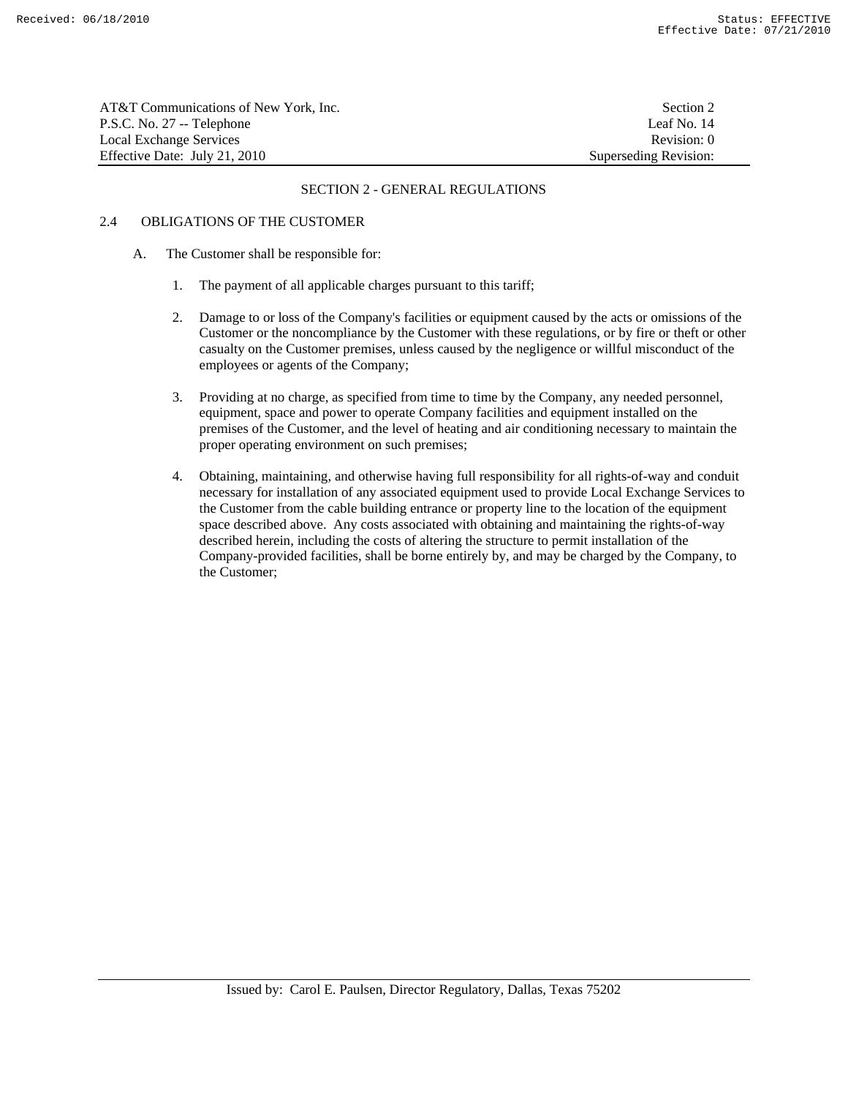| AT&T Communications of New York, Inc. | Section 2             |
|---------------------------------------|-----------------------|
| P.S.C. No. 27 -- Telephone            | Leaf No. 14           |
| Local Exchange Services               | Revision: 0           |
| Effective Date: July 21, 2010         | Superseding Revision: |

# 2.4 OBLIGATIONS OF THE CUSTOMER

- A. The Customer shall be responsible for:
	- 1. The payment of all applicable charges pursuant to this tariff;
	- 2. Damage to or loss of the Company's facilities or equipment caused by the acts or omissions of the Customer or the noncompliance by the Customer with these regulations, or by fire or theft or other casualty on the Customer premises, unless caused by the negligence or willful misconduct of the employees or agents of the Company;
	- 3. Providing at no charge, as specified from time to time by the Company, any needed personnel, equipment, space and power to operate Company facilities and equipment installed on the premises of the Customer, and the level of heating and air conditioning necessary to maintain the proper operating environment on such premises;
	- 4. Obtaining, maintaining, and otherwise having full responsibility for all rights-of-way and conduit necessary for installation of any associated equipment used to provide Local Exchange Services to the Customer from the cable building entrance or property line to the location of the equipment space described above. Any costs associated with obtaining and maintaining the rights-of-way described herein, including the costs of altering the structure to permit installation of the Company-provided facilities, shall be borne entirely by, and may be charged by the Company, to the Customer;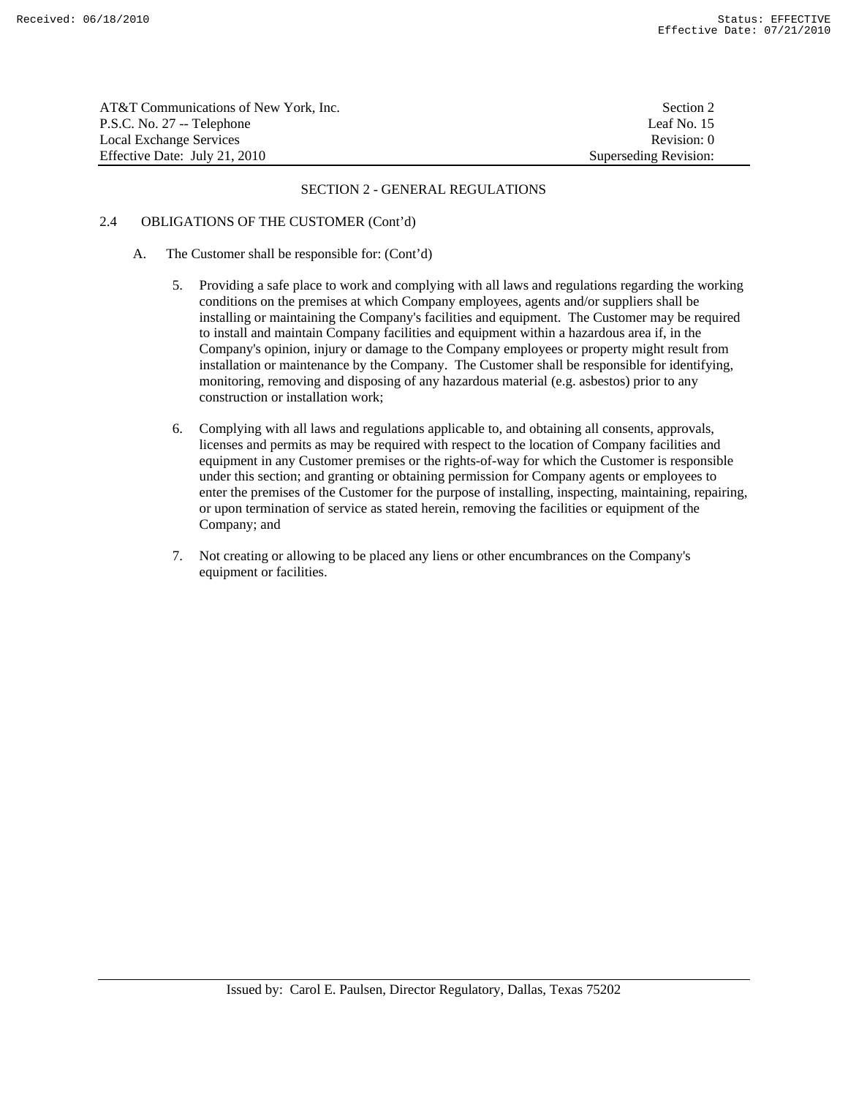| AT&T Communications of New York, Inc. | Section 2             |
|---------------------------------------|-----------------------|
| P.S.C. No. 27 -- Telephone            | Leaf No. 15           |
| Local Exchange Services               | Revision: 0           |
| Effective Date: July 21, 2010         | Superseding Revision: |

# 2.4 OBLIGATIONS OF THE CUSTOMER (Cont'd)

- A. The Customer shall be responsible for: (Cont'd)
	- 5. Providing a safe place to work and complying with all laws and regulations regarding the working conditions on the premises at which Company employees, agents and/or suppliers shall be installing or maintaining the Company's facilities and equipment. The Customer may be required to install and maintain Company facilities and equipment within a hazardous area if, in the Company's opinion, injury or damage to the Company employees or property might result from installation or maintenance by the Company. The Customer shall be responsible for identifying, monitoring, removing and disposing of any hazardous material (e.g. asbestos) prior to any construction or installation work;
	- 6. Complying with all laws and regulations applicable to, and obtaining all consents, approvals, licenses and permits as may be required with respect to the location of Company facilities and equipment in any Customer premises or the rights-of-way for which the Customer is responsible under this section; and granting or obtaining permission for Company agents or employees to enter the premises of the Customer for the purpose of installing, inspecting, maintaining, repairing, or upon termination of service as stated herein, removing the facilities or equipment of the Company; and
	- 7. Not creating or allowing to be placed any liens or other encumbrances on the Company's equipment or facilities.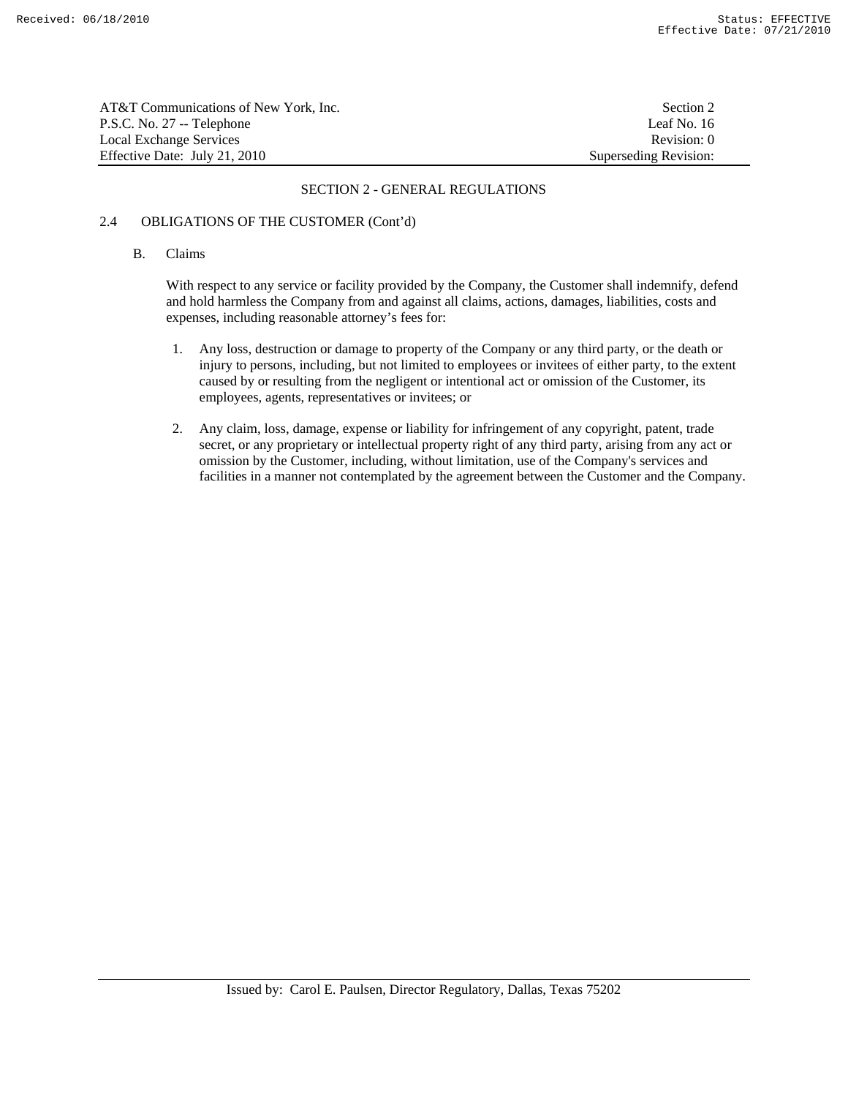| AT&T Communications of New York, Inc. | Section 2             |
|---------------------------------------|-----------------------|
| P.S.C. No. 27 -- Telephone            | Leaf No. 16           |
| Local Exchange Services               | Revision: 0           |
| Effective Date: July 21, 2010         | Superseding Revision: |

# 2.4 OBLIGATIONS OF THE CUSTOMER (Cont'd)

#### B. Claims

 With respect to any service or facility provided by the Company, the Customer shall indemnify, defend and hold harmless the Company from and against all claims, actions, damages, liabilities, costs and expenses, including reasonable attorney's fees for:

- 1. Any loss, destruction or damage to property of the Company or any third party, or the death or injury to persons, including, but not limited to employees or invitees of either party, to the extent caused by or resulting from the negligent or intentional act or omission of the Customer, its employees, agents, representatives or invitees; or
- 2. Any claim, loss, damage, expense or liability for infringement of any copyright, patent, trade secret, or any proprietary or intellectual property right of any third party, arising from any act or omission by the Customer, including, without limitation, use of the Company's services and facilities in a manner not contemplated by the agreement between the Customer and the Company.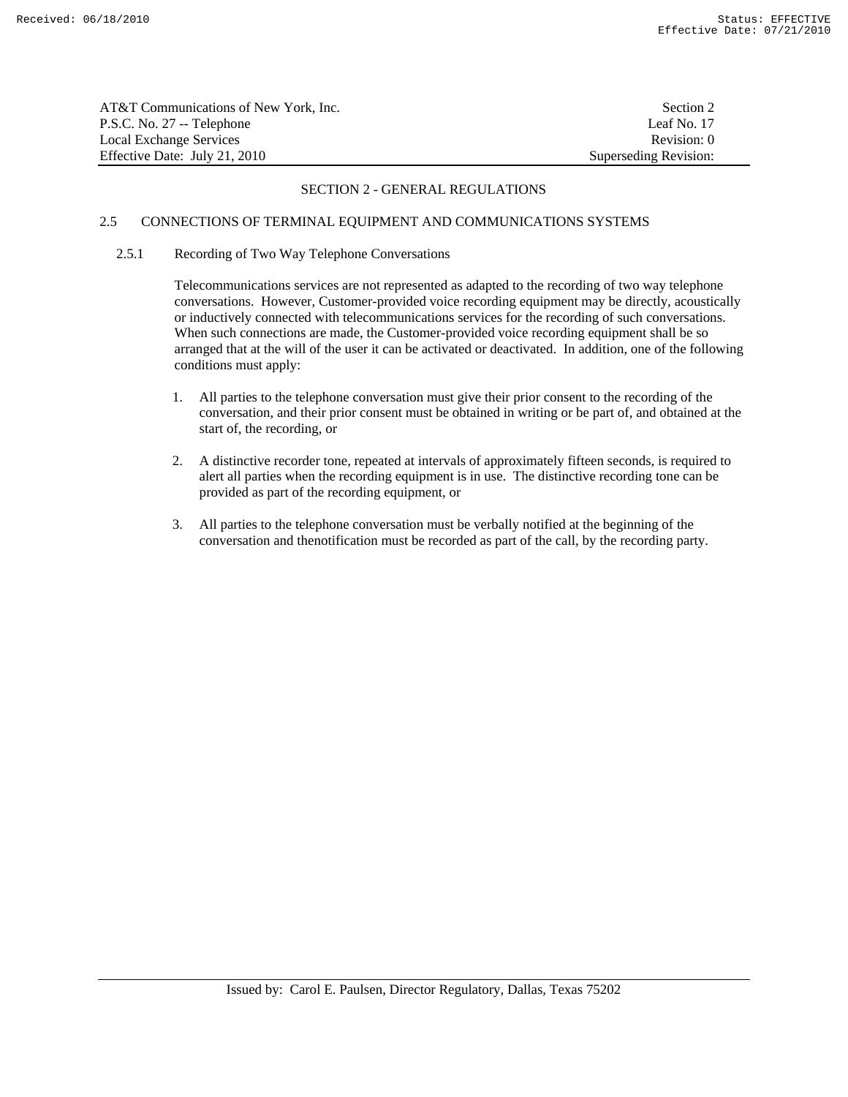| AT&T Communications of New York, Inc. | Section 2             |
|---------------------------------------|-----------------------|
| P.S.C. No. 27 -- Telephone            | Leaf No. 17           |
| Local Exchange Services               | Revision: 0           |
| Effective Date: July 21, 2010         | Superseding Revision: |

# 2.5 CONNECTIONS OF TERMINAL EQUIPMENT AND COMMUNICATIONS SYSTEMS

# 2.5.1 Recording of Two Way Telephone Conversations

 Telecommunications services are not represented as adapted to the recording of two way telephone conversations. However, Customer-provided voice recording equipment may be directly, acoustically or inductively connected with telecommunications services for the recording of such conversations. When such connections are made, the Customer-provided voice recording equipment shall be so arranged that at the will of the user it can be activated or deactivated. In addition, one of the following conditions must apply:

- 1. All parties to the telephone conversation must give their prior consent to the recording of the conversation, and their prior consent must be obtained in writing or be part of, and obtained at the start of, the recording, or
- 2. A distinctive recorder tone, repeated at intervals of approximately fifteen seconds, is required to alert all parties when the recording equipment is in use. The distinctive recording tone can be provided as part of the recording equipment, or
- 3. All parties to the telephone conversation must be verbally notified at the beginning of the conversation and thenotification must be recorded as part of the call, by the recording party.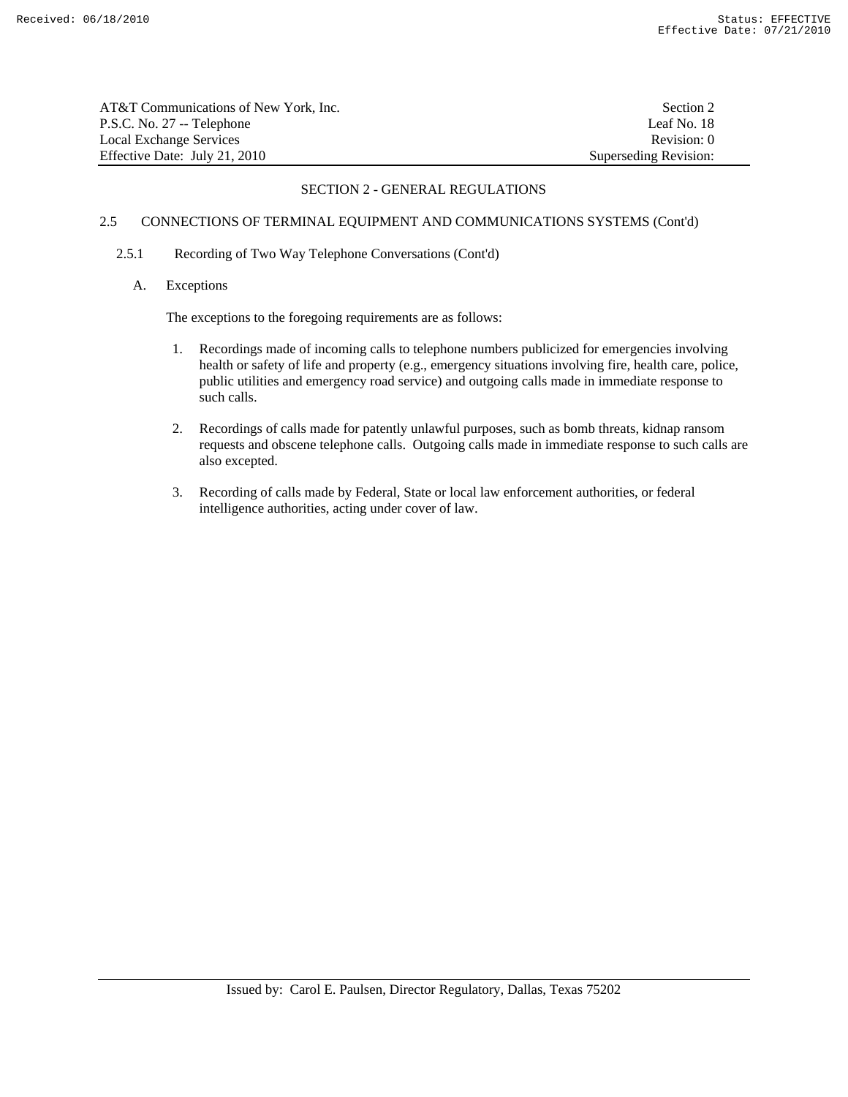| AT&T Communications of New York, Inc. | Section 2             |
|---------------------------------------|-----------------------|
| P.S.C. No. 27 -- Telephone            | Leaf No. 18           |
| Local Exchange Services               | Revision: 0           |
| Effective Date: July 21, 2010         | Superseding Revision: |

# 2.5 CONNECTIONS OF TERMINAL EQUIPMENT AND COMMUNICATIONS SYSTEMS (Cont'd)

# 2.5.1 Recording of Two Way Telephone Conversations (Cont'd)

# A. Exceptions

The exceptions to the foregoing requirements are as follows:

- 1. Recordings made of incoming calls to telephone numbers publicized for emergencies involving health or safety of life and property (e.g., emergency situations involving fire, health care, police, public utilities and emergency road service) and outgoing calls made in immediate response to such calls.
- 2. Recordings of calls made for patently unlawful purposes, such as bomb threats, kidnap ransom requests and obscene telephone calls. Outgoing calls made in immediate response to such calls are also excepted.
- 3. Recording of calls made by Federal, State or local law enforcement authorities, or federal intelligence authorities, acting under cover of law.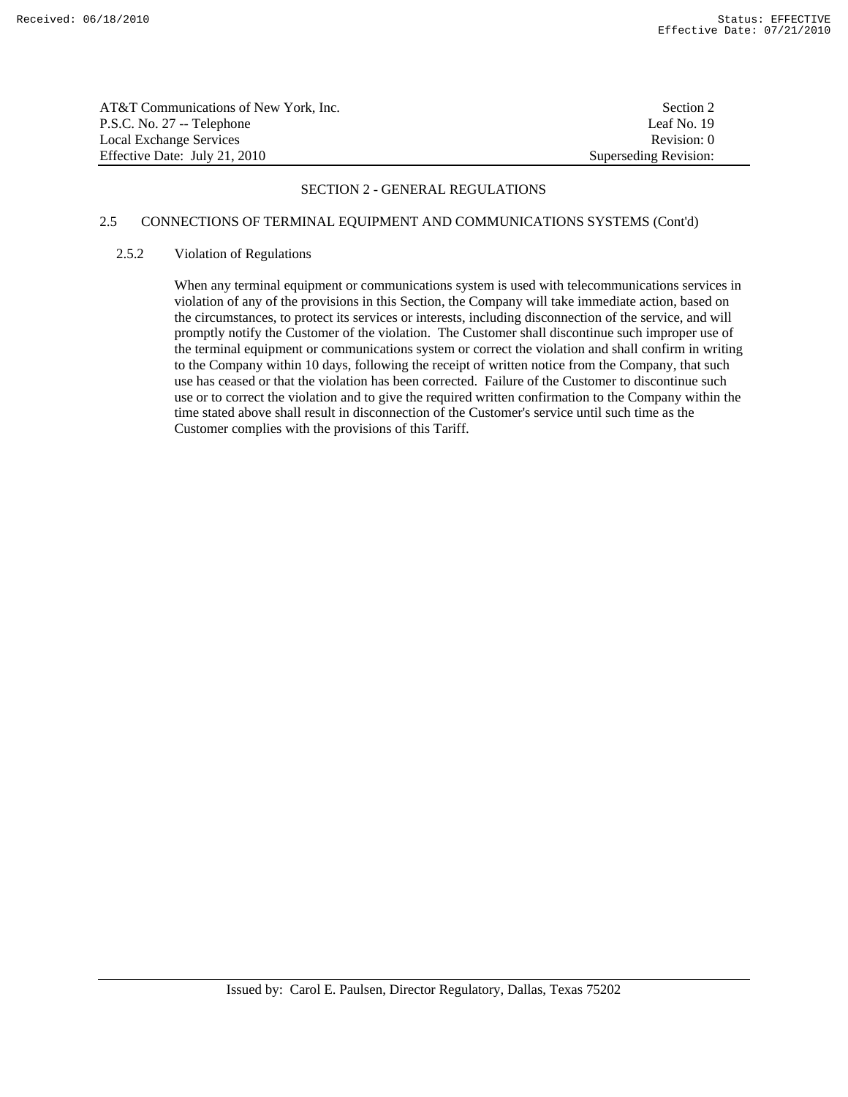| AT&T Communications of New York, Inc. | Section 2             |
|---------------------------------------|-----------------------|
| P.S.C. No. 27 -- Telephone            | Leaf No. 19           |
| Local Exchange Services               | Revision: 0           |
| Effective Date: July 21, 2010         | Superseding Revision: |

# 2.5 CONNECTIONS OF TERMINAL EQUIPMENT AND COMMUNICATIONS SYSTEMS (Cont'd)

## 2.5.2 Violation of Regulations

 When any terminal equipment or communications system is used with telecommunications services in violation of any of the provisions in this Section, the Company will take immediate action, based on the circumstances, to protect its services or interests, including disconnection of the service, and will promptly notify the Customer of the violation. The Customer shall discontinue such improper use of the terminal equipment or communications system or correct the violation and shall confirm in writing to the Company within 10 days, following the receipt of written notice from the Company, that such use has ceased or that the violation has been corrected. Failure of the Customer to discontinue such use or to correct the violation and to give the required written confirmation to the Company within the time stated above shall result in disconnection of the Customer's service until such time as the Customer complies with the provisions of this Tariff.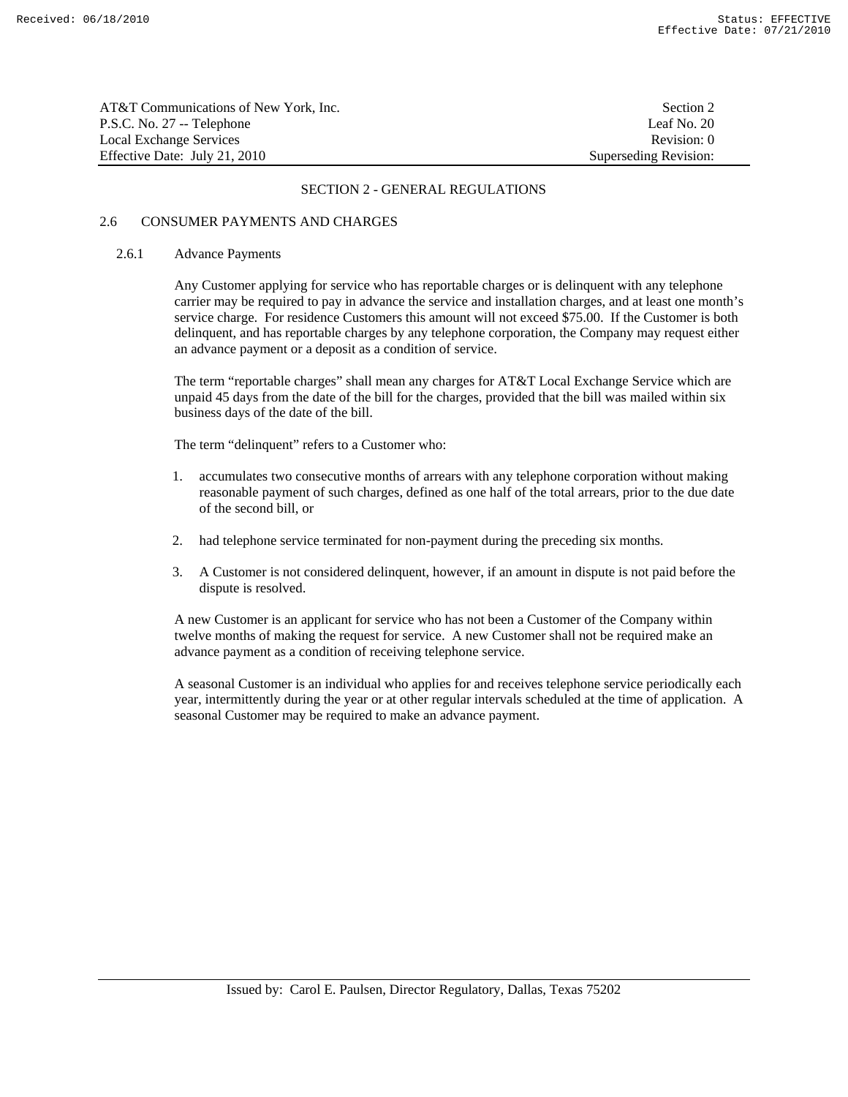| AT&T Communications of New York, Inc. | Section 2             |
|---------------------------------------|-----------------------|
| P.S.C. No. 27 -- Telephone            | Leaf No. 20           |
| Local Exchange Services               | Revision: 0           |
| Effective Date: July 21, 2010         | Superseding Revision: |

# 2.6 CONSUMER PAYMENTS AND CHARGES

#### 2.6.1 Advance Payments

 Any Customer applying for service who has reportable charges or is delinquent with any telephone carrier may be required to pay in advance the service and installation charges, and at least one month's service charge. For residence Customers this amount will not exceed \$75.00. If the Customer is both delinquent, and has reportable charges by any telephone corporation, the Company may request either an advance payment or a deposit as a condition of service.

 The term "reportable charges" shall mean any charges for AT&T Local Exchange Service which are unpaid 45 days from the date of the bill for the charges, provided that the bill was mailed within six business days of the date of the bill.

The term "delinquent" refers to a Customer who:

- 1. accumulates two consecutive months of arrears with any telephone corporation without making reasonable payment of such charges, defined as one half of the total arrears, prior to the due date of the second bill, or
- 2. had telephone service terminated for non-payment during the preceding six months.
- 3. A Customer is not considered delinquent, however, if an amount in dispute is not paid before the dispute is resolved.

 A new Customer is an applicant for service who has not been a Customer of the Company within twelve months of making the request for service. A new Customer shall not be required make an advance payment as a condition of receiving telephone service.

 A seasonal Customer is an individual who applies for and receives telephone service periodically each year, intermittently during the year or at other regular intervals scheduled at the time of application. A seasonal Customer may be required to make an advance payment.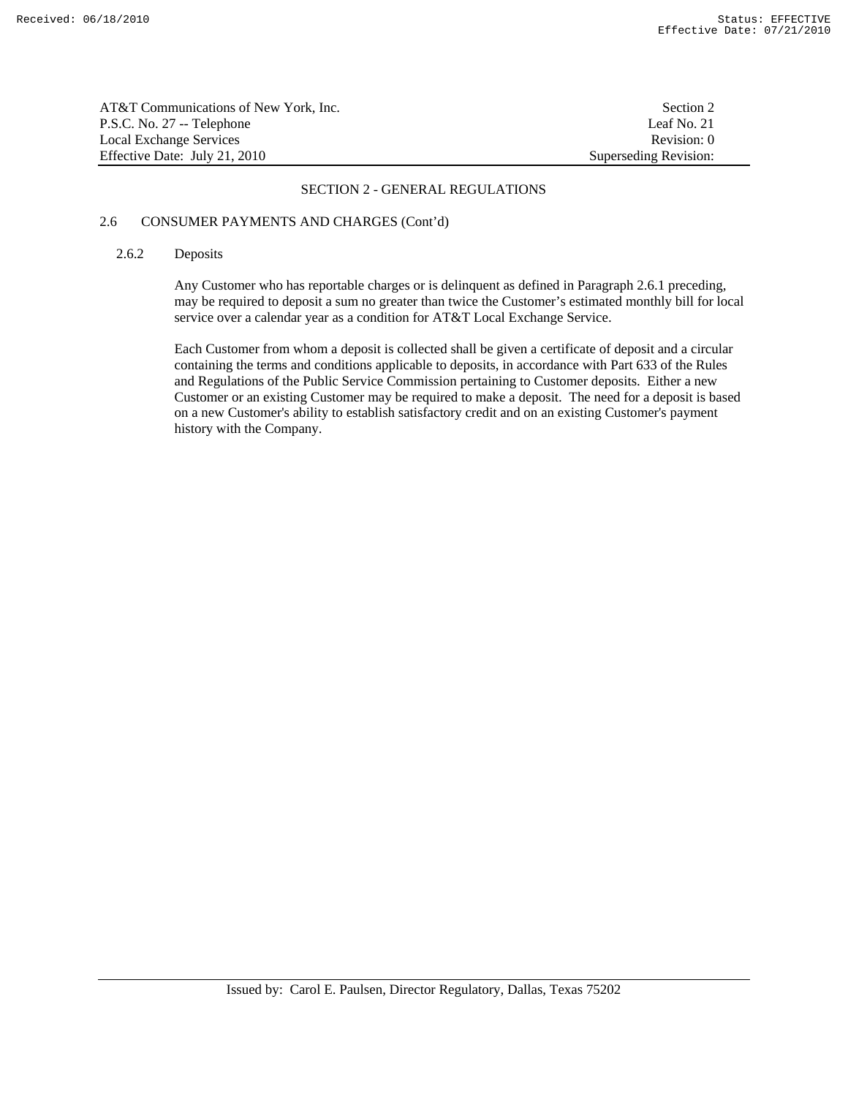| AT&T Communications of New York. Inc. | Section 2             |
|---------------------------------------|-----------------------|
| P.S.C. No. 27 -- Telephone            | Leaf No. 21           |
| Local Exchange Services               | Revision: 0           |
| Effective Date: July 21, 2010         | Superseding Revision: |

# 2.6 CONSUMER PAYMENTS AND CHARGES (Cont'd)

## 2.6.2 Deposits

 Any Customer who has reportable charges or is delinquent as defined in Paragraph 2.6.1 preceding, may be required to deposit a sum no greater than twice the Customer's estimated monthly bill for local service over a calendar year as a condition for AT&T Local Exchange Service.

 Each Customer from whom a deposit is collected shall be given a certificate of deposit and a circular containing the terms and conditions applicable to deposits, in accordance with Part 633 of the Rules and Regulations of the Public Service Commission pertaining to Customer deposits. Either a new Customer or an existing Customer may be required to make a deposit. The need for a deposit is based on a new Customer's ability to establish satisfactory credit and on an existing Customer's payment history with the Company.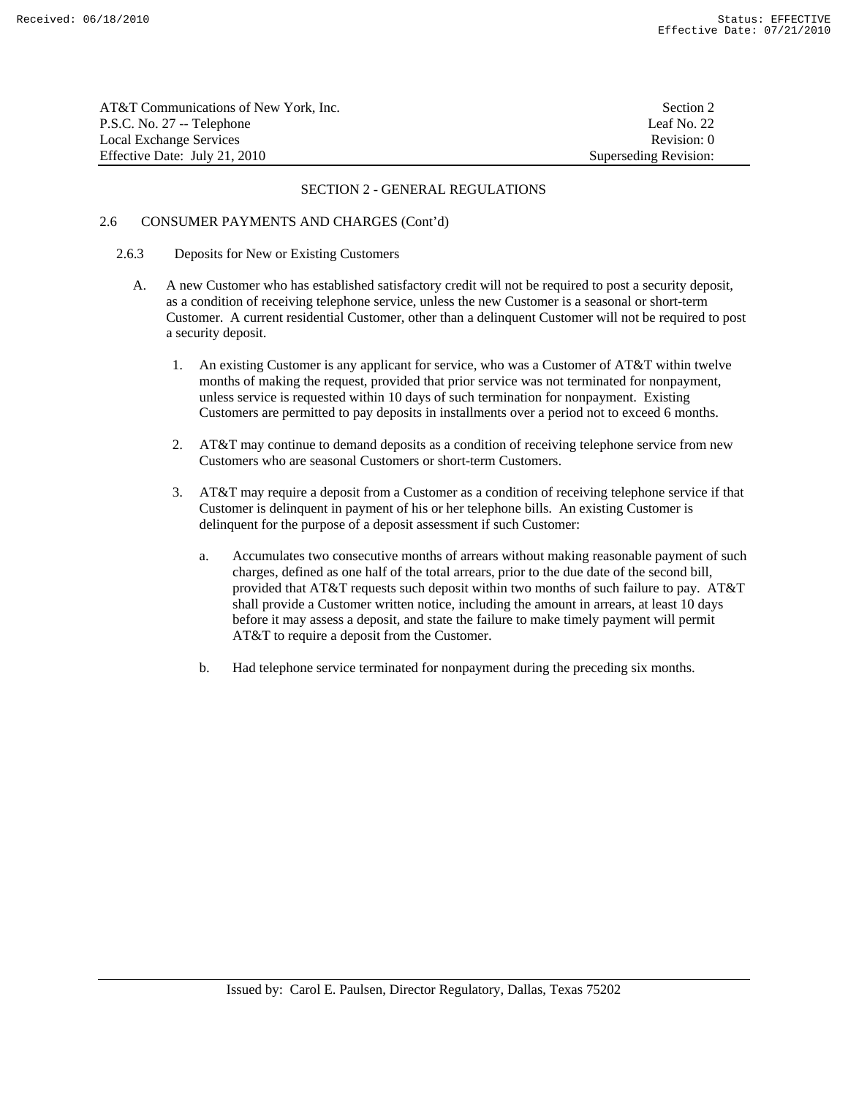| AT&T Communications of New York, Inc. | Section 2             |
|---------------------------------------|-----------------------|
| P.S.C. No. 27 -- Telephone            | Leaf No. 22           |
| Local Exchange Services               | Revision: 0           |
| Effective Date: July 21, 2010         | Superseding Revision: |

# 2.6 CONSUMER PAYMENTS AND CHARGES (Cont'd)

#### 2.6.3 Deposits for New or Existing Customers

- A. A new Customer who has established satisfactory credit will not be required to post a security deposit, as a condition of receiving telephone service, unless the new Customer is a seasonal or short-term Customer. A current residential Customer, other than a delinquent Customer will not be required to post a security deposit.
	- 1. An existing Customer is any applicant for service, who was a Customer of AT&T within twelve months of making the request, provided that prior service was not terminated for nonpayment, unless service is requested within 10 days of such termination for nonpayment. Existing Customers are permitted to pay deposits in installments over a period not to exceed 6 months.
	- 2. AT&T may continue to demand deposits as a condition of receiving telephone service from new Customers who are seasonal Customers or short-term Customers.
	- 3. AT&T may require a deposit from a Customer as a condition of receiving telephone service if that Customer is delinquent in payment of his or her telephone bills. An existing Customer is delinquent for the purpose of a deposit assessment if such Customer:
		- a. Accumulates two consecutive months of arrears without making reasonable payment of such charges, defined as one half of the total arrears, prior to the due date of the second bill, provided that AT&T requests such deposit within two months of such failure to pay. AT&T shall provide a Customer written notice, including the amount in arrears, at least 10 days before it may assess a deposit, and state the failure to make timely payment will permit AT&T to require a deposit from the Customer.
		- b. Had telephone service terminated for nonpayment during the preceding six months.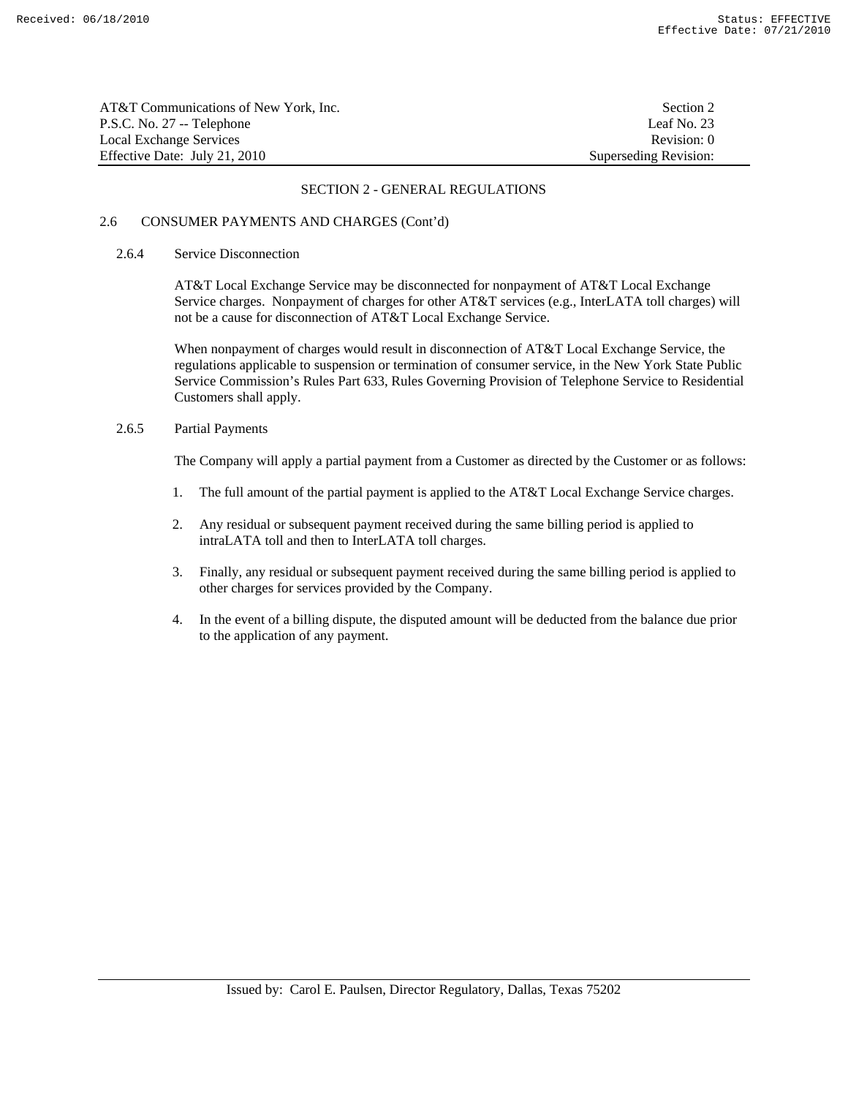| AT&T Communications of New York, Inc. | Section 2             |
|---------------------------------------|-----------------------|
| P.S.C. No. 27 -- Telephone            | Leaf No. 23           |
| Local Exchange Services               | Revision: 0           |
| Effective Date: July 21, 2010         | Superseding Revision: |

# 2.6 CONSUMER PAYMENTS AND CHARGES (Cont'd)

#### 2.6.4 Service Disconnection

 AT&T Local Exchange Service may be disconnected for nonpayment of AT&T Local Exchange Service charges. Nonpayment of charges for other AT&T services (e.g., InterLATA toll charges) will not be a cause for disconnection of AT&T Local Exchange Service.

 When nonpayment of charges would result in disconnection of AT&T Local Exchange Service, the regulations applicable to suspension or termination of consumer service, in the New York State Public Service Commission's Rules Part 633, Rules Governing Provision of Telephone Service to Residential Customers shall apply.

# 2.6.5 Partial Payments

The Company will apply a partial payment from a Customer as directed by the Customer or as follows:

- 1. The full amount of the partial payment is applied to the AT&T Local Exchange Service charges.
- 2. Any residual or subsequent payment received during the same billing period is applied to intraLATA toll and then to InterLATA toll charges.
- 3. Finally, any residual or subsequent payment received during the same billing period is applied to other charges for services provided by the Company.
- 4. In the event of a billing dispute, the disputed amount will be deducted from the balance due prior to the application of any payment.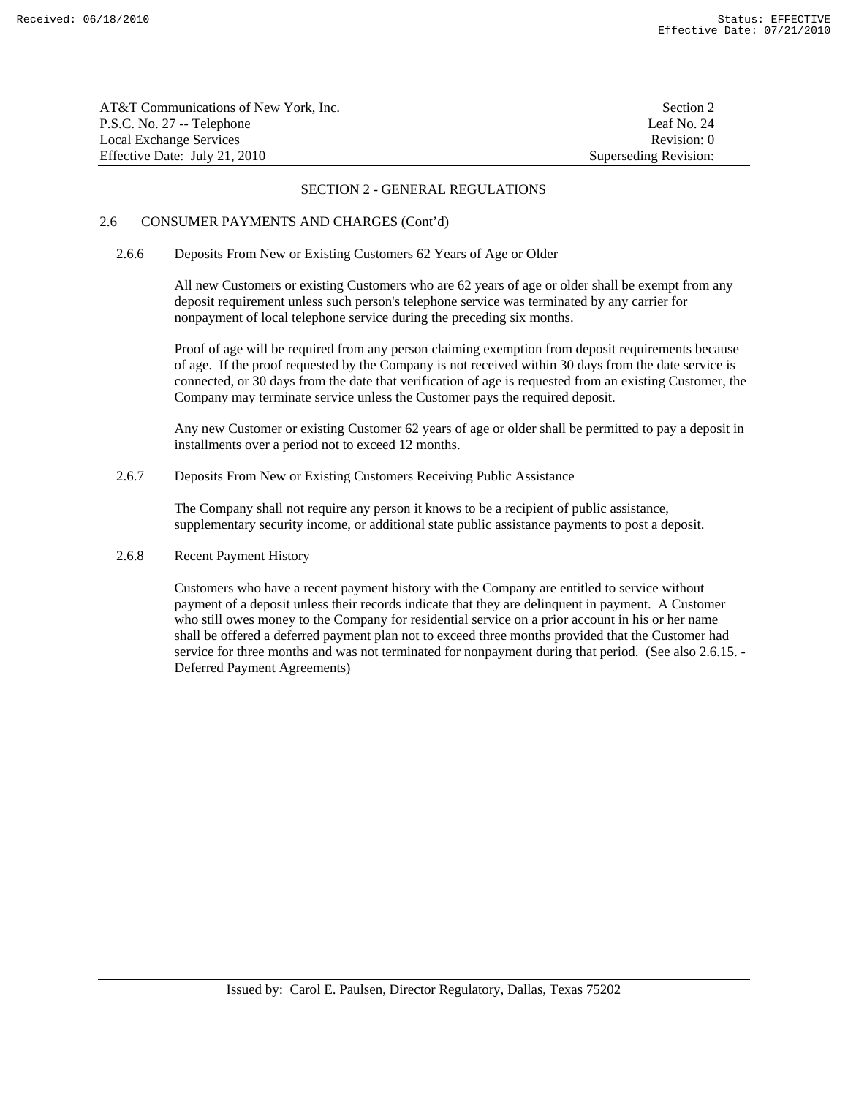| AT&T Communications of New York, Inc. | Section 2             |
|---------------------------------------|-----------------------|
| P.S.C. No. 27 -- Telephone            | Leaf No. 24           |
| Local Exchange Services               | Revision: 0           |
| Effective Date: July 21, 2010         | Superseding Revision: |

# 2.6 CONSUMER PAYMENTS AND CHARGES (Cont'd)

# 2.6.6 Deposits From New or Existing Customers 62 Years of Age or Older

 All new Customers or existing Customers who are 62 years of age or older shall be exempt from any deposit requirement unless such person's telephone service was terminated by any carrier for nonpayment of local telephone service during the preceding six months.

 Proof of age will be required from any person claiming exemption from deposit requirements because of age. If the proof requested by the Company is not received within 30 days from the date service is connected, or 30 days from the date that verification of age is requested from an existing Customer, the Company may terminate service unless the Customer pays the required deposit.

 Any new Customer or existing Customer 62 years of age or older shall be permitted to pay a deposit in installments over a period not to exceed 12 months.

2.6.7 Deposits From New or Existing Customers Receiving Public Assistance

 The Company shall not require any person it knows to be a recipient of public assistance, supplementary security income, or additional state public assistance payments to post a deposit.

# 2.6.8 Recent Payment History

 Customers who have a recent payment history with the Company are entitled to service without payment of a deposit unless their records indicate that they are delinquent in payment. A Customer who still owes money to the Company for residential service on a prior account in his or her name shall be offered a deferred payment plan not to exceed three months provided that the Customer had service for three months and was not terminated for nonpayment during that period. (See also 2.6.15. -Deferred Payment Agreements)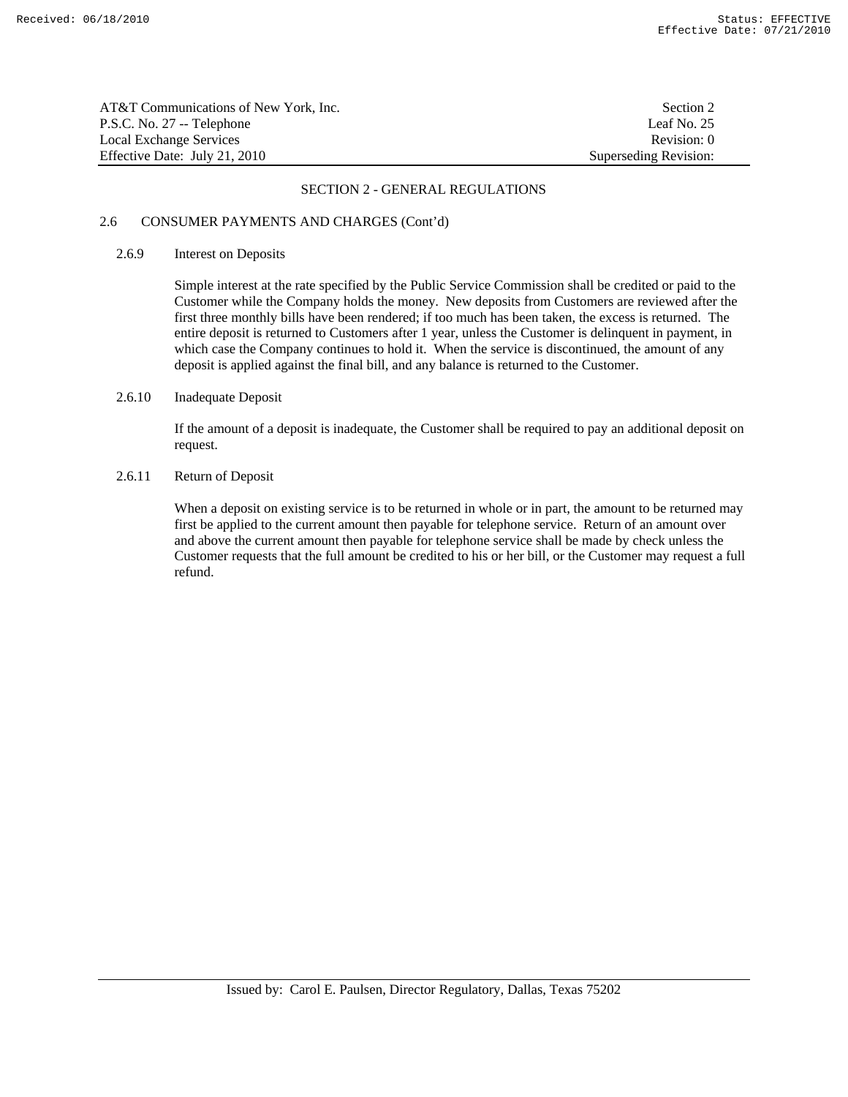| AT&T Communications of New York. Inc. | Section 2             |
|---------------------------------------|-----------------------|
| P.S.C. No. 27 -- Telephone            | Leaf No. 25           |
| Local Exchange Services               | Revision: 0           |
| Effective Date: July 21, 2010         | Superseding Revision: |

# 2.6 CONSUMER PAYMENTS AND CHARGES (Cont'd)

#### 2.6.9 Interest on Deposits

 Simple interest at the rate specified by the Public Service Commission shall be credited or paid to the Customer while the Company holds the money. New deposits from Customers are reviewed after the first three monthly bills have been rendered; if too much has been taken, the excess is returned. The entire deposit is returned to Customers after 1 year, unless the Customer is delinquent in payment, in which case the Company continues to hold it. When the service is discontinued, the amount of any deposit is applied against the final bill, and any balance is returned to the Customer.

# 2.6.10 Inadequate Deposit

 If the amount of a deposit is inadequate, the Customer shall be required to pay an additional deposit on request.

# 2.6.11 Return of Deposit

 When a deposit on existing service is to be returned in whole or in part, the amount to be returned may first be applied to the current amount then payable for telephone service. Return of an amount over and above the current amount then payable for telephone service shall be made by check unless the Customer requests that the full amount be credited to his or her bill, or the Customer may request a full refund.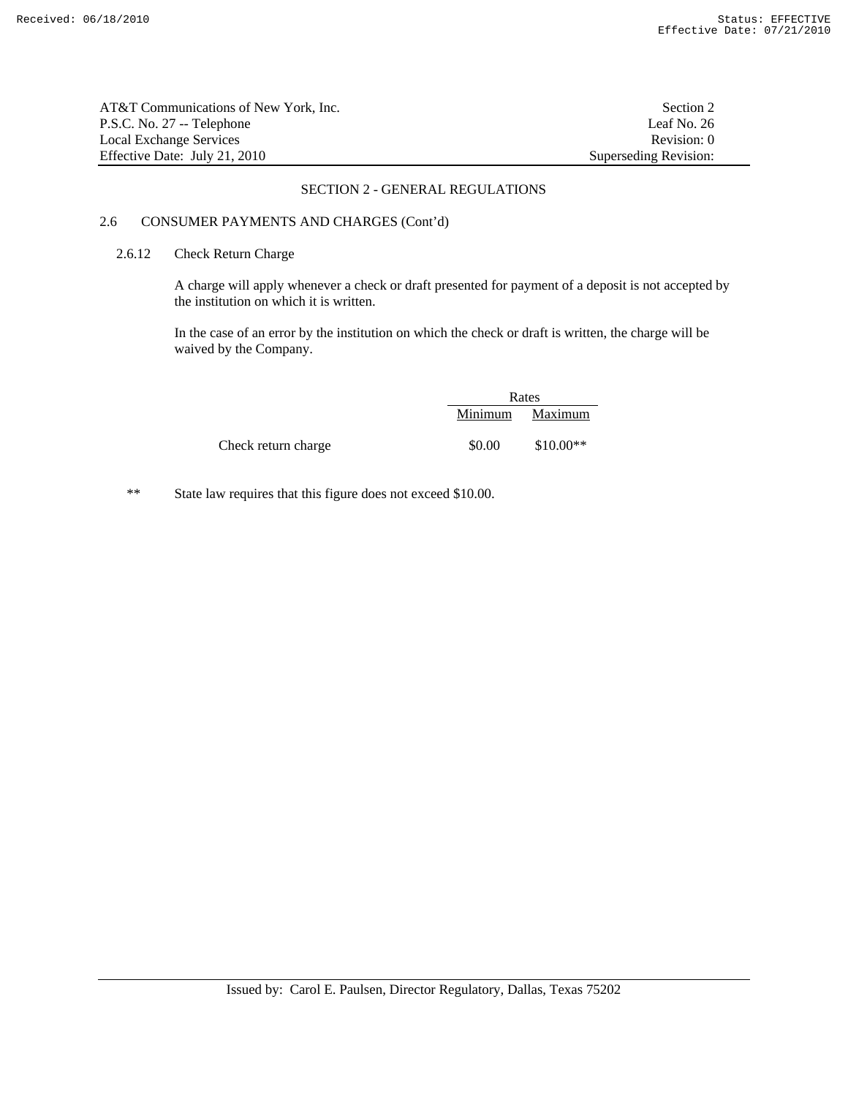| AT&T Communications of New York, Inc. | Section 2             |
|---------------------------------------|-----------------------|
| P.S.C. No. 27 -- Telephone            | Leaf No. 26           |
| Local Exchange Services               | Revision: 0           |
| Effective Date: July 21, 2010         | Superseding Revision: |

# 2.6 CONSUMER PAYMENTS AND CHARGES (Cont'd)

# 2.6.12 Check Return Charge

 A charge will apply whenever a check or draft presented for payment of a deposit is not accepted by the institution on which it is written.

 In the case of an error by the institution on which the check or draft is written, the charge will be waived by the Company.

|                     | Rates   |            |
|---------------------|---------|------------|
|                     | Minimum | Maximum    |
| Check return charge | \$0.00  | $$10.00**$ |

\*\* State law requires that this figure does not exceed \$10.00.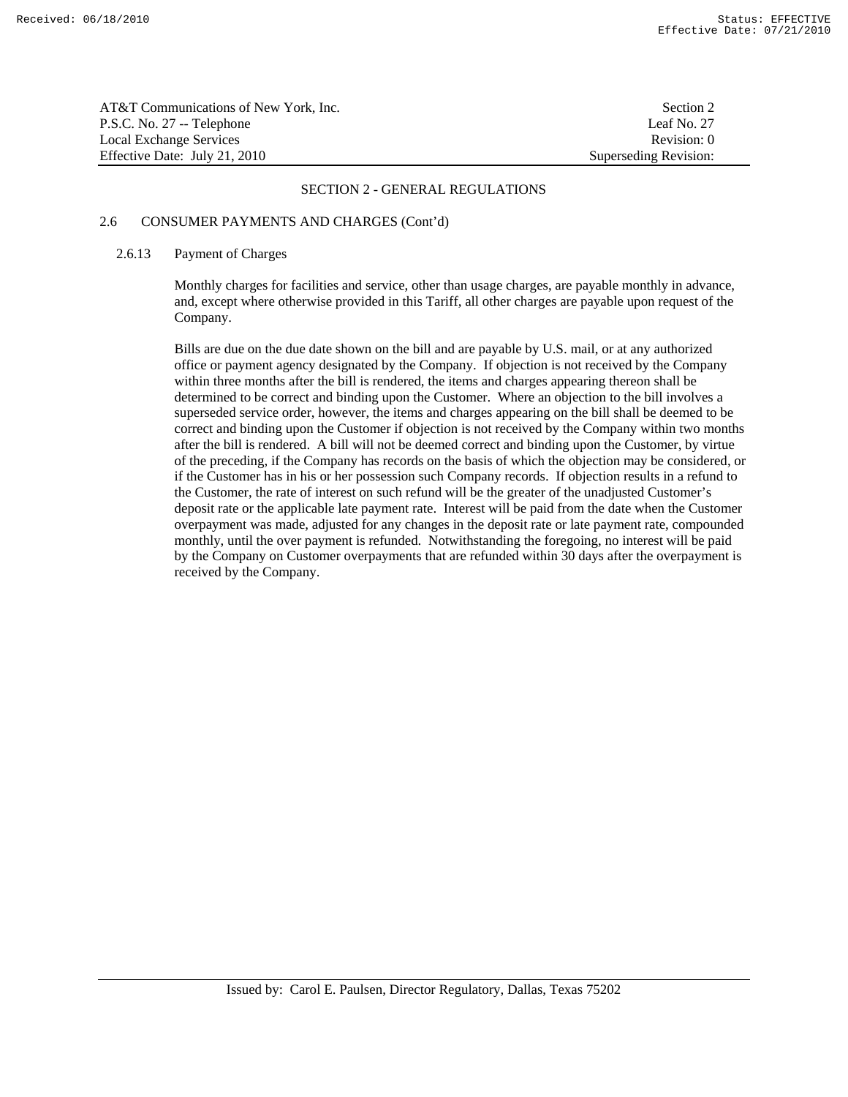| AT&T Communications of New York. Inc. | Section 2             |
|---------------------------------------|-----------------------|
| P.S.C. No. 27 -- Telephone            | Leaf No. 27           |
| Local Exchange Services               | Revision: 0           |
| Effective Date: July 21, 2010         | Superseding Revision: |

# 2.6 CONSUMER PAYMENTS AND CHARGES (Cont'd)

#### 2.6.13 Payment of Charges

 Monthly charges for facilities and service, other than usage charges, are payable monthly in advance, and, except where otherwise provided in this Tariff, all other charges are payable upon request of the Company.

 Bills are due on the due date shown on the bill and are payable by U.S. mail, or at any authorized office or payment agency designated by the Company. If objection is not received by the Company within three months after the bill is rendered, the items and charges appearing thereon shall be determined to be correct and binding upon the Customer. Where an objection to the bill involves a superseded service order, however, the items and charges appearing on the bill shall be deemed to be correct and binding upon the Customer if objection is not received by the Company within two months after the bill is rendered. A bill will not be deemed correct and binding upon the Customer, by virtue of the preceding, if the Company has records on the basis of which the objection may be considered, or if the Customer has in his or her possession such Company records. If objection results in a refund to the Customer, the rate of interest on such refund will be the greater of the unadjusted Customer's deposit rate or the applicable late payment rate. Interest will be paid from the date when the Customer overpayment was made, adjusted for any changes in the deposit rate or late payment rate, compounded monthly, until the over payment is refunded. Notwithstanding the foregoing, no interest will be paid by the Company on Customer overpayments that are refunded within 30 days after the overpayment is received by the Company.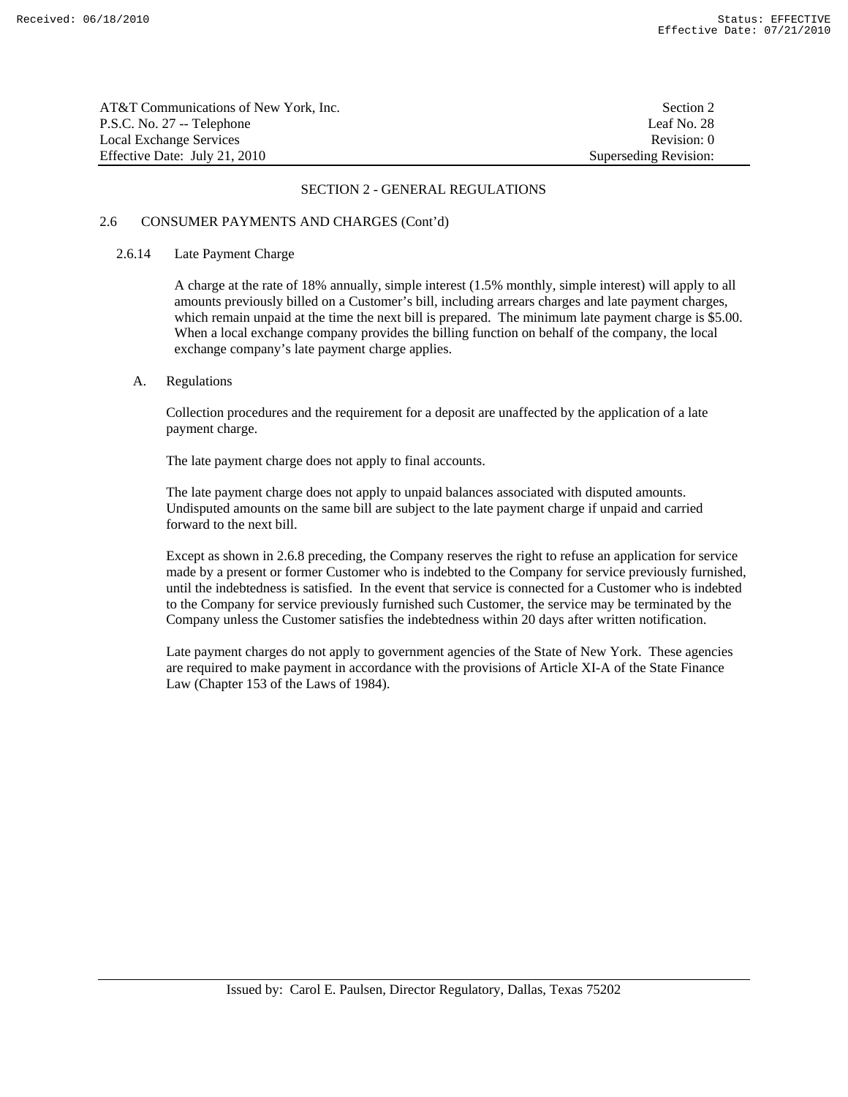| AT&T Communications of New York, Inc. | Section 2             |
|---------------------------------------|-----------------------|
| P.S.C. No. 27 -- Telephone            | Leaf No. 28           |
| Local Exchange Services               | Revision: 0           |
| Effective Date: July 21, 2010         | Superseding Revision: |

# 2.6 CONSUMER PAYMENTS AND CHARGES (Cont'd)

#### 2.6.14 Late Payment Charge

 A charge at the rate of 18% annually, simple interest (1.5% monthly, simple interest) will apply to all amounts previously billed on a Customer's bill, including arrears charges and late payment charges, which remain unpaid at the time the next bill is prepared. The minimum late payment charge is \$5.00. When a local exchange company provides the billing function on behalf of the company, the local exchange company's late payment charge applies.

## A. Regulations

 Collection procedures and the requirement for a deposit are unaffected by the application of a late payment charge.

The late payment charge does not apply to final accounts.

 The late payment charge does not apply to unpaid balances associated with disputed amounts. Undisputed amounts on the same bill are subject to the late payment charge if unpaid and carried forward to the next bill.

 Except as shown in 2.6.8 preceding, the Company reserves the right to refuse an application for service made by a present or former Customer who is indebted to the Company for service previously furnished, until the indebtedness is satisfied. In the event that service is connected for a Customer who is indebted to the Company for service previously furnished such Customer, the service may be terminated by the Company unless the Customer satisfies the indebtedness within 20 days after written notification.

 Late payment charges do not apply to government agencies of the State of New York. These agencies are required to make payment in accordance with the provisions of Article XI-A of the State Finance Law (Chapter 153 of the Laws of 1984).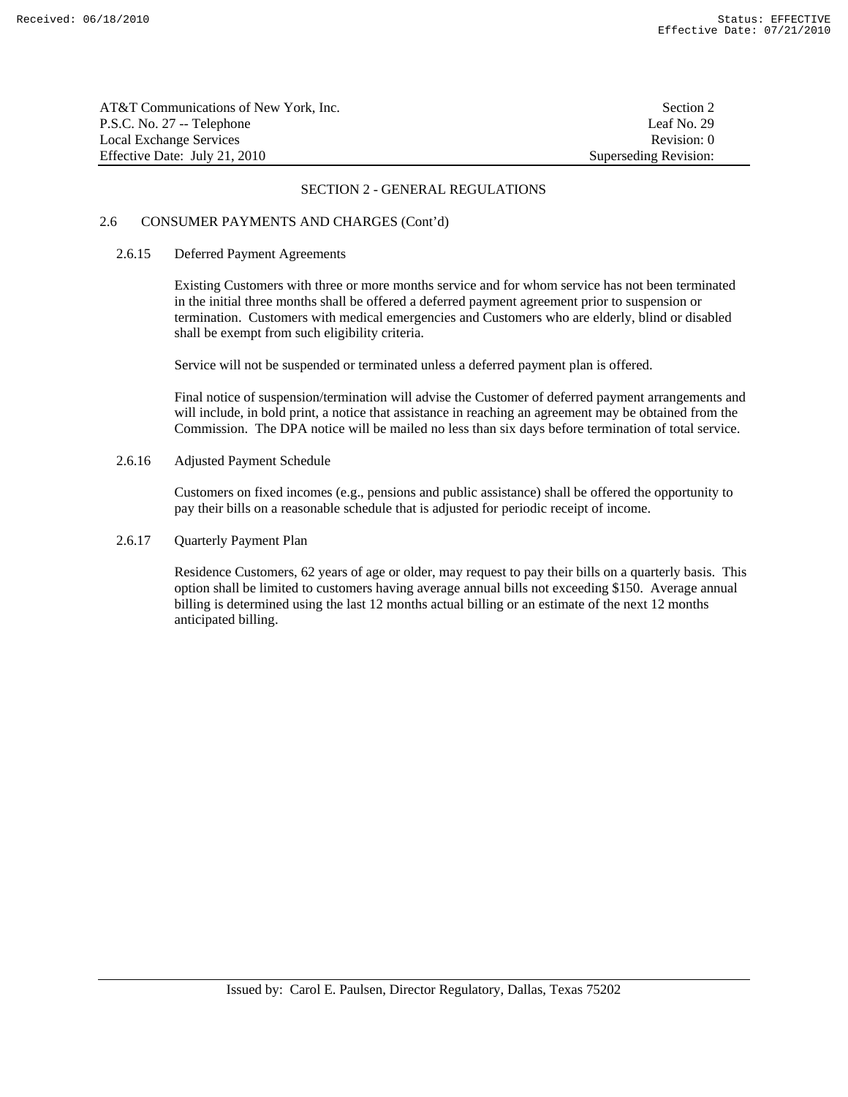| AT&T Communications of New York, Inc. | Section 2             |
|---------------------------------------|-----------------------|
| P.S.C. No. 27 -- Telephone            | Leaf No. 29           |
| Local Exchange Services               | Revision: 0           |
| Effective Date: July 21, 2010         | Superseding Revision: |

# 2.6 CONSUMER PAYMENTS AND CHARGES (Cont'd)

#### 2.6.15 Deferred Payment Agreements

 Existing Customers with three or more months service and for whom service has not been terminated in the initial three months shall be offered a deferred payment agreement prior to suspension or termination. Customers with medical emergencies and Customers who are elderly, blind or disabled shall be exempt from such eligibility criteria.

Service will not be suspended or terminated unless a deferred payment plan is offered.

 Final notice of suspension/termination will advise the Customer of deferred payment arrangements and will include, in bold print, a notice that assistance in reaching an agreement may be obtained from the Commission. The DPA notice will be mailed no less than six days before termination of total service.

2.6.16 Adjusted Payment Schedule

 Customers on fixed incomes (e.g., pensions and public assistance) shall be offered the opportunity to pay their bills on a reasonable schedule that is adjusted for periodic receipt of income.

# 2.6.17 Quarterly Payment Plan

 Residence Customers, 62 years of age or older, may request to pay their bills on a quarterly basis. This option shall be limited to customers having average annual bills not exceeding \$150. Average annual billing is determined using the last 12 months actual billing or an estimate of the next 12 months anticipated billing.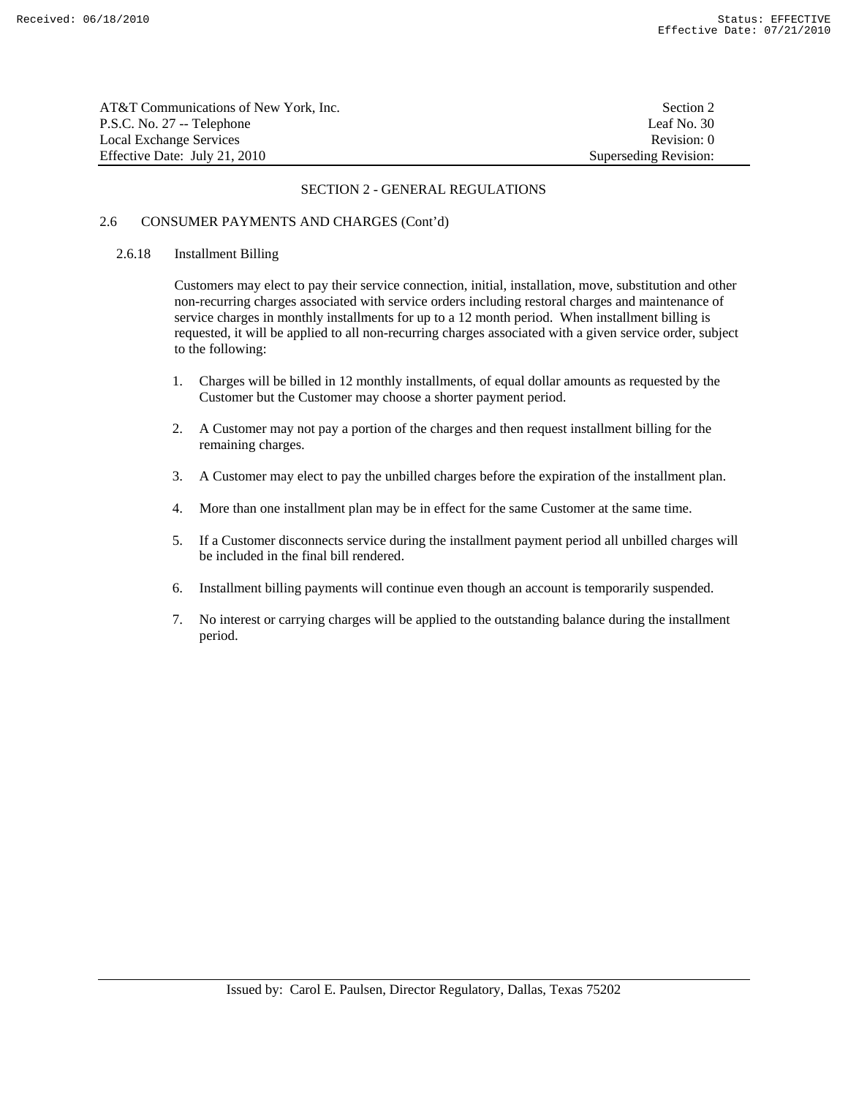| AT&T Communications of New York. Inc. | Section 2             |
|---------------------------------------|-----------------------|
| P.S.C. No. 27 -- Telephone            | Leaf No. 30           |
| Local Exchange Services               | Revision: 0           |
| Effective Date: July 21, 2010         | Superseding Revision: |

# 2.6 CONSUMER PAYMENTS AND CHARGES (Cont'd)

#### 2.6.18 Installment Billing

 Customers may elect to pay their service connection, initial, installation, move, substitution and other non-recurring charges associated with service orders including restoral charges and maintenance of service charges in monthly installments for up to a 12 month period. When installment billing is requested, it will be applied to all non-recurring charges associated with a given service order, subject to the following:

- 1. Charges will be billed in 12 monthly installments, of equal dollar amounts as requested by the Customer but the Customer may choose a shorter payment period.
- 2. A Customer may not pay a portion of the charges and then request installment billing for the remaining charges.
- 3. A Customer may elect to pay the unbilled charges before the expiration of the installment plan.
- 4. More than one installment plan may be in effect for the same Customer at the same time.
- 5. If a Customer disconnects service during the installment payment period all unbilled charges will be included in the final bill rendered.
- 6. Installment billing payments will continue even though an account is temporarily suspended.
- 7. No interest or carrying charges will be applied to the outstanding balance during the installment period.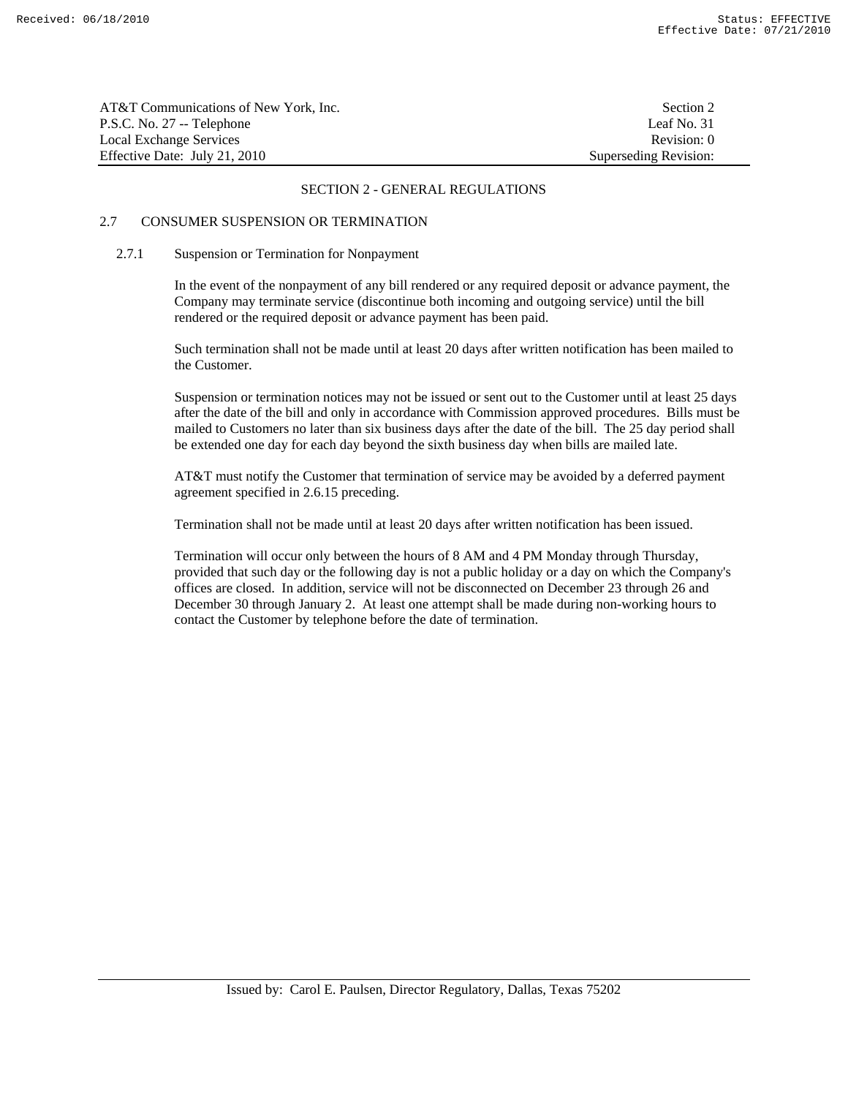| AT&T Communications of New York, Inc. | Section 2             |
|---------------------------------------|-----------------------|
| P.S.C. No. 27 -- Telephone            | Leaf No. 31           |
| Local Exchange Services               | Revision: 0           |
| Effective Date: July 21, 2010         | Superseding Revision: |

# 2.7 CONSUMER SUSPENSION OR TERMINATION

#### 2.7.1 Suspension or Termination for Nonpayment

 In the event of the nonpayment of any bill rendered or any required deposit or advance payment, the Company may terminate service (discontinue both incoming and outgoing service) until the bill rendered or the required deposit or advance payment has been paid.

 Such termination shall not be made until at least 20 days after written notification has been mailed to the Customer.

 Suspension or termination notices may not be issued or sent out to the Customer until at least 25 days after the date of the bill and only in accordance with Commission approved procedures. Bills must be mailed to Customers no later than six business days after the date of the bill. The 25 day period shall be extended one day for each day beyond the sixth business day when bills are mailed late.

 AT&T must notify the Customer that termination of service may be avoided by a deferred payment agreement specified in 2.6.15 preceding.

Termination shall not be made until at least 20 days after written notification has been issued.

 Termination will occur only between the hours of 8 AM and 4 PM Monday through Thursday, provided that such day or the following day is not a public holiday or a day on which the Company's offices are closed. In addition, service will not be disconnected on December 23 through 26 and December 30 through January 2. At least one attempt shall be made during non-working hours to contact the Customer by telephone before the date of termination.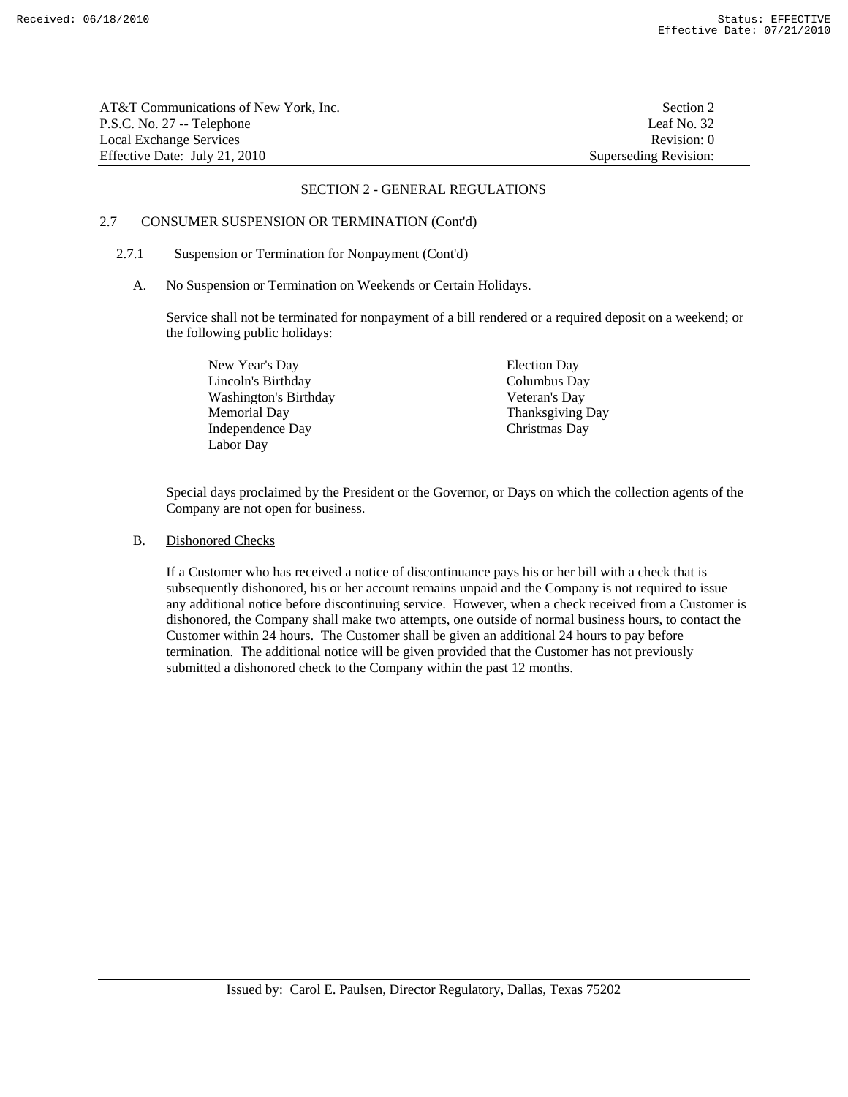| AT&T Communications of New York, Inc. | Section 2             |
|---------------------------------------|-----------------------|
| P.S.C. No. 27 -- Telephone            | Leaf No. 32           |
| Local Exchange Services               | Revision: 0           |
| Effective Date: July 21, 2010         | Superseding Revision: |

# 2.7 CONSUMER SUSPENSION OR TERMINATION (Cont'd)

#### 2.7.1 Suspension or Termination for Nonpayment (Cont'd)

A. No Suspension or Termination on Weekends or Certain Holidays.

 Service shall not be terminated for nonpayment of a bill rendered or a required deposit on a weekend; or the following public holidays:

New Year's Day Election Day Lincoln's Birthday Columbus Day Washington's Birthday Veteran's Day Memorial Day Thanksgiving Day Independence Day Christmas Day Labor Day

 Special days proclaimed by the President or the Governor, or Days on which the collection agents of the Company are not open for business.

B. Dishonored Checks

 If a Customer who has received a notice of discontinuance pays his or her bill with a check that is subsequently dishonored, his or her account remains unpaid and the Company is not required to issue any additional notice before discontinuing service. However, when a check received from a Customer is dishonored, the Company shall make two attempts, one outside of normal business hours, to contact the Customer within 24 hours. The Customer shall be given an additional 24 hours to pay before termination. The additional notice will be given provided that the Customer has not previously submitted a dishonored check to the Company within the past 12 months.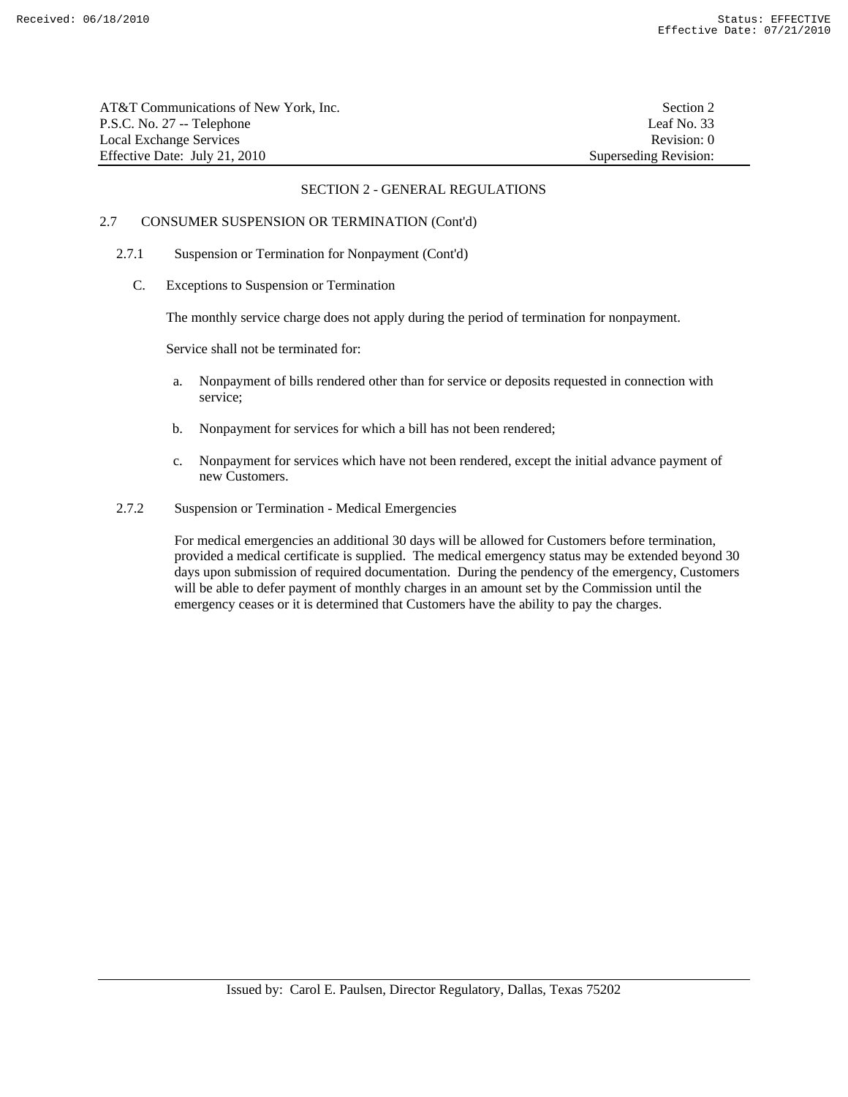| AT&T Communications of New York, Inc. | Section 2             |
|---------------------------------------|-----------------------|
| P.S.C. No. 27 -- Telephone            | Leaf No. 33           |
| Local Exchange Services               | Revision: 0           |
| Effective Date: July 21, 2010         | Superseding Revision: |

# 2.7 CONSUMER SUSPENSION OR TERMINATION (Cont'd)

- 2.7.1 Suspension or Termination for Nonpayment (Cont'd)
	- C. Exceptions to Suspension or Termination

The monthly service charge does not apply during the period of termination for nonpayment.

Service shall not be terminated for:

- a. Nonpayment of bills rendered other than for service or deposits requested in connection with service;
- b. Nonpayment for services for which a bill has not been rendered;
- c. Nonpayment for services which have not been rendered, except the initial advance payment of new Customers.
- 2.7.2 Suspension or Termination Medical Emergencies

 For medical emergencies an additional 30 days will be allowed for Customers before termination, provided a medical certificate is supplied. The medical emergency status may be extended beyond 30 days upon submission of required documentation. During the pendency of the emergency, Customers will be able to defer payment of monthly charges in an amount set by the Commission until the emergency ceases or it is determined that Customers have the ability to pay the charges.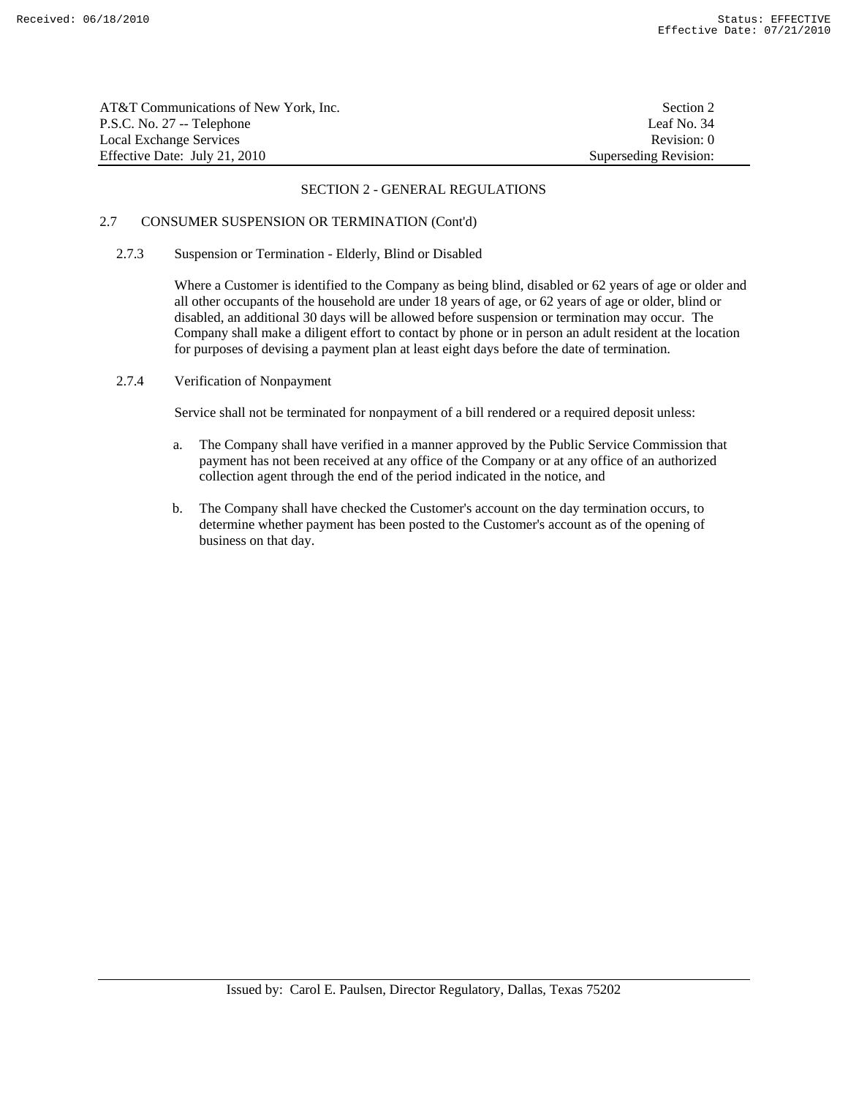| AT&T Communications of New York, Inc. | Section 2             |
|---------------------------------------|-----------------------|
| P.S.C. No. 27 -- Telephone            | Leaf No. 34           |
| Local Exchange Services               | Revision: 0           |
| Effective Date: July 21, 2010         | Superseding Revision: |

# 2.7 CONSUMER SUSPENSION OR TERMINATION (Cont'd)

# 2.7.3 Suspension or Termination - Elderly, Blind or Disabled

 Where a Customer is identified to the Company as being blind, disabled or 62 years of age or older and all other occupants of the household are under 18 years of age, or 62 years of age or older, blind or disabled, an additional 30 days will be allowed before suspension or termination may occur. The Company shall make a diligent effort to contact by phone or in person an adult resident at the location for purposes of devising a payment plan at least eight days before the date of termination.

# 2.7.4 Verification of Nonpayment

Service shall not be terminated for nonpayment of a bill rendered or a required deposit unless:

- a. The Company shall have verified in a manner approved by the Public Service Commission that payment has not been received at any office of the Company or at any office of an authorized collection agent through the end of the period indicated in the notice, and
- b. The Company shall have checked the Customer's account on the day termination occurs, to determine whether payment has been posted to the Customer's account as of the opening of business on that day.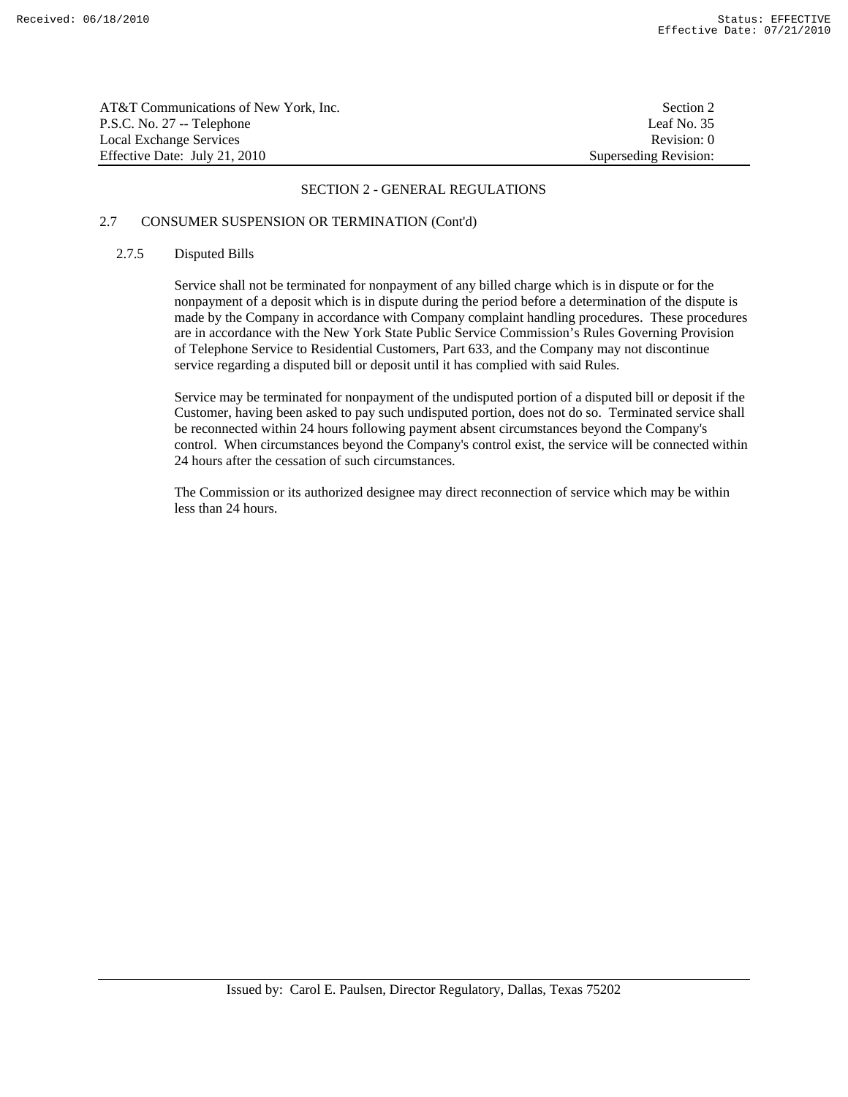| AT&T Communications of New York, Inc. | Section 2             |
|---------------------------------------|-----------------------|
| P.S.C. No. 27 -- Telephone            | Leaf No. 35           |
| Local Exchange Services               | Revision: 0           |
| Effective Date: July 21, 2010         | Superseding Revision: |

# 2.7 CONSUMER SUSPENSION OR TERMINATION (Cont'd)

# 2.7.5 Disputed Bills

 Service shall not be terminated for nonpayment of any billed charge which is in dispute or for the nonpayment of a deposit which is in dispute during the period before a determination of the dispute is made by the Company in accordance with Company complaint handling procedures. These procedures are in accordance with the New York State Public Service Commission's Rules Governing Provision of Telephone Service to Residential Customers, Part 633, and the Company may not discontinue service regarding a disputed bill or deposit until it has complied with said Rules.

 Service may be terminated for nonpayment of the undisputed portion of a disputed bill or deposit if the Customer, having been asked to pay such undisputed portion, does not do so. Terminated service shall be reconnected within 24 hours following payment absent circumstances beyond the Company's control. When circumstances beyond the Company's control exist, the service will be connected within 24 hours after the cessation of such circumstances.

 The Commission or its authorized designee may direct reconnection of service which may be within less than 24 hours.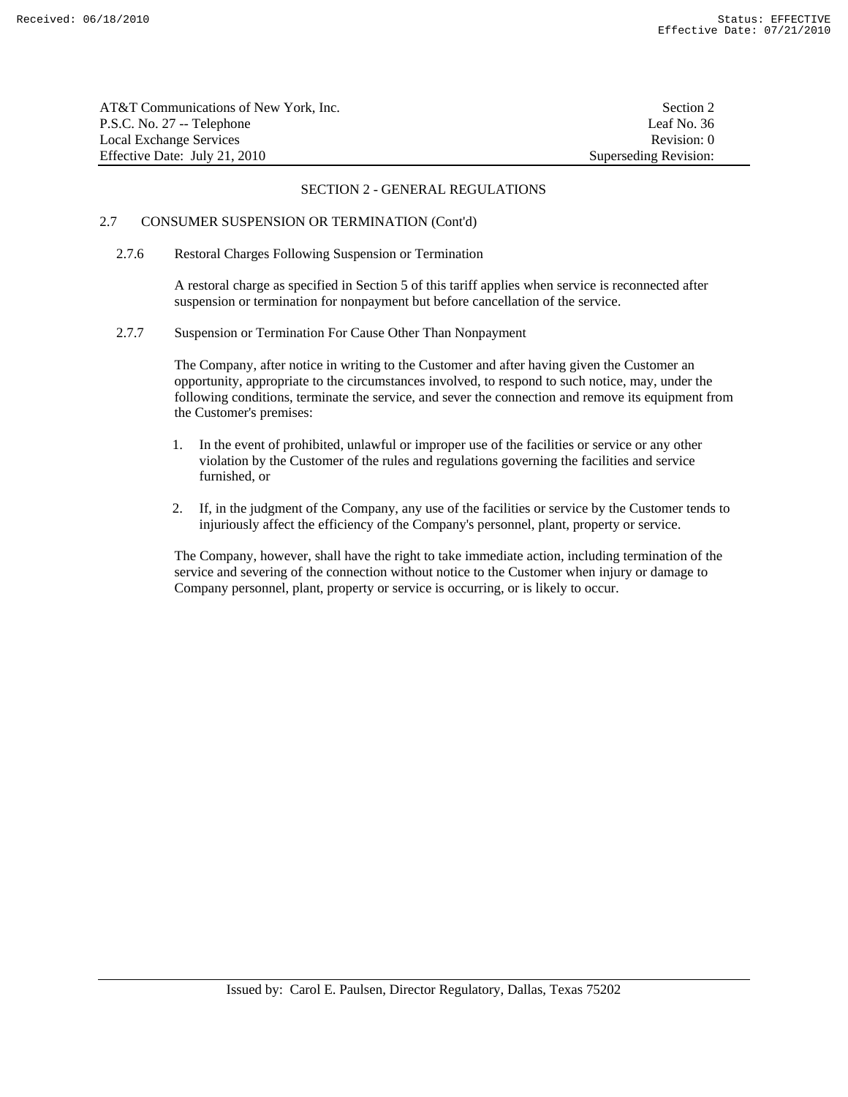| AT&T Communications of New York, Inc. | Section 2             |
|---------------------------------------|-----------------------|
| P.S.C. No. 27 -- Telephone            | Leaf No. 36           |
| Local Exchange Services               | Revision: 0           |
| Effective Date: July 21, 2010         | Superseding Revision: |

# 2.7 CONSUMER SUSPENSION OR TERMINATION (Cont'd)

2.7.6 Restoral Charges Following Suspension or Termination

 A restoral charge as specified in Section 5 of this tariff applies when service is reconnected after suspension or termination for nonpayment but before cancellation of the service.

2.7.7 Suspension or Termination For Cause Other Than Nonpayment

 The Company, after notice in writing to the Customer and after having given the Customer an opportunity, appropriate to the circumstances involved, to respond to such notice, may, under the following conditions, terminate the service, and sever the connection and remove its equipment from the Customer's premises:

- 1. In the event of prohibited, unlawful or improper use of the facilities or service or any other violation by the Customer of the rules and regulations governing the facilities and service furnished, or
- 2. If, in the judgment of the Company, any use of the facilities or service by the Customer tends to injuriously affect the efficiency of the Company's personnel, plant, property or service.

 The Company, however, shall have the right to take immediate action, including termination of the service and severing of the connection without notice to the Customer when injury or damage to Company personnel, plant, property or service is occurring, or is likely to occur.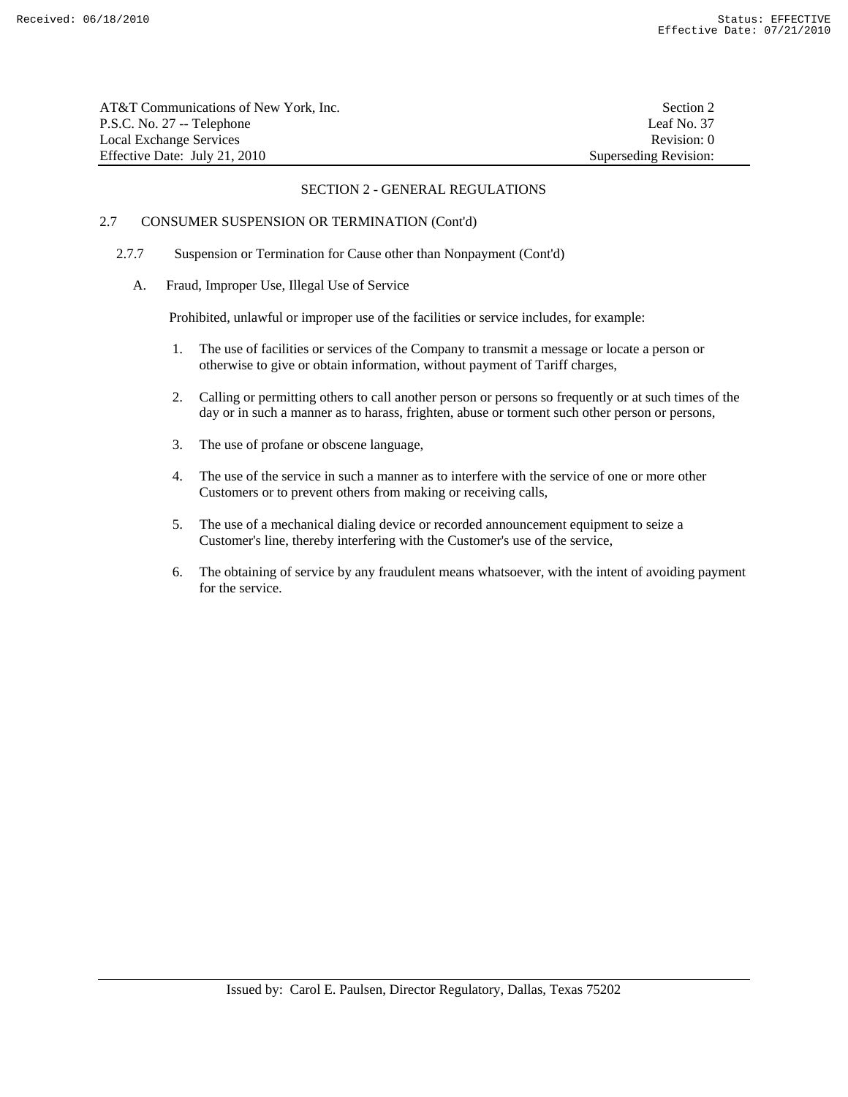| AT&T Communications of New York, Inc. | Section 2             |
|---------------------------------------|-----------------------|
| P.S.C. No. 27 -- Telephone            | Leaf No. 37           |
| Local Exchange Services               | Revision: 0           |
| Effective Date: July 21, 2010         | Superseding Revision: |

# 2.7 CONSUMER SUSPENSION OR TERMINATION (Cont'd)

- 2.7.7 Suspension or Termination for Cause other than Nonpayment (Cont'd)
	- A. Fraud, Improper Use, Illegal Use of Service

Prohibited, unlawful or improper use of the facilities or service includes, for example:

- 1. The use of facilities or services of the Company to transmit a message or locate a person or otherwise to give or obtain information, without payment of Tariff charges,
- 2. Calling or permitting others to call another person or persons so frequently or at such times of the day or in such a manner as to harass, frighten, abuse or torment such other person or persons,
- 3. The use of profane or obscene language,
- 4. The use of the service in such a manner as to interfere with the service of one or more other Customers or to prevent others from making or receiving calls,
- 5. The use of a mechanical dialing device or recorded announcement equipment to seize a Customer's line, thereby interfering with the Customer's use of the service,
- 6. The obtaining of service by any fraudulent means whatsoever, with the intent of avoiding payment for the service.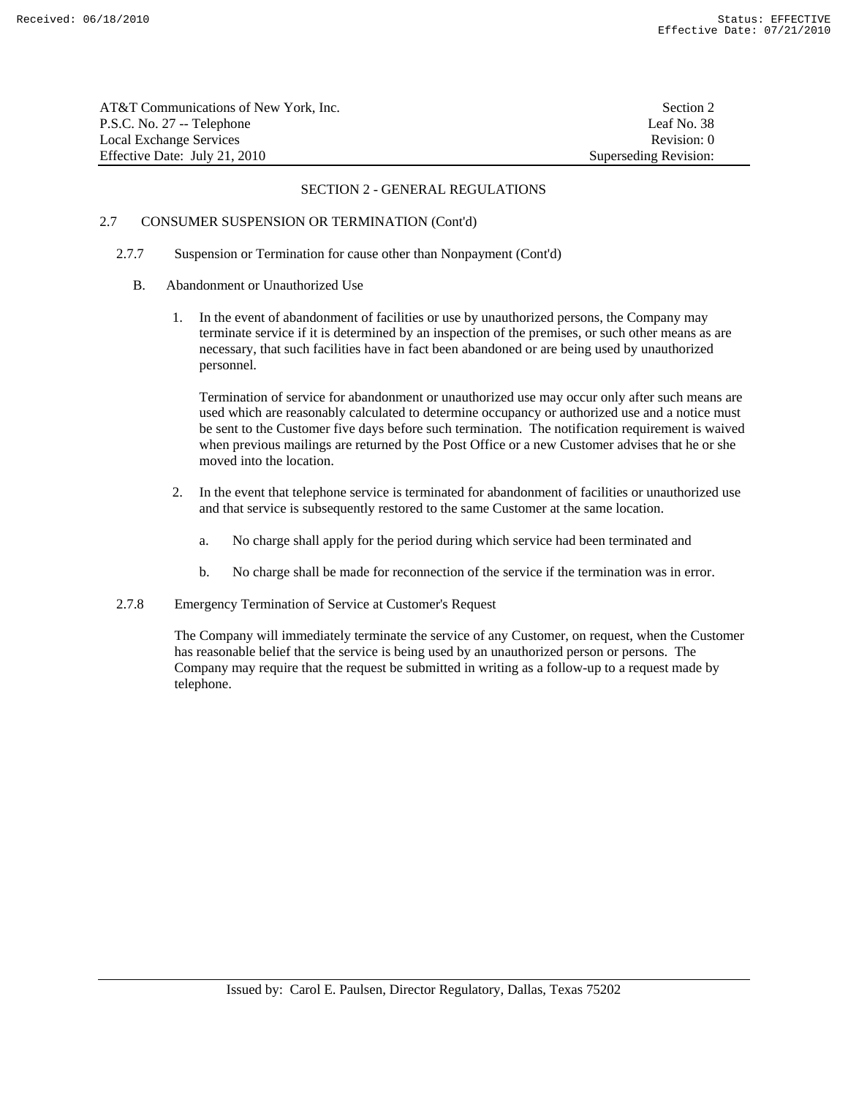| AT&T Communications of New York, Inc. | Section 2             |
|---------------------------------------|-----------------------|
| P.S.C. No. 27 -- Telephone            | Leaf No. 38           |
| Local Exchange Services               | Revision: 0           |
| Effective Date: July 21, 2010         | Superseding Revision: |

# 2.7 CONSUMER SUSPENSION OR TERMINATION (Cont'd)

- 2.7.7 Suspension or Termination for cause other than Nonpayment (Cont'd)
	- B. Abandonment or Unauthorized Use
		- 1. In the event of abandonment of facilities or use by unauthorized persons, the Company may terminate service if it is determined by an inspection of the premises, or such other means as are necessary, that such facilities have in fact been abandoned or are being used by unauthorized personnel.

 Termination of service for abandonment or unauthorized use may occur only after such means are used which are reasonably calculated to determine occupancy or authorized use and a notice must be sent to the Customer five days before such termination. The notification requirement is waived when previous mailings are returned by the Post Office or a new Customer advises that he or she moved into the location.

- 2. In the event that telephone service is terminated for abandonment of facilities or unauthorized use and that service is subsequently restored to the same Customer at the same location.
	- a. No charge shall apply for the period during which service had been terminated and
	- b. No charge shall be made for reconnection of the service if the termination was in error.
- 2.7.8 Emergency Termination of Service at Customer's Request

 The Company will immediately terminate the service of any Customer, on request, when the Customer has reasonable belief that the service is being used by an unauthorized person or persons. The Company may require that the request be submitted in writing as a follow-up to a request made by telephone.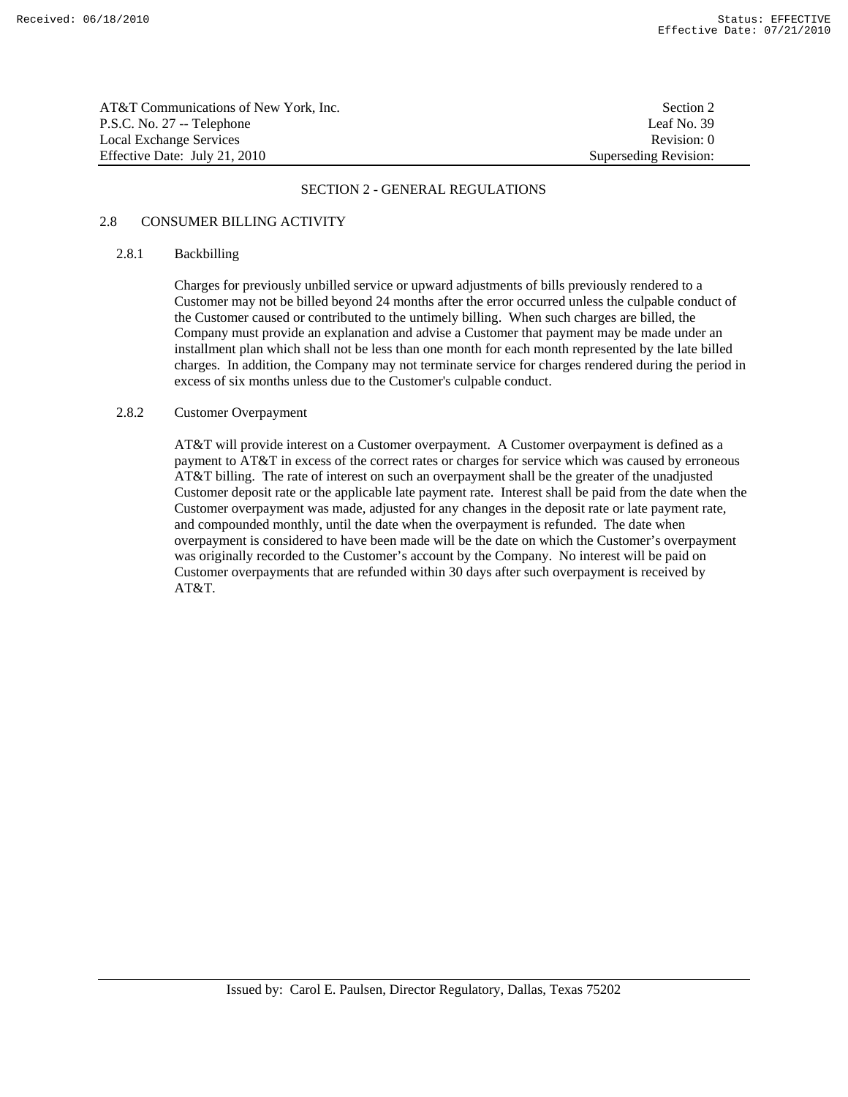AT&T Communications of New York, Inc. Section 2 P.S.C. No. 27 -- Telephone Leaf No. 39 Local Exchange Services **Revision:** 0 Effective Date: July 21, 2010 Superseding Revision:

#### SECTION 2 - GENERAL REGULATIONS

# 2.8 CONSUMER BILLING ACTIVITY

# 2.8.1 Backbilling

 Charges for previously unbilled service or upward adjustments of bills previously rendered to a Customer may not be billed beyond 24 months after the error occurred unless the culpable conduct of the Customer caused or contributed to the untimely billing. When such charges are billed, the Company must provide an explanation and advise a Customer that payment may be made under an installment plan which shall not be less than one month for each month represented by the late billed charges. In addition, the Company may not terminate service for charges rendered during the period in excess of six months unless due to the Customer's culpable conduct.

#### 2.8.2 Customer Overpayment

 AT&T will provide interest on a Customer overpayment. A Customer overpayment is defined as a payment to AT&T in excess of the correct rates or charges for service which was caused by erroneous AT&T billing. The rate of interest on such an overpayment shall be the greater of the unadjusted Customer deposit rate or the applicable late payment rate. Interest shall be paid from the date when the Customer overpayment was made, adjusted for any changes in the deposit rate or late payment rate, and compounded monthly, until the date when the overpayment is refunded. The date when overpayment is considered to have been made will be the date on which the Customer's overpayment was originally recorded to the Customer's account by the Company. No interest will be paid on Customer overpayments that are refunded within 30 days after such overpayment is received by AT&T.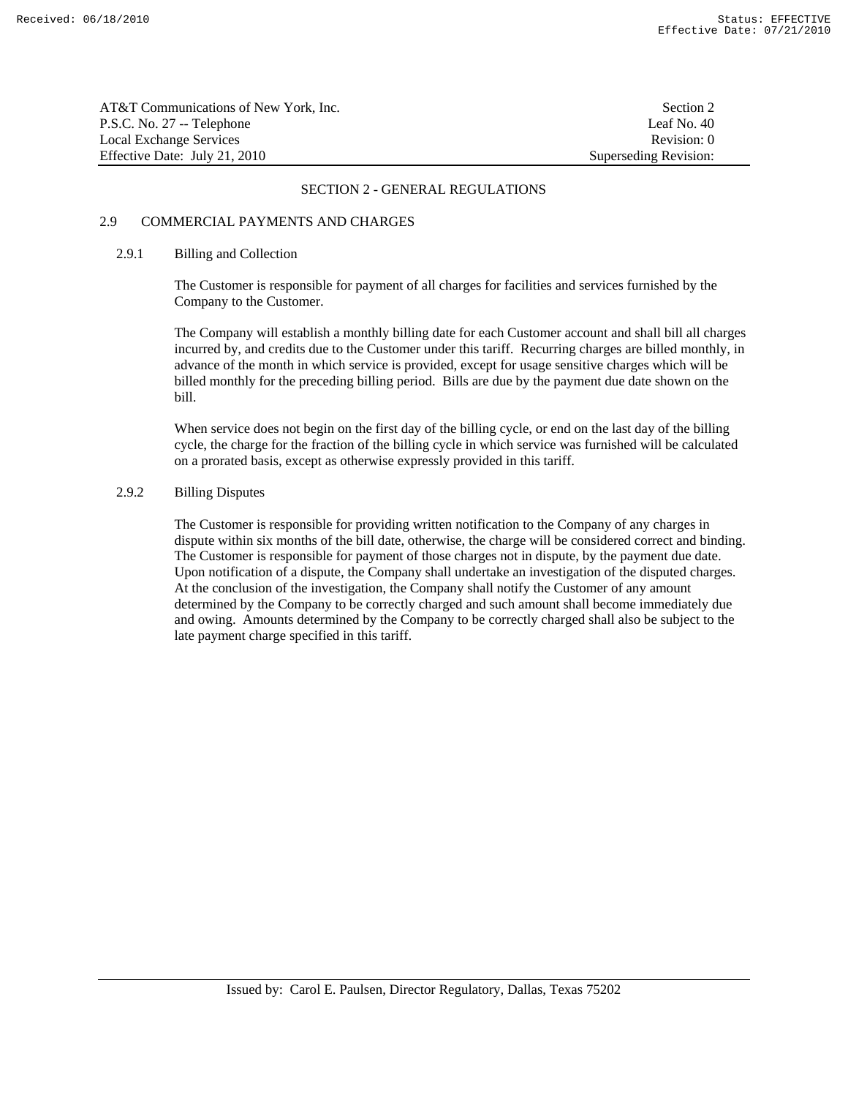| AT&T Communications of New York. Inc. | Section 2             |
|---------------------------------------|-----------------------|
| P.S.C. No. 27 -- Telephone            | Leaf No. 40           |
| Local Exchange Services               | Revision: 0           |
| Effective Date: July 21, 2010         | Superseding Revision: |

# 2.9 COMMERCIAL PAYMENTS AND CHARGES

#### 2.9.1 Billing and Collection

 The Customer is responsible for payment of all charges for facilities and services furnished by the Company to the Customer.

 The Company will establish a monthly billing date for each Customer account and shall bill all charges incurred by, and credits due to the Customer under this tariff. Recurring charges are billed monthly, in advance of the month in which service is provided, except for usage sensitive charges which will be billed monthly for the preceding billing period. Bills are due by the payment due date shown on the bill.

 When service does not begin on the first day of the billing cycle, or end on the last day of the billing cycle, the charge for the fraction of the billing cycle in which service was furnished will be calculated on a prorated basis, except as otherwise expressly provided in this tariff.

# 2.9.2 Billing Disputes

 The Customer is responsible for providing written notification to the Company of any charges in dispute within six months of the bill date, otherwise, the charge will be considered correct and binding. The Customer is responsible for payment of those charges not in dispute, by the payment due date. Upon notification of a dispute, the Company shall undertake an investigation of the disputed charges. At the conclusion of the investigation, the Company shall notify the Customer of any amount determined by the Company to be correctly charged and such amount shall become immediately due and owing. Amounts determined by the Company to be correctly charged shall also be subject to the late payment charge specified in this tariff.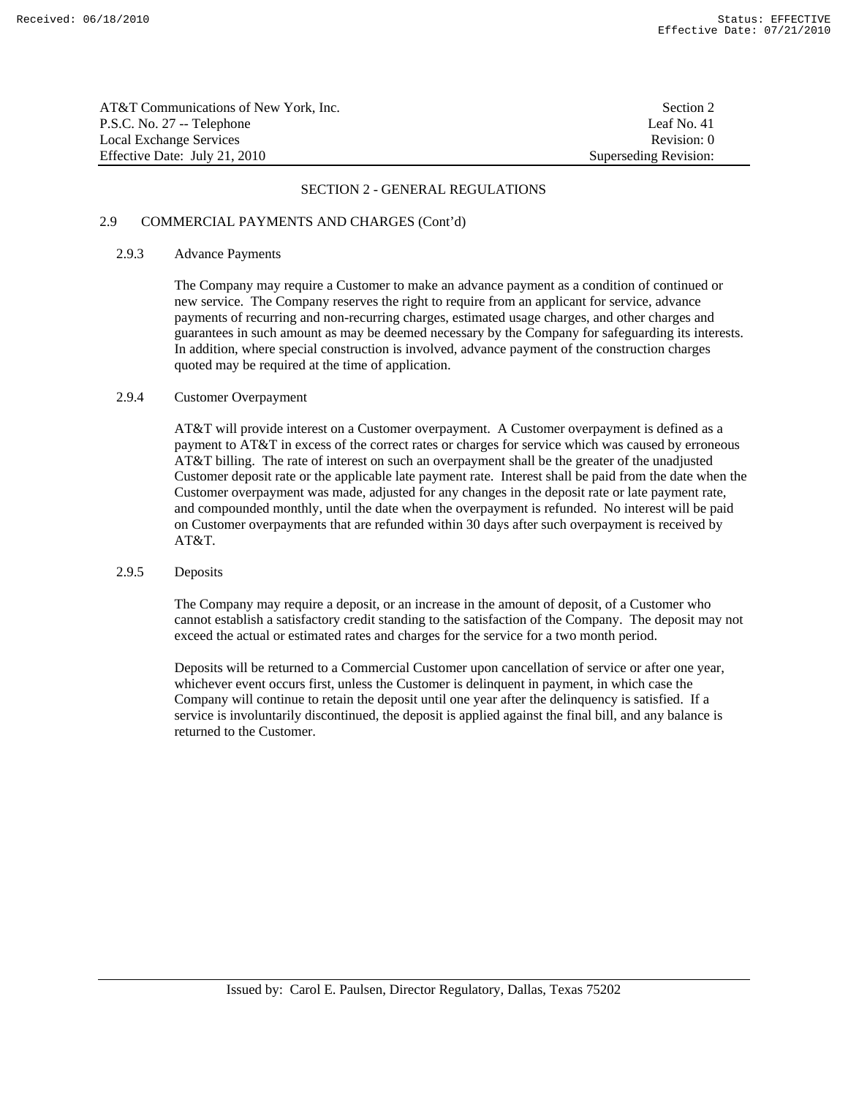| AT&T Communications of New York, Inc. | Section 2             |
|---------------------------------------|-----------------------|
| P.S.C. No. 27 -- Telephone            | Leaf No. 41           |
| Local Exchange Services               | Revision: 0           |
| Effective Date: July 21, 2010         | Superseding Revision: |

# 2.9 COMMERCIAL PAYMENTS AND CHARGES (Cont'd)

# 2.9.3 Advance Payments

 The Company may require a Customer to make an advance payment as a condition of continued or new service. The Company reserves the right to require from an applicant for service, advance payments of recurring and non-recurring charges, estimated usage charges, and other charges and guarantees in such amount as may be deemed necessary by the Company for safeguarding its interests. In addition, where special construction is involved, advance payment of the construction charges quoted may be required at the time of application.

# 2.9.4 Customer Overpayment

 AT&T will provide interest on a Customer overpayment. A Customer overpayment is defined as a payment to AT&T in excess of the correct rates or charges for service which was caused by erroneous AT&T billing. The rate of interest on such an overpayment shall be the greater of the unadjusted Customer deposit rate or the applicable late payment rate. Interest shall be paid from the date when the Customer overpayment was made, adjusted for any changes in the deposit rate or late payment rate, and compounded monthly, until the date when the overpayment is refunded. No interest will be paid on Customer overpayments that are refunded within 30 days after such overpayment is received by AT&T.

# 2.9.5 Deposits

 The Company may require a deposit, or an increase in the amount of deposit, of a Customer who cannot establish a satisfactory credit standing to the satisfaction of the Company. The deposit may not exceed the actual or estimated rates and charges for the service for a two month period.

 Deposits will be returned to a Commercial Customer upon cancellation of service or after one year, whichever event occurs first, unless the Customer is delinquent in payment, in which case the Company will continue to retain the deposit until one year after the delinquency is satisfied. If a service is involuntarily discontinued, the deposit is applied against the final bill, and any balance is returned to the Customer.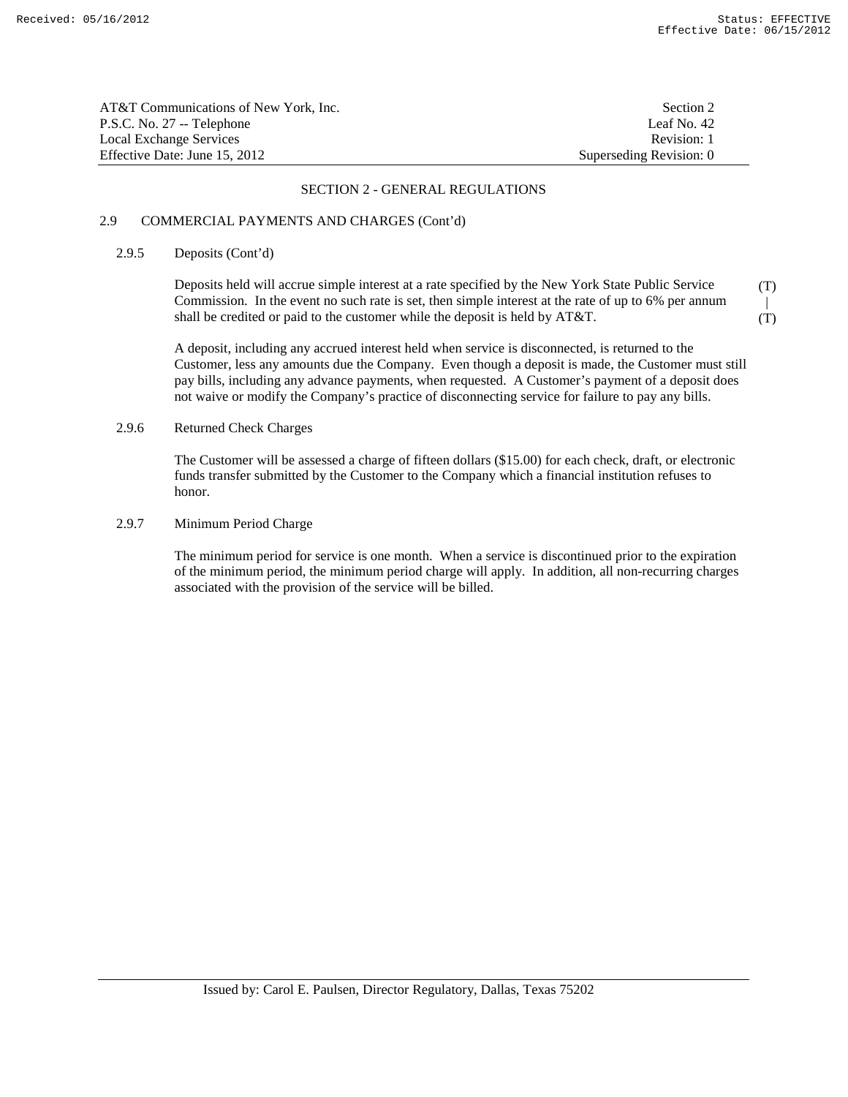| AT&T Communications of New York, Inc. | Section 2               |
|---------------------------------------|-------------------------|
| P.S.C. No. 27 -- Telephone            | Leaf No. $42$           |
| Local Exchange Services               | Revision: 1             |
| Effective Date: June 15, 2012         | Superseding Revision: 0 |

# 2.9 COMMERCIAL PAYMENTS AND CHARGES (Cont'd)

# 2.9.5 Deposits (Cont'd)

 Deposits held will accrue simple interest at a rate specified by the New York State Public Service Commission. In the event no such rate is set, then simple interest at the rate of up to 6% per annum shall be credited or paid to the customer while the deposit is held by AT&T. (T)  $\mathbb{R}$ (T)

 A deposit, including any accrued interest held when service is disconnected, is returned to the Customer, less any amounts due the Company. Even though a deposit is made, the Customer must still pay bills, including any advance payments, when requested. A Customer's payment of a deposit does not waive or modify the Company's practice of disconnecting service for failure to pay any bills.

# 2.9.6 Returned Check Charges

 The Customer will be assessed a charge of fifteen dollars (\$15.00) for each check, draft, or electronic funds transfer submitted by the Customer to the Company which a financial institution refuses to honor.

# 2.9.7 Minimum Period Charge

 The minimum period for service is one month. When a service is discontinued prior to the expiration of the minimum period, the minimum period charge will apply. In addition, all non-recurring charges associated with the provision of the service will be billed.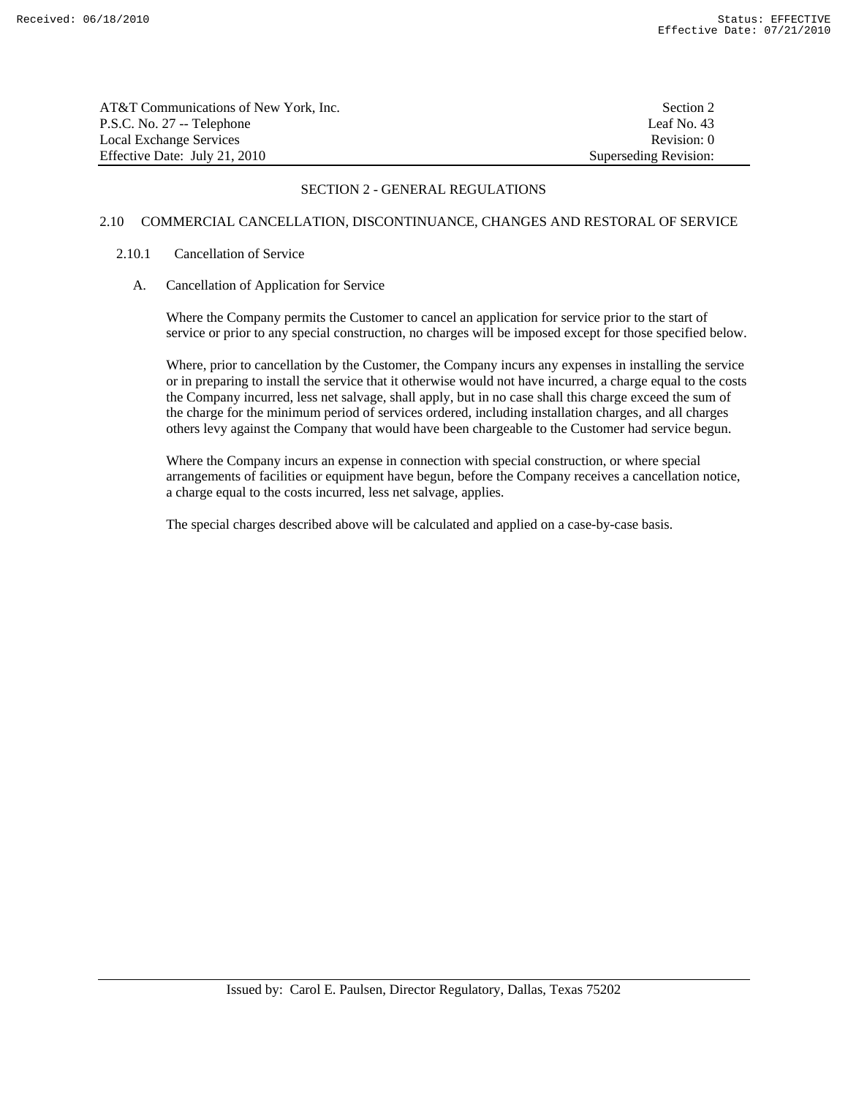| AT&T Communications of New York. Inc. | Section 2             |
|---------------------------------------|-----------------------|
| P.S.C. No. 27 -- Telephone            | Leaf No. 43           |
| Local Exchange Services               | Revision: 0           |
| Effective Date: July 21, 2010         | Superseding Revision: |

# 2.10 COMMERCIAL CANCELLATION, DISCONTINUANCE, CHANGES AND RESTORAL OF SERVICE

# 2.10.1 Cancellation of Service

# A. Cancellation of Application for Service

 Where the Company permits the Customer to cancel an application for service prior to the start of service or prior to any special construction, no charges will be imposed except for those specified below.

 Where, prior to cancellation by the Customer, the Company incurs any expenses in installing the service or in preparing to install the service that it otherwise would not have incurred, a charge equal to the costs the Company incurred, less net salvage, shall apply, but in no case shall this charge exceed the sum of the charge for the minimum period of services ordered, including installation charges, and all charges others levy against the Company that would have been chargeable to the Customer had service begun.

 Where the Company incurs an expense in connection with special construction, or where special arrangements of facilities or equipment have begun, before the Company receives a cancellation notice, a charge equal to the costs incurred, less net salvage, applies.

The special charges described above will be calculated and applied on a case-by-case basis.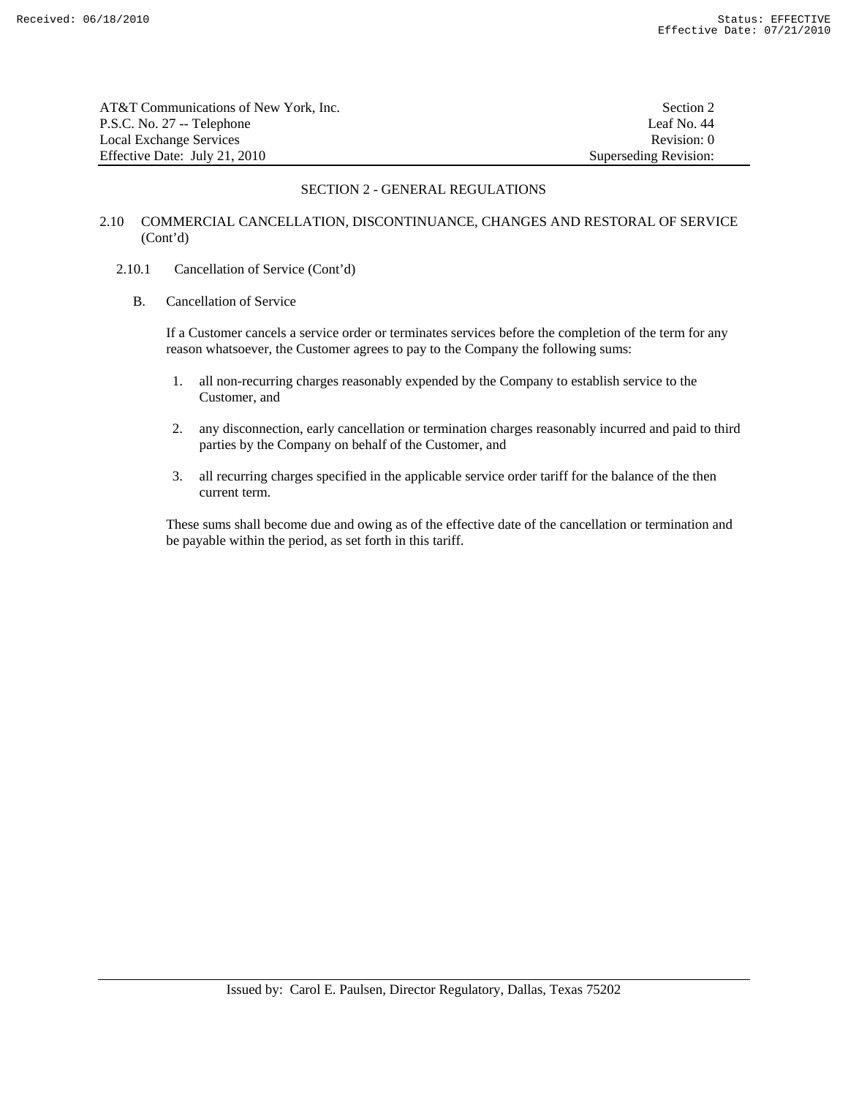| AT&T Communications of New York. Inc. | Section 2             |
|---------------------------------------|-----------------------|
| P.S.C. No. 27 -- Telephone            | Leaf No. 44           |
| Local Exchange Services               | Revision: 0           |
| Effective Date: July 21, 2010         | Superseding Revision: |

# 2.10 COMMERCIAL CANCELLATION, DISCONTINUANCE, CHANGES AND RESTORAL OF SERVICE (Cont'd)

# 2.10.1 Cancellation of Service (Cont'd)

B. Cancellation of Service

 If a Customer cancels a service order or terminates services before the completion of the term for any reason whatsoever, the Customer agrees to pay to the Company the following sums:

- 1. all non-recurring charges reasonably expended by the Company to establish service to the Customer, and
- 2. any disconnection, early cancellation or termination charges reasonably incurred and paid to third parties by the Company on behalf of the Customer, and
- 3. all recurring charges specified in the applicable service order tariff for the balance of the then current term.

 These sums shall become due and owing as of the effective date of the cancellation or termination and be payable within the period, as set forth in this tariff.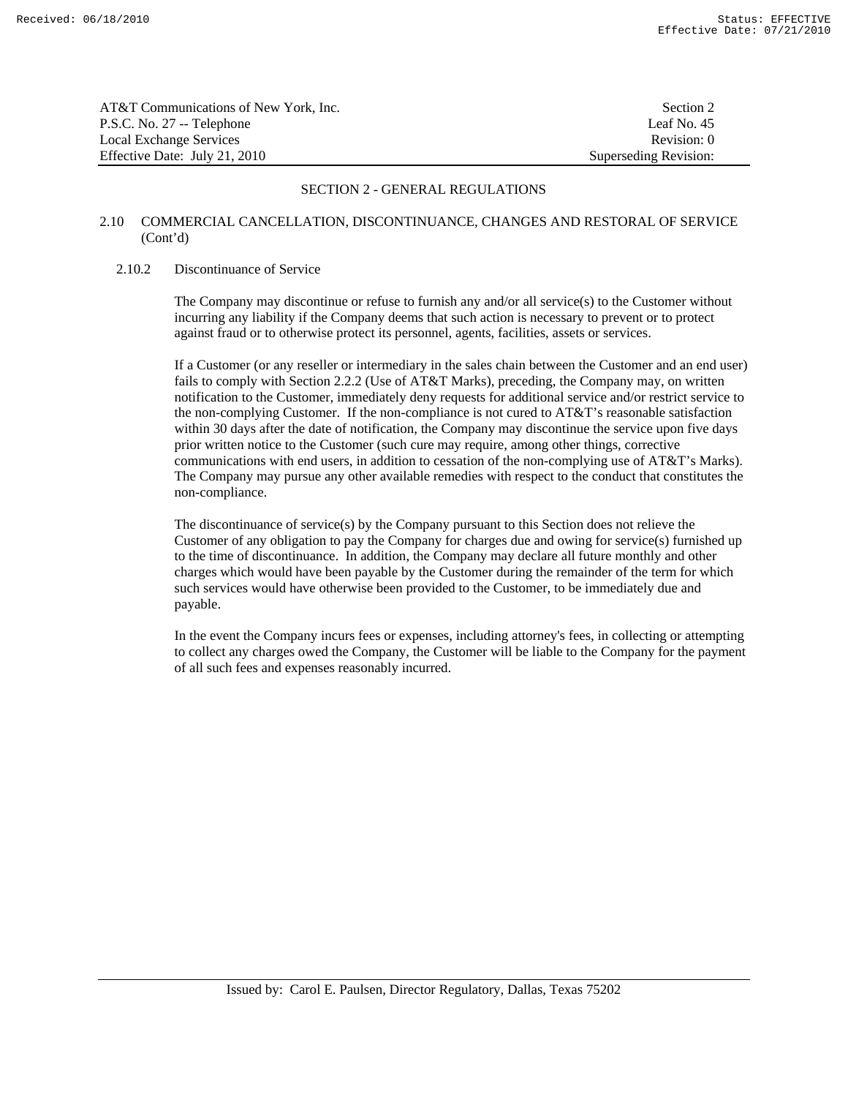| AT&T Communications of New York. Inc. | Section 2             |
|---------------------------------------|-----------------------|
| P.S.C. No. 27 -- Telephone            | Leaf No. 45           |
| Local Exchange Services               | Revision: 0           |
| Effective Date: July 21, 2010         | Superseding Revision: |

# 2.10 COMMERCIAL CANCELLATION, DISCONTINUANCE, CHANGES AND RESTORAL OF SERVICE (Cont'd)

#### 2.10.2 Discontinuance of Service

 The Company may discontinue or refuse to furnish any and/or all service(s) to the Customer without incurring any liability if the Company deems that such action is necessary to prevent or to protect against fraud or to otherwise protect its personnel, agents, facilities, assets or services.

 If a Customer (or any reseller or intermediary in the sales chain between the Customer and an end user) fails to comply with Section 2.2.2 (Use of AT&T Marks), preceding, the Company may, on written notification to the Customer, immediately deny requests for additional service and/or restrict service to the non-complying Customer. If the non-compliance is not cured to AT&T's reasonable satisfaction within 30 days after the date of notification, the Company may discontinue the service upon five days prior written notice to the Customer (such cure may require, among other things, corrective communications with end users, in addition to cessation of the non-complying use of AT&T's Marks). The Company may pursue any other available remedies with respect to the conduct that constitutes the non-compliance.

 The discontinuance of service(s) by the Company pursuant to this Section does not relieve the Customer of any obligation to pay the Company for charges due and owing for service(s) furnished up to the time of discontinuance. In addition, the Company may declare all future monthly and other charges which would have been payable by the Customer during the remainder of the term for which such services would have otherwise been provided to the Customer, to be immediately due and payable.

 In the event the Company incurs fees or expenses, including attorney's fees, in collecting or attempting to collect any charges owed the Company, the Customer will be liable to the Company for the payment of all such fees and expenses reasonably incurred.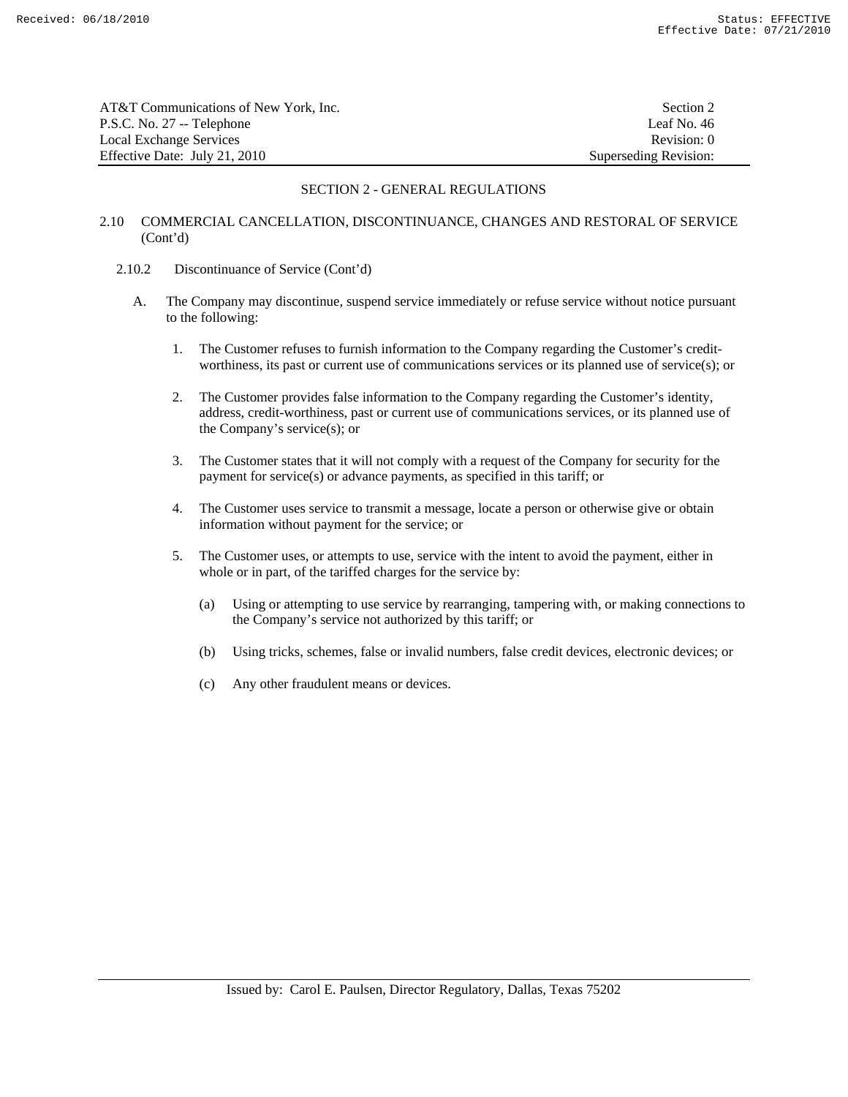| AT&T Communications of New York, Inc. | Section 2             |
|---------------------------------------|-----------------------|
| P.S.C. No. 27 -- Telephone            | Leaf No. 46           |
| Local Exchange Services               | Revision: 0           |
| Effective Date: July 21, 2010         | Superseding Revision: |

# 2.10 COMMERCIAL CANCELLATION, DISCONTINUANCE, CHANGES AND RESTORAL OF SERVICE (Cont'd)

- 2.10.2 Discontinuance of Service (Cont'd)
	- A. The Company may discontinue, suspend service immediately or refuse service without notice pursuant to the following:
		- 1. The Customer refuses to furnish information to the Company regarding the Customer's creditworthiness, its past or current use of communications services or its planned use of service(s); or
		- 2. The Customer provides false information to the Company regarding the Customer's identity, address, credit-worthiness, past or current use of communications services, or its planned use of the Company's service(s); or
		- 3. The Customer states that it will not comply with a request of the Company for security for the payment for service(s) or advance payments, as specified in this tariff; or
		- 4. The Customer uses service to transmit a message, locate a person or otherwise give or obtain information without payment for the service; or
		- 5. The Customer uses, or attempts to use, service with the intent to avoid the payment, either in whole or in part, of the tariffed charges for the service by:
			- (a) Using or attempting to use service by rearranging, tampering with, or making connections to the Company's service not authorized by this tariff; or
			- (b) Using tricks, schemes, false or invalid numbers, false credit devices, electronic devices; or
			- (c) Any other fraudulent means or devices.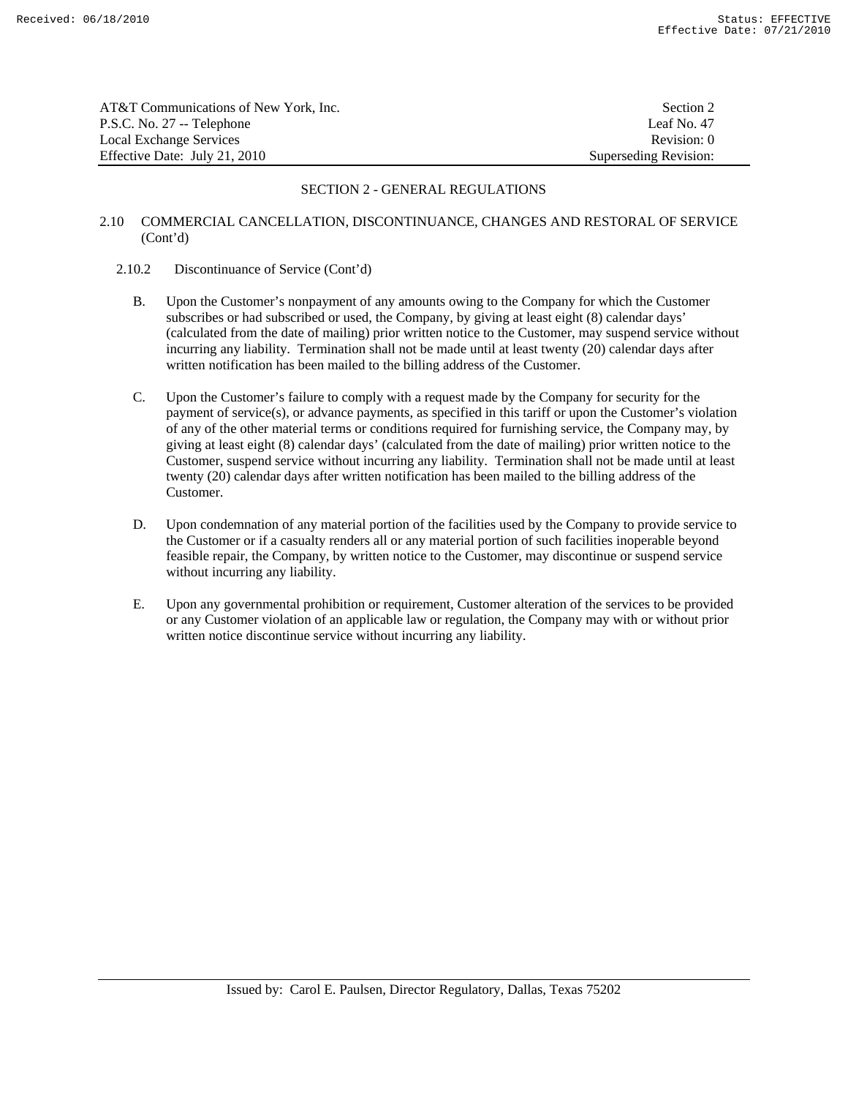| AT&T Communications of New York. Inc. | Section 2             |
|---------------------------------------|-----------------------|
| P.S.C. No. 27 -- Telephone            | Leaf No. 47           |
| Local Exchange Services               | Revision: 0           |
| Effective Date: July 21, 2010         | Superseding Revision: |

# 2.10 COMMERCIAL CANCELLATION, DISCONTINUANCE, CHANGES AND RESTORAL OF SERVICE (Cont'd)

#### 2.10.2 Discontinuance of Service (Cont'd)

- B. Upon the Customer's nonpayment of any amounts owing to the Company for which the Customer subscribes or had subscribed or used, the Company, by giving at least eight (8) calendar days' (calculated from the date of mailing) prior written notice to the Customer, may suspend service without incurring any liability. Termination shall not be made until at least twenty (20) calendar days after written notification has been mailed to the billing address of the Customer.
- C. Upon the Customer's failure to comply with a request made by the Company for security for the payment of service(s), or advance payments, as specified in this tariff or upon the Customer's violation of any of the other material terms or conditions required for furnishing service, the Company may, by giving at least eight (8) calendar days' (calculated from the date of mailing) prior written notice to the Customer, suspend service without incurring any liability. Termination shall not be made until at least twenty (20) calendar days after written notification has been mailed to the billing address of the Customer.
- D. Upon condemnation of any material portion of the facilities used by the Company to provide service to the Customer or if a casualty renders all or any material portion of such facilities inoperable beyond feasible repair, the Company, by written notice to the Customer, may discontinue or suspend service without incurring any liability.
- E. Upon any governmental prohibition or requirement, Customer alteration of the services to be provided or any Customer violation of an applicable law or regulation, the Company may with or without prior written notice discontinue service without incurring any liability.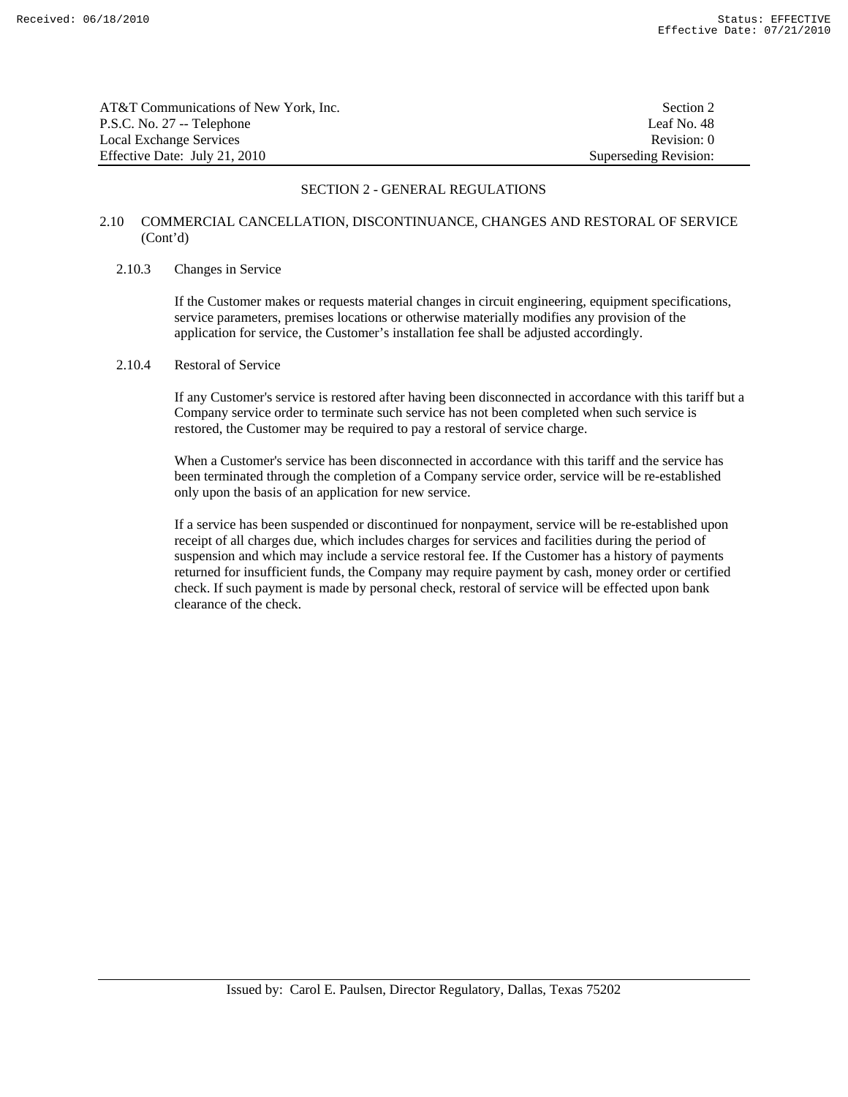| AT&T Communications of New York, Inc. | Section 2             |
|---------------------------------------|-----------------------|
| P.S.C. No. 27 -- Telephone            | Leaf No. 48           |
| Local Exchange Services               | Revision: 0           |
| Effective Date: July 21, 2010         | Superseding Revision: |

# 2.10 COMMERCIAL CANCELLATION, DISCONTINUANCE, CHANGES AND RESTORAL OF SERVICE (Cont'd)

#### 2.10.3 Changes in Service

 If the Customer makes or requests material changes in circuit engineering, equipment specifications, service parameters, premises locations or otherwise materially modifies any provision of the application for service, the Customer's installation fee shall be adjusted accordingly.

# 2.10.4 Restoral of Service

 If any Customer's service is restored after having been disconnected in accordance with this tariff but a Company service order to terminate such service has not been completed when such service is restored, the Customer may be required to pay a restoral of service charge.

 When a Customer's service has been disconnected in accordance with this tariff and the service has been terminated through the completion of a Company service order, service will be re-established only upon the basis of an application for new service.

 If a service has been suspended or discontinued for nonpayment, service will be re-established upon receipt of all charges due, which includes charges for services and facilities during the period of suspension and which may include a service restoral fee. If the Customer has a history of payments returned for insufficient funds, the Company may require payment by cash, money order or certified check. If such payment is made by personal check, restoral of service will be effected upon bank clearance of the check.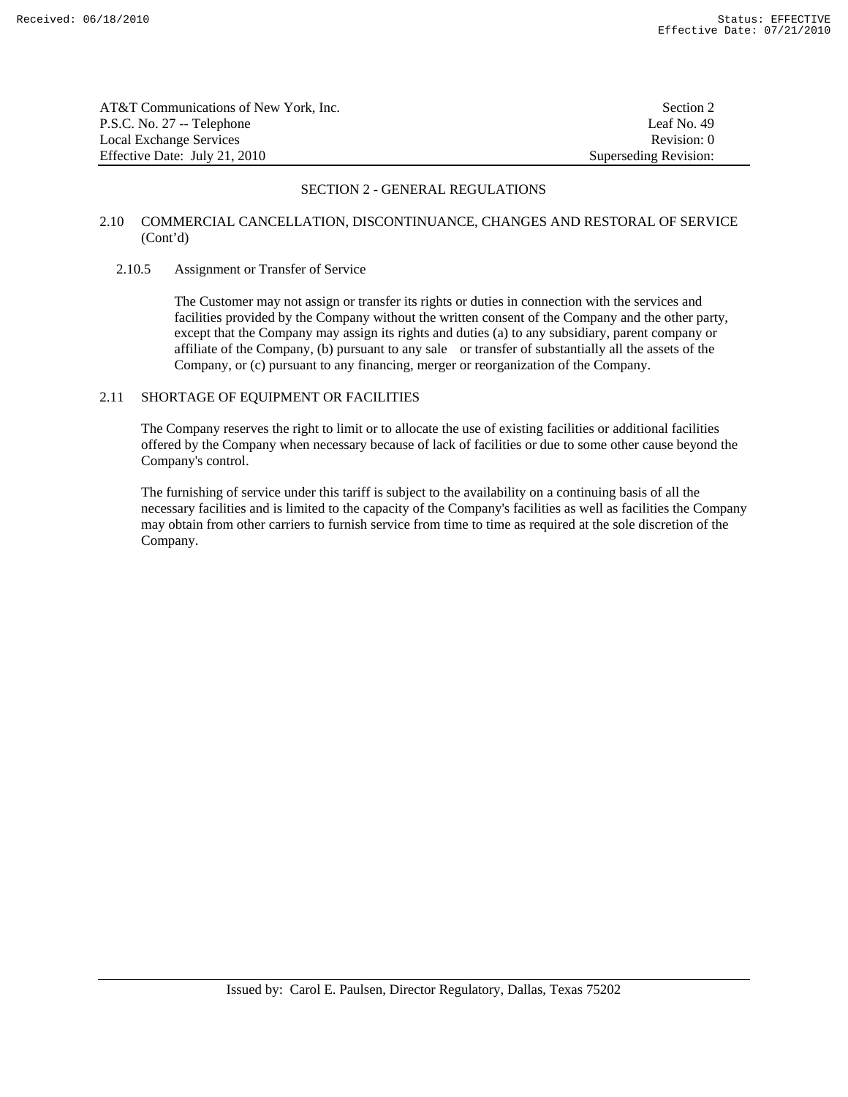| AT&T Communications of New York, Inc. | Section 2             |
|---------------------------------------|-----------------------|
| P.S.C. No. 27 -- Telephone            | Leaf No. 49           |
| Local Exchange Services               | Revision: 0           |
| Effective Date: July 21, 2010         | Superseding Revision: |

# 2.10 COMMERCIAL CANCELLATION, DISCONTINUANCE, CHANGES AND RESTORAL OF SERVICE (Cont'd)

#### 2.10.5 Assignment or Transfer of Service

 The Customer may not assign or transfer its rights or duties in connection with the services and facilities provided by the Company without the written consent of the Company and the other party, except that the Company may assign its rights and duties (a) to any subsidiary, parent company or affiliate of the Company, (b) pursuant to any sale or transfer of substantially all the assets of the Company, or (c) pursuant to any financing, merger or reorganization of the Company.

# 2.11 SHORTAGE OF EQUIPMENT OR FACILITIES

 The Company reserves the right to limit or to allocate the use of existing facilities or additional facilities offered by the Company when necessary because of lack of facilities or due to some other cause beyond the Company's control.

 The furnishing of service under this tariff is subject to the availability on a continuing basis of all the necessary facilities and is limited to the capacity of the Company's facilities as well as facilities the Company may obtain from other carriers to furnish service from time to time as required at the sole discretion of the Company.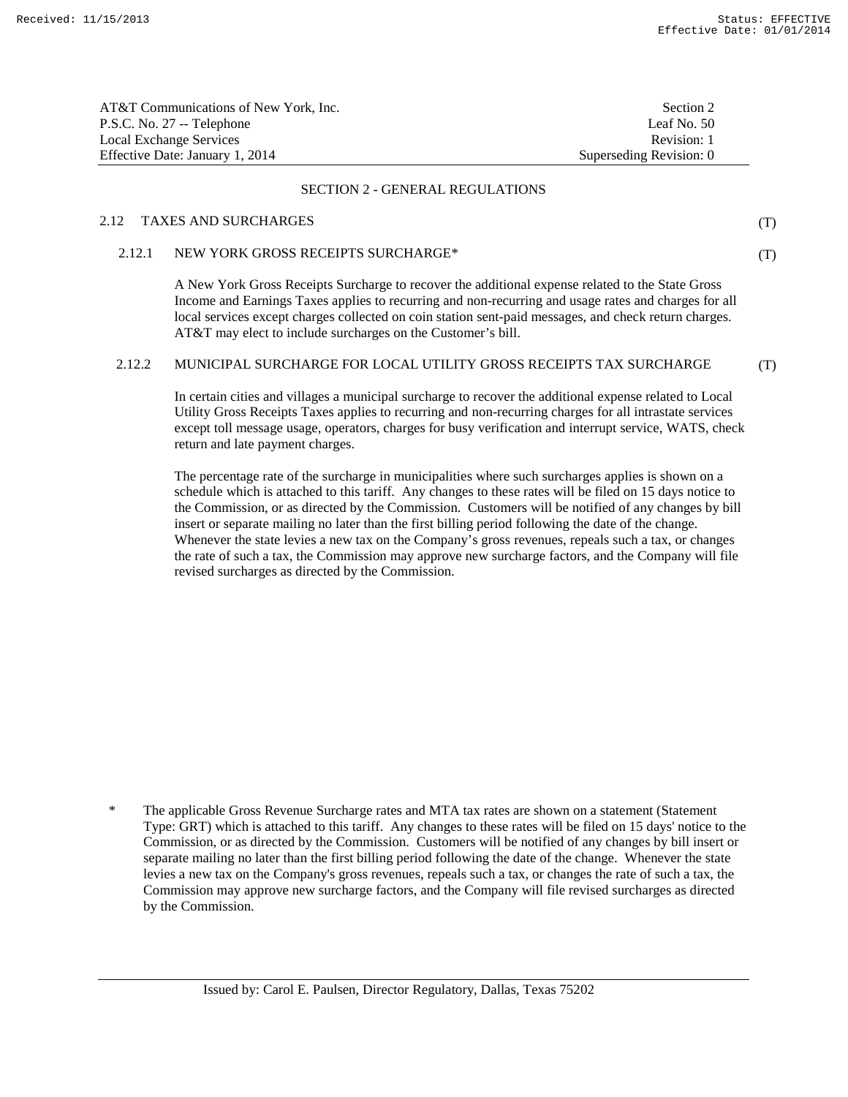(T)

(T)

| AT&T Communications of New York, Inc. | Section 2               |
|---------------------------------------|-------------------------|
| P.S.C. No. 27 -- Telephone            | Leaf No. 50             |
| Local Exchange Services               | Revision: 1             |
| Effective Date: January 1, 2014       | Superseding Revision: 0 |

#### SECTION 2 - GENERAL REGULATIONS

# 2.12 TAXES AND SURCHARGES

# 2.12.1 NEW YORK GROSS RECEIPTS SURCHARGE\*

 A New York Gross Receipts Surcharge to recover the additional expense related to the State Gross Income and Earnings Taxes applies to recurring and non-recurring and usage rates and charges for all local services except charges collected on coin station sent-paid messages, and check return charges. AT&T may elect to include surcharges on the Customer's bill.

#### 2.12.2 MUNICIPAL SURCHARGE FOR LOCAL UTILITY GROSS RECEIPTS TAX SURCHARGE (T)

 In certain cities and villages a municipal surcharge to recover the additional expense related to Local Utility Gross Receipts Taxes applies to recurring and non-recurring charges for all intrastate services except toll message usage, operators, charges for busy verification and interrupt service, WATS, check return and late payment charges.

 The percentage rate of the surcharge in municipalities where such surcharges applies is shown on a schedule which is attached to this tariff. Any changes to these rates will be filed on 15 days notice to the Commission, or as directed by the Commission. Customers will be notified of any changes by bill insert or separate mailing no later than the first billing period following the date of the change. Whenever the state levies a new tax on the Company's gross revenues, repeals such a tax, or changes the rate of such a tax, the Commission may approve new surcharge factors, and the Company will file revised surcharges as directed by the Commission.

 <sup>\*</sup> The applicable Gross Revenue Surcharge rates and MTA tax rates are shown on a statement (Statement Type: GRT) which is attached to this tariff. Any changes to these rates will be filed on 15 days' notice to the Commission, or as directed by the Commission. Customers will be notified of any changes by bill insert or separate mailing no later than the first billing period following the date of the change. Whenever the state levies a new tax on the Company's gross revenues, repeals such a tax, or changes the rate of such a tax, the Commission may approve new surcharge factors, and the Company will file revised surcharges as directed by the Commission.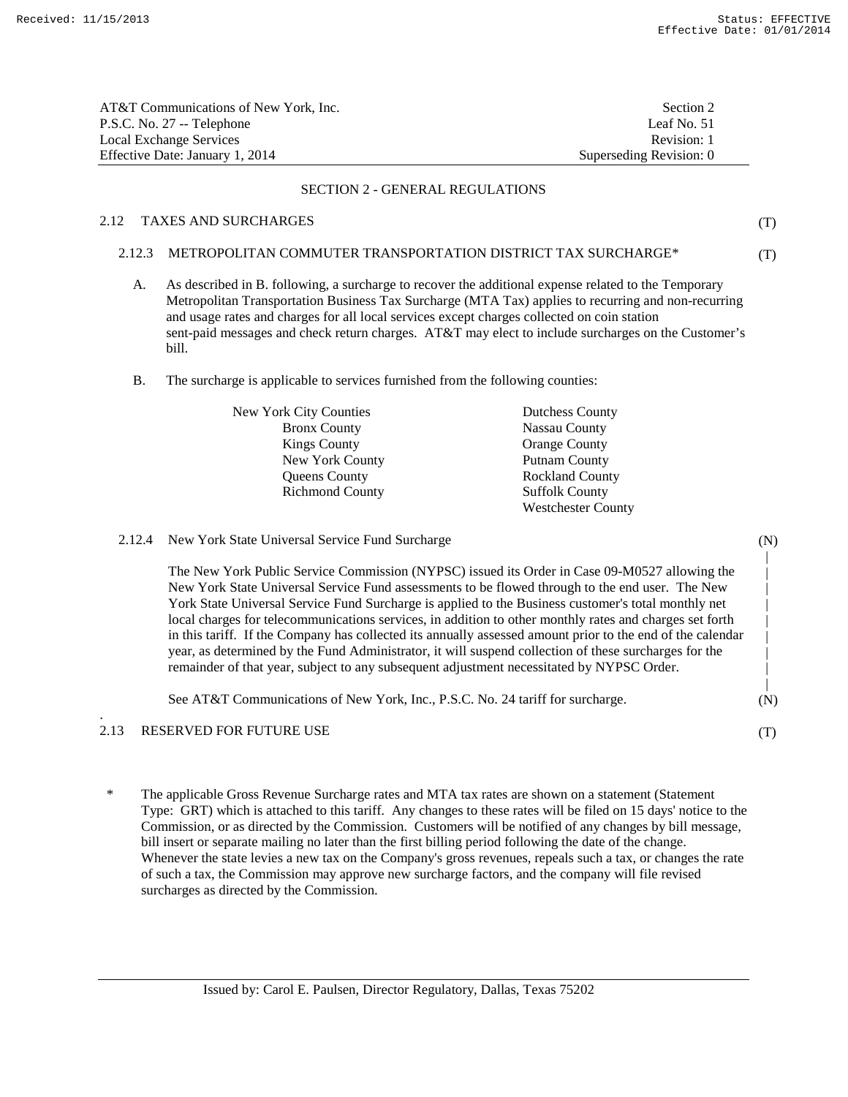| AT&T Communications of New York, Inc. | Section 2               |
|---------------------------------------|-------------------------|
| P.S.C. No. 27 -- Telephone            | Leaf No. 51             |
| Local Exchange Services               | Revision: 1             |
| Effective Date: January 1, 2014       | Superseding Revision: 0 |

#### SECTION 2 - GENERAL REGULATIONS

# 2.12 TAXES AND SURCHARGES

(T)

(T)

- 2.12.3 METROPOLITAN COMMUTER TRANSPORTATION DISTRICT TAX SURCHARGE\*
	- A. As described in B. following, a surcharge to recover the additional expense related to the Temporary Metropolitan Transportation Business Tax Surcharge (MTA Tax) applies to recurring and non-recurring and usage rates and charges for all local services except charges collected on coin station sent-paid messages and check return charges. AT&T may elect to include surcharges on the Customer's bill.
	- B. The surcharge is applicable to services furnished from the following counties:

| <b>New York City Counties</b> | <b>Dutchess County</b>    |
|-------------------------------|---------------------------|
| <b>Bronx County</b>           | Nassau County             |
| <b>Kings County</b>           | <b>Orange County</b>      |
| New York County               | Putnam County             |
| <b>Oueens County</b>          | <b>Rockland County</b>    |
| <b>Richmond County</b>        | <b>Suffolk County</b>     |
|                               | <b>Westchester County</b> |

|      | 2.12.4 New York State Universal Service Fund Surcharge                                                                                                                                                                                                                                                                                                                                                                                                                                                                                                                                                                                                                                                                                 | (N) |
|------|----------------------------------------------------------------------------------------------------------------------------------------------------------------------------------------------------------------------------------------------------------------------------------------------------------------------------------------------------------------------------------------------------------------------------------------------------------------------------------------------------------------------------------------------------------------------------------------------------------------------------------------------------------------------------------------------------------------------------------------|-----|
|      | The New York Public Service Commission (NYPSC) issued its Order in Case 09-M0527 allowing the<br>New York State Universal Service Fund assessments to be flowed through to the end user. The New<br>York State Universal Service Fund Surcharge is applied to the Business customer's total monthly net<br>local charges for telecommunications services, in addition to other monthly rates and charges set forth<br>in this tariff. If the Company has collected its annually assessed amount prior to the end of the calendar<br>year, as determined by the Fund Administrator, it will suspend collection of these surcharges for the<br>remainder of that year, subject to any subsequent adjustment necessitated by NYPSC Order. |     |
|      | See AT&T Communications of New York, Inc., P.S.C. No. 24 tariff for surcharge.                                                                                                                                                                                                                                                                                                                                                                                                                                                                                                                                                                                                                                                         | (N) |
| 2.13 | <b>RESERVED FOR FUTURE USE</b>                                                                                                                                                                                                                                                                                                                                                                                                                                                                                                                                                                                                                                                                                                         |     |

 \* The applicable Gross Revenue Surcharge rates and MTA tax rates are shown on a statement (Statement Type: GRT) which is attached to this tariff. Any changes to these rates will be filed on 15 days' notice to the Commission, or as directed by the Commission. Customers will be notified of any changes by bill message, bill insert or separate mailing no later than the first billing period following the date of the change. Whenever the state levies a new tax on the Company's gross revenues, repeals such a tax, or changes the rate of such a tax, the Commission may approve new surcharge factors, and the company will file revised surcharges as directed by the Commission.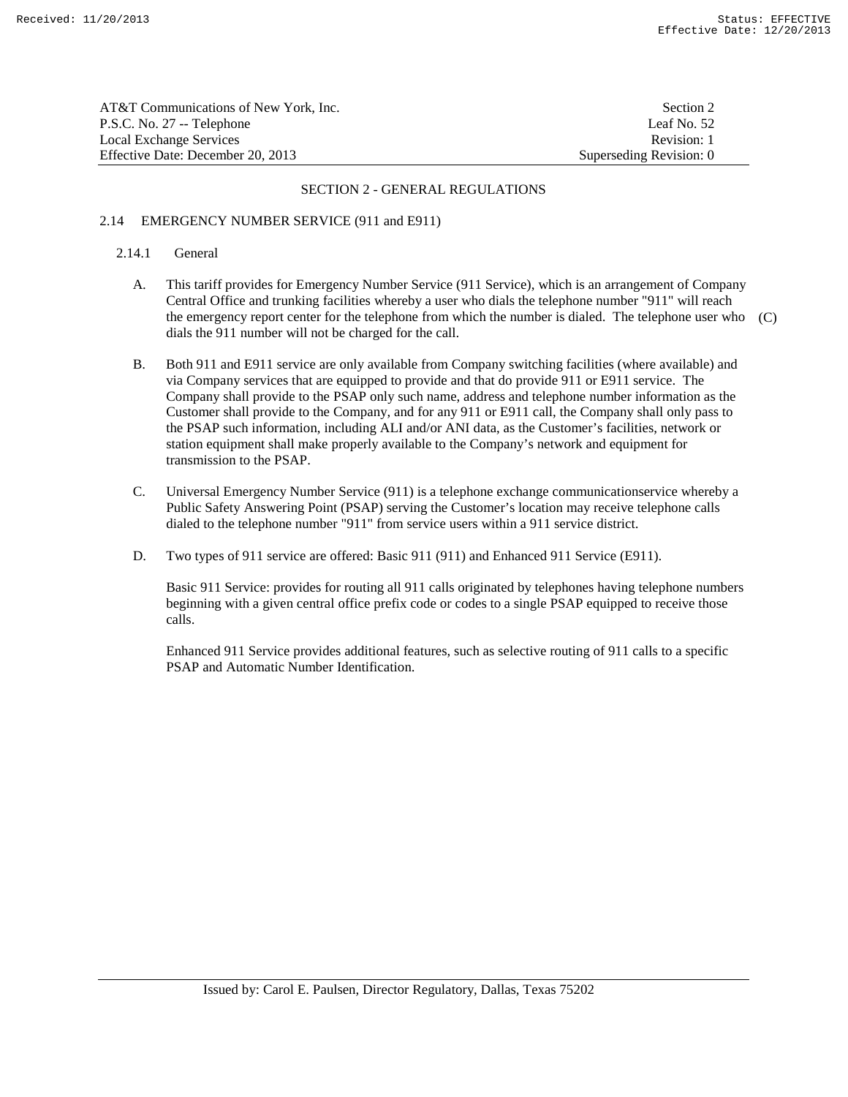| AT&T Communications of New York. Inc. | Section 2               |
|---------------------------------------|-------------------------|
| P.S.C. No. 27 -- Telephone            | Leaf No. 52             |
| Local Exchange Services               | Revision: 1             |
| Effective Date: December 20. 2013     | Superseding Revision: 0 |

# 2.14 EMERGENCY NUMBER SERVICE (911 and E911)

# 2.14.1 General

- A. This tariff provides for Emergency Number Service (911 Service), which is an arrangement of Company Central Office and trunking facilities whereby a user who dials the telephone number "911" will reach the emergency report center for the telephone from which the number is dialed. The telephone user who (C) dials the 911 number will not be charged for the call.
- B. Both 911 and E911 service are only available from Company switching facilities (where available) and via Company services that are equipped to provide and that do provide 911 or E911 service. The Company shall provide to the PSAP only such name, address and telephone number information as the Customer shall provide to the Company, and for any 911 or E911 call, the Company shall only pass to the PSAP such information, including ALI and/or ANI data, as the Customer's facilities, network or station equipment shall make properly available to the Company's network and equipment for transmission to the PSAP.
- C. Universal Emergency Number Service (911) is a telephone exchange communicationservice whereby a Public Safety Answering Point (PSAP) serving the Customer's location may receive telephone calls dialed to the telephone number "911" from service users within a 911 service district.
- D. Two types of 911 service are offered: Basic 911 (911) and Enhanced 911 Service (E911).

 Basic 911 Service: provides for routing all 911 calls originated by telephones having telephone numbers beginning with a given central office prefix code or codes to a single PSAP equipped to receive those calls.

 Enhanced 911 Service provides additional features, such as selective routing of 911 calls to a specific PSAP and Automatic Number Identification.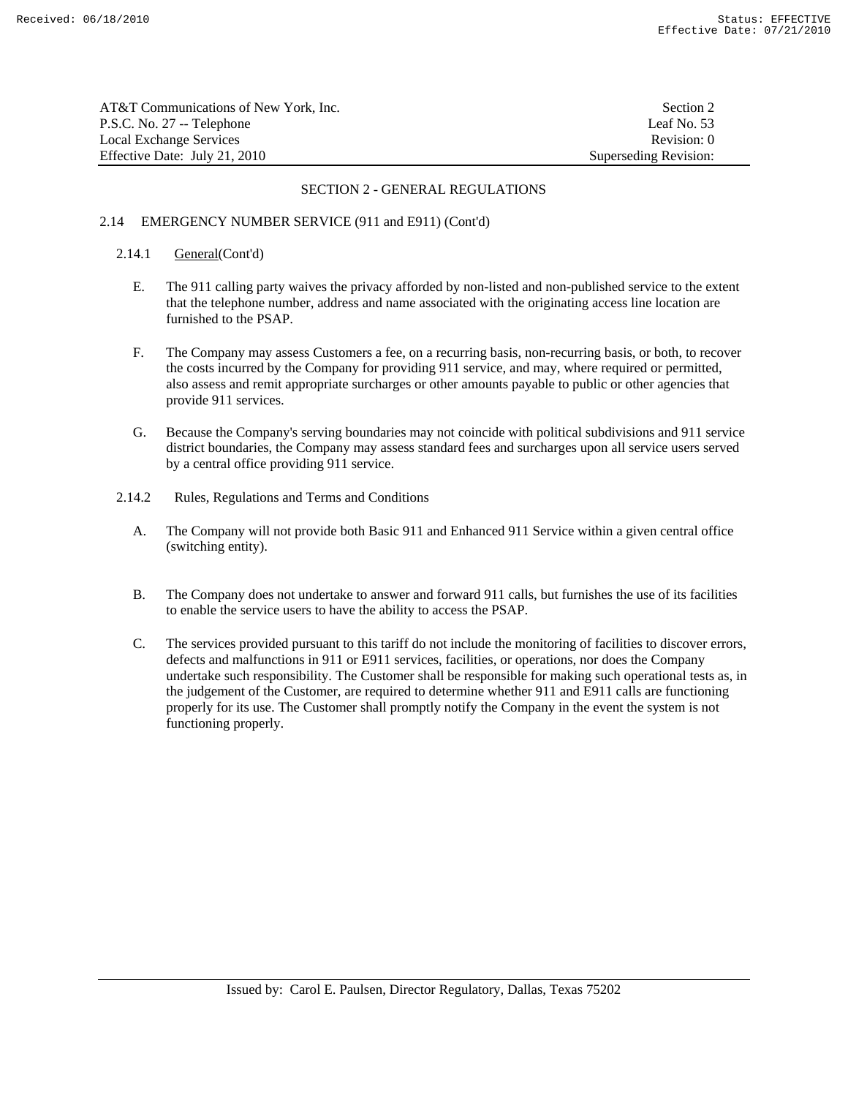| AT&T Communications of New York. Inc. | Section 2             |
|---------------------------------------|-----------------------|
| P.S.C. No. 27 -- Telephone            | Leaf No. $53$         |
| Local Exchange Services               | Revision: 0           |
| Effective Date: July 21, 2010         | Superseding Revision: |

# 2.14 EMERGENCY NUMBER SERVICE (911 and E911) (Cont'd)

#### 2.14.1 General(Cont'd)

- E. The 911 calling party waives the privacy afforded by non-listed and non-published service to the extent that the telephone number, address and name associated with the originating access line location are furnished to the PSAP.
- F. The Company may assess Customers a fee, on a recurring basis, non-recurring basis, or both, to recover the costs incurred by the Company for providing 911 service, and may, where required or permitted, also assess and remit appropriate surcharges or other amounts payable to public or other agencies that provide 911 services.
- G. Because the Company's serving boundaries may not coincide with political subdivisions and 911 service district boundaries, the Company may assess standard fees and surcharges upon all service users served by a central office providing 911 service.
- 2.14.2 Rules, Regulations and Terms and Conditions
	- A. The Company will not provide both Basic 911 and Enhanced 911 Service within a given central office (switching entity).
	- B. The Company does not undertake to answer and forward 911 calls, but furnishes the use of its facilities to enable the service users to have the ability to access the PSAP.
	- C. The services provided pursuant to this tariff do not include the monitoring of facilities to discover errors, defects and malfunctions in 911 or E911 services, facilities, or operations, nor does the Company undertake such responsibility. The Customer shall be responsible for making such operational tests as, in the judgement of the Customer, are required to determine whether 911 and E911 calls are functioning properly for its use. The Customer shall promptly notify the Company in the event the system is not functioning properly.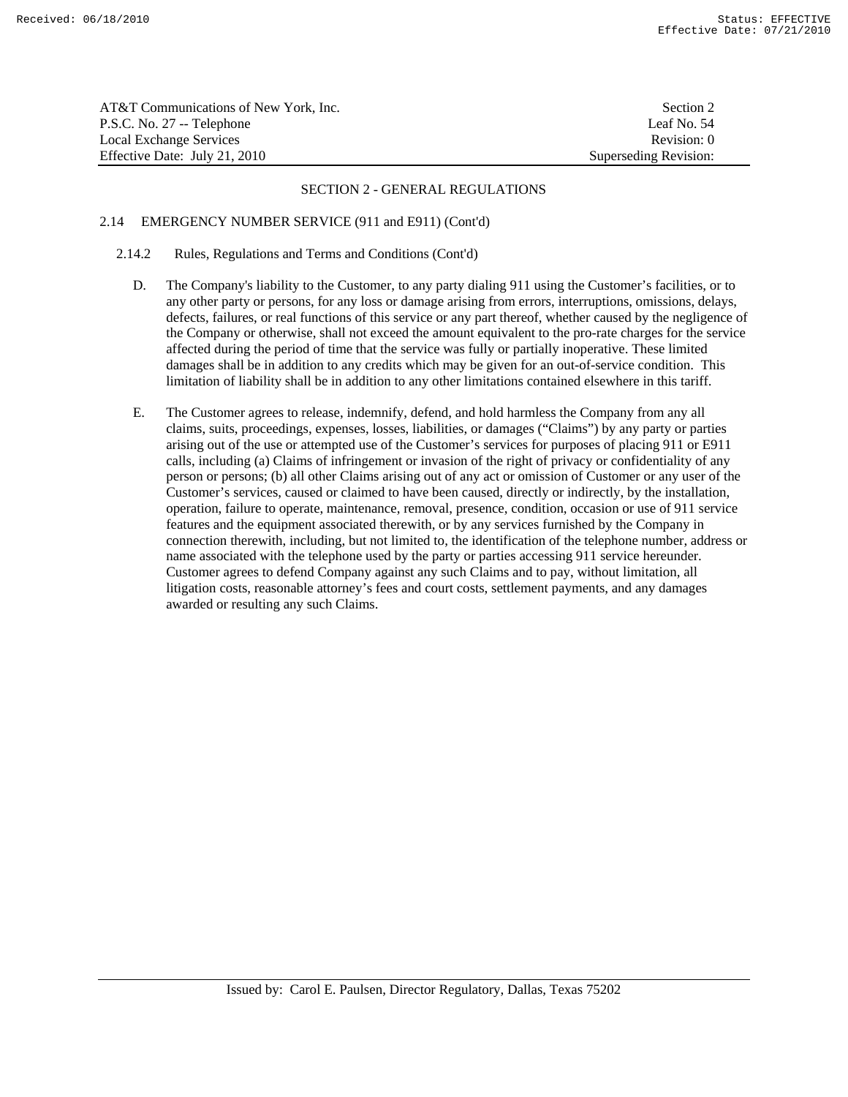| AT&T Communications of New York, Inc. | Section 2             |
|---------------------------------------|-----------------------|
| P.S.C. No. 27 -- Telephone            | Leaf No. 54           |
| Local Exchange Services               | Revision: 0           |
| Effective Date: July 21, 2010         | Superseding Revision: |

# 2.14 EMERGENCY NUMBER SERVICE (911 and E911) (Cont'd)

# 2.14.2 Rules, Regulations and Terms and Conditions (Cont'd)

- D. The Company's liability to the Customer, to any party dialing 911 using the Customer's facilities, or to any other party or persons, for any loss or damage arising from errors, interruptions, omissions, delays, defects, failures, or real functions of this service or any part thereof, whether caused by the negligence of the Company or otherwise, shall not exceed the amount equivalent to the pro-rate charges for the service affected during the period of time that the service was fully or partially inoperative. These limited damages shall be in addition to any credits which may be given for an out-of-service condition. This limitation of liability shall be in addition to any other limitations contained elsewhere in this tariff.
- E. The Customer agrees to release, indemnify, defend, and hold harmless the Company from any all claims, suits, proceedings, expenses, losses, liabilities, or damages ("Claims") by any party or parties arising out of the use or attempted use of the Customer's services for purposes of placing 911 or E911 calls, including (a) Claims of infringement or invasion of the right of privacy or confidentiality of any person or persons; (b) all other Claims arising out of any act or omission of Customer or any user of the Customer's services, caused or claimed to have been caused, directly or indirectly, by the installation, operation, failure to operate, maintenance, removal, presence, condition, occasion or use of 911 service features and the equipment associated therewith, or by any services furnished by the Company in connection therewith, including, but not limited to, the identification of the telephone number, address or name associated with the telephone used by the party or parties accessing 911 service hereunder. Customer agrees to defend Company against any such Claims and to pay, without limitation, all litigation costs, reasonable attorney's fees and court costs, settlement payments, and any damages awarded or resulting any such Claims.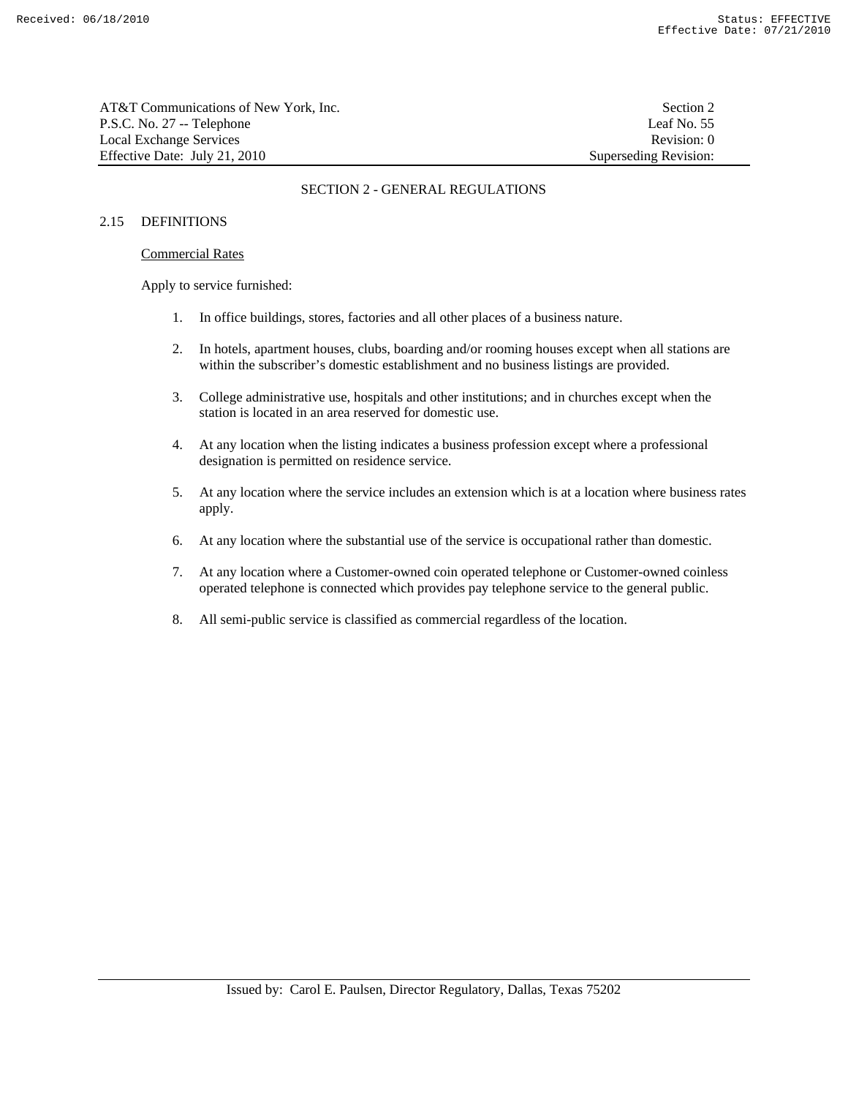AT&T Communications of New York, Inc. Section 2 P.S.C. No. 27 -- Telephone Leaf No. 55 Local Exchange Services **Revision:** 0 Effective Date: July 21, 2010 Superseding Revision:

# SECTION 2 - GENERAL REGULATIONS

# 2.15 DEFINITIONS

# Commercial Rates

Apply to service furnished:

- 1. In office buildings, stores, factories and all other places of a business nature.
- 2. In hotels, apartment houses, clubs, boarding and/or rooming houses except when all stations are within the subscriber's domestic establishment and no business listings are provided.
- 3. College administrative use, hospitals and other institutions; and in churches except when the station is located in an area reserved for domestic use.
- 4. At any location when the listing indicates a business profession except where a professional designation is permitted on residence service.
- 5. At any location where the service includes an extension which is at a location where business rates apply.
- 6. At any location where the substantial use of the service is occupational rather than domestic.
- 7. At any location where a Customer-owned coin operated telephone or Customer-owned coinless operated telephone is connected which provides pay telephone service to the general public.
- 8. All semi-public service is classified as commercial regardless of the location.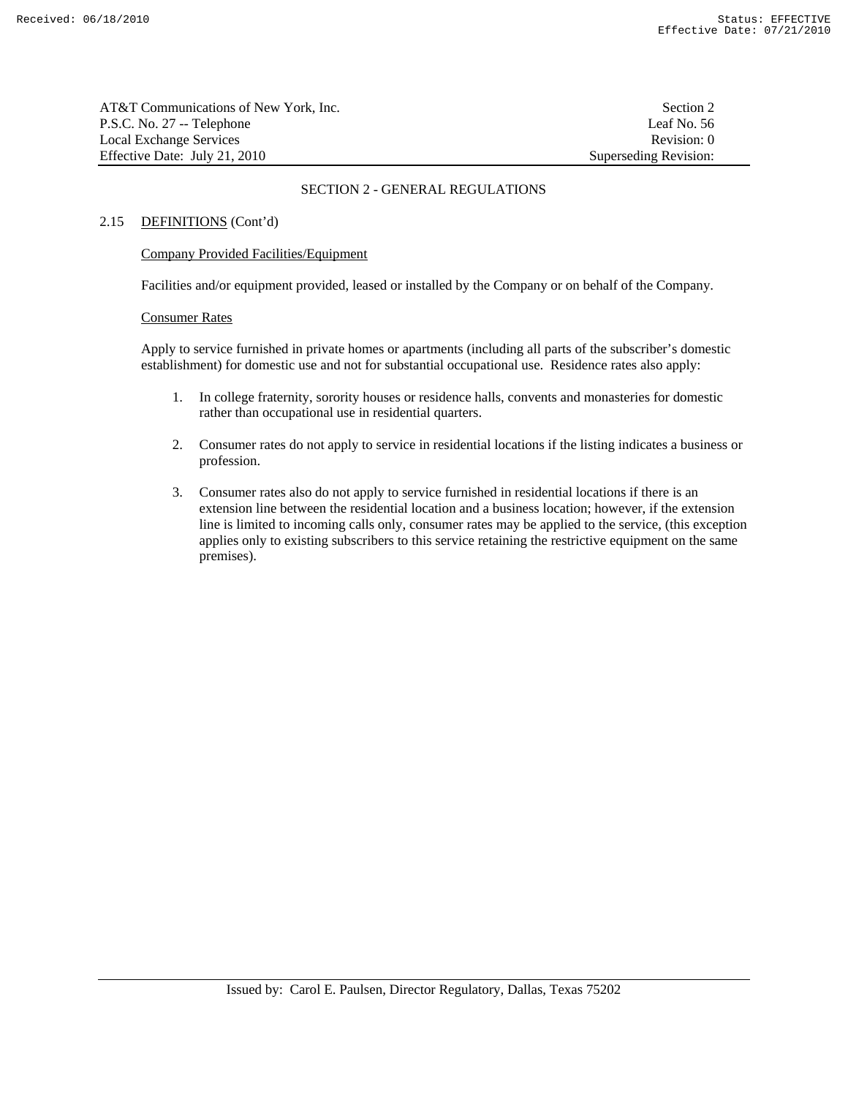| AT&T Communications of New York. Inc. | Section 2             |
|---------------------------------------|-----------------------|
| P.S.C. No. 27 -- Telephone            | Leaf No. 56           |
| Local Exchange Services               | Revision: 0           |
| Effective Date: July 21, 2010         | Superseding Revision: |

# 2.15 DEFINITIONS (Cont'd)

# Company Provided Facilities/Equipment

Facilities and/or equipment provided, leased or installed by the Company or on behalf of the Company.

#### Consumer Rates

 Apply to service furnished in private homes or apartments (including all parts of the subscriber's domestic establishment) for domestic use and not for substantial occupational use. Residence rates also apply:

- 1. In college fraternity, sorority houses or residence halls, convents and monasteries for domestic rather than occupational use in residential quarters.
- 2. Consumer rates do not apply to service in residential locations if the listing indicates a business or profession.
- 3. Consumer rates also do not apply to service furnished in residential locations if there is an extension line between the residential location and a business location; however, if the extension line is limited to incoming calls only, consumer rates may be applied to the service, (this exception applies only to existing subscribers to this service retaining the restrictive equipment on the same premises).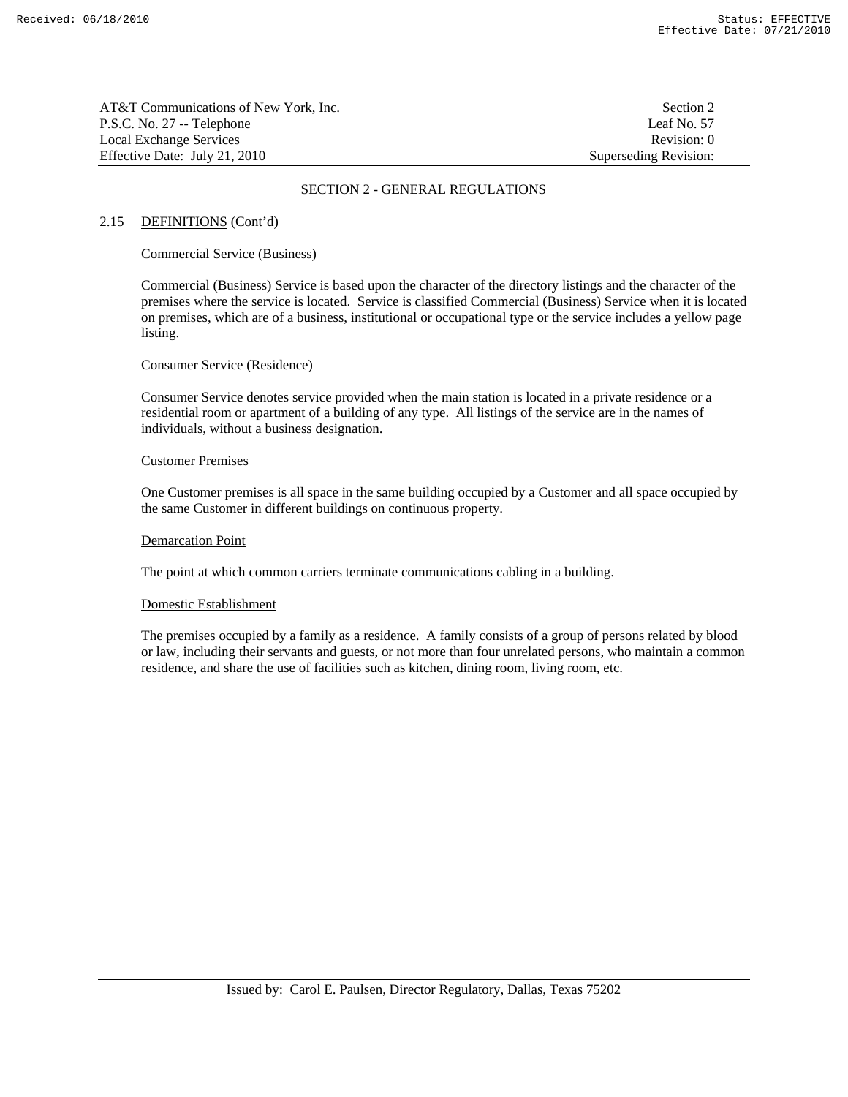| AT&T Communications of New York, Inc. | Section 2             |
|---------------------------------------|-----------------------|
| P.S.C. No. 27 -- Telephone            | Leaf No. 57           |
| Local Exchange Services               | Revision: 0           |
| Effective Date: July 21, 2010         | Superseding Revision: |

# 2.15 DEFINITIONS (Cont'd)

# Commercial Service (Business)

 Commercial (Business) Service is based upon the character of the directory listings and the character of the premises where the service is located. Service is classified Commercial (Business) Service when it is located on premises, which are of a business, institutional or occupational type or the service includes a yellow page listing.

# Consumer Service (Residence)

 Consumer Service denotes service provided when the main station is located in a private residence or a residential room or apartment of a building of any type. All listings of the service are in the names of individuals, without a business designation.

# Customer Premises

 One Customer premises is all space in the same building occupied by a Customer and all space occupied by the same Customer in different buildings on continuous property.

# Demarcation Point

The point at which common carriers terminate communications cabling in a building.

# Domestic Establishment

 The premises occupied by a family as a residence. A family consists of a group of persons related by blood or law, including their servants and guests, or not more than four unrelated persons, who maintain a common residence, and share the use of facilities such as kitchen, dining room, living room, etc.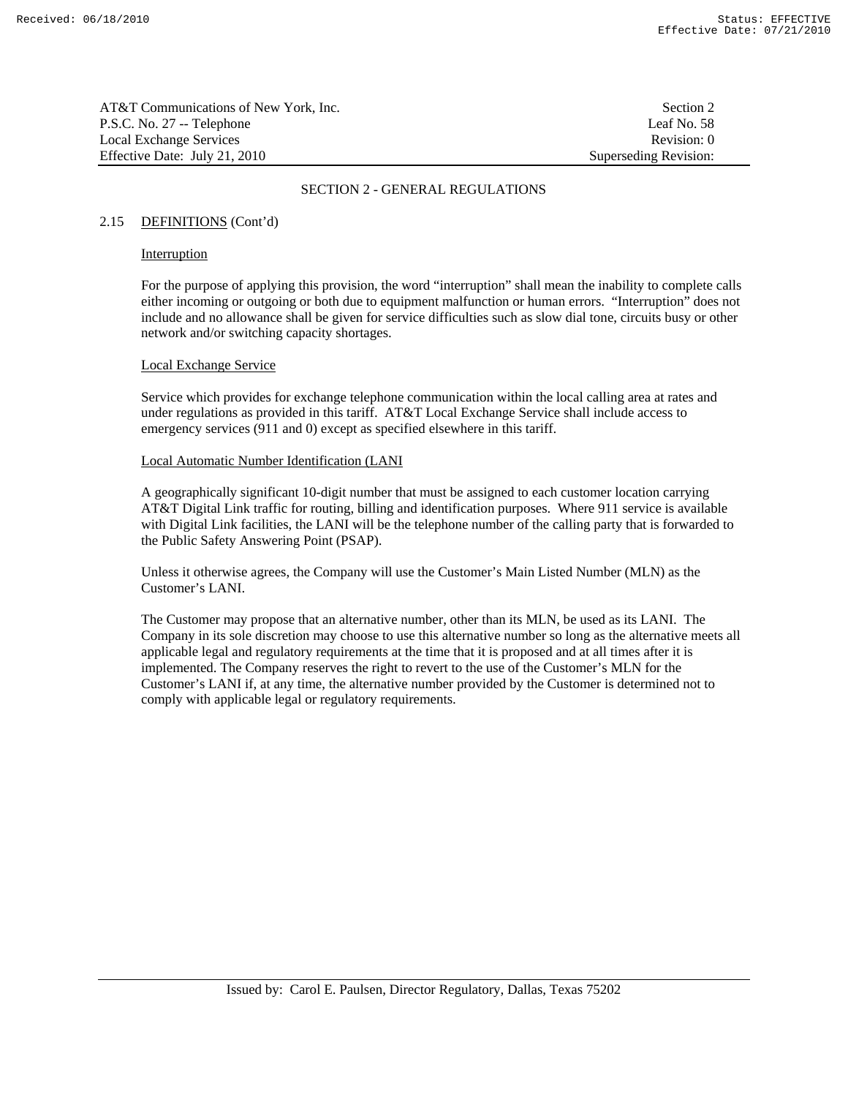AT&T Communications of New York, Inc. Section 2 P.S.C. No. 27 -- Telephone Leaf No. 58 Local Exchange Services **Revision:** 0 Effective Date: July 21, 2010 Superseding Revision:

# SECTION 2 - GENERAL REGULATIONS

#### 2.15 DEFINITIONS (Cont'd)

#### Interruption

 For the purpose of applying this provision, the word "interruption" shall mean the inability to complete calls either incoming or outgoing or both due to equipment malfunction or human errors. "Interruption" does not include and no allowance shall be given for service difficulties such as slow dial tone, circuits busy or other network and/or switching capacity shortages.

# Local Exchange Service

 Service which provides for exchange telephone communication within the local calling area at rates and under regulations as provided in this tariff. AT&T Local Exchange Service shall include access to emergency services (911 and 0) except as specified elsewhere in this tariff.

#### Local Automatic Number Identification (LANI

 A geographically significant 10-digit number that must be assigned to each customer location carrying AT&T Digital Link traffic for routing, billing and identification purposes. Where 911 service is available with Digital Link facilities, the LANI will be the telephone number of the calling party that is forwarded to the Public Safety Answering Point (PSAP).

 Unless it otherwise agrees, the Company will use the Customer's Main Listed Number (MLN) as the Customer's LANI.

 The Customer may propose that an alternative number, other than its MLN, be used as its LANI. The Company in its sole discretion may choose to use this alternative number so long as the alternative meets all applicable legal and regulatory requirements at the time that it is proposed and at all times after it is implemented. The Company reserves the right to revert to the use of the Customer's MLN for the Customer's LANI if, at any time, the alternative number provided by the Customer is determined not to comply with applicable legal or regulatory requirements.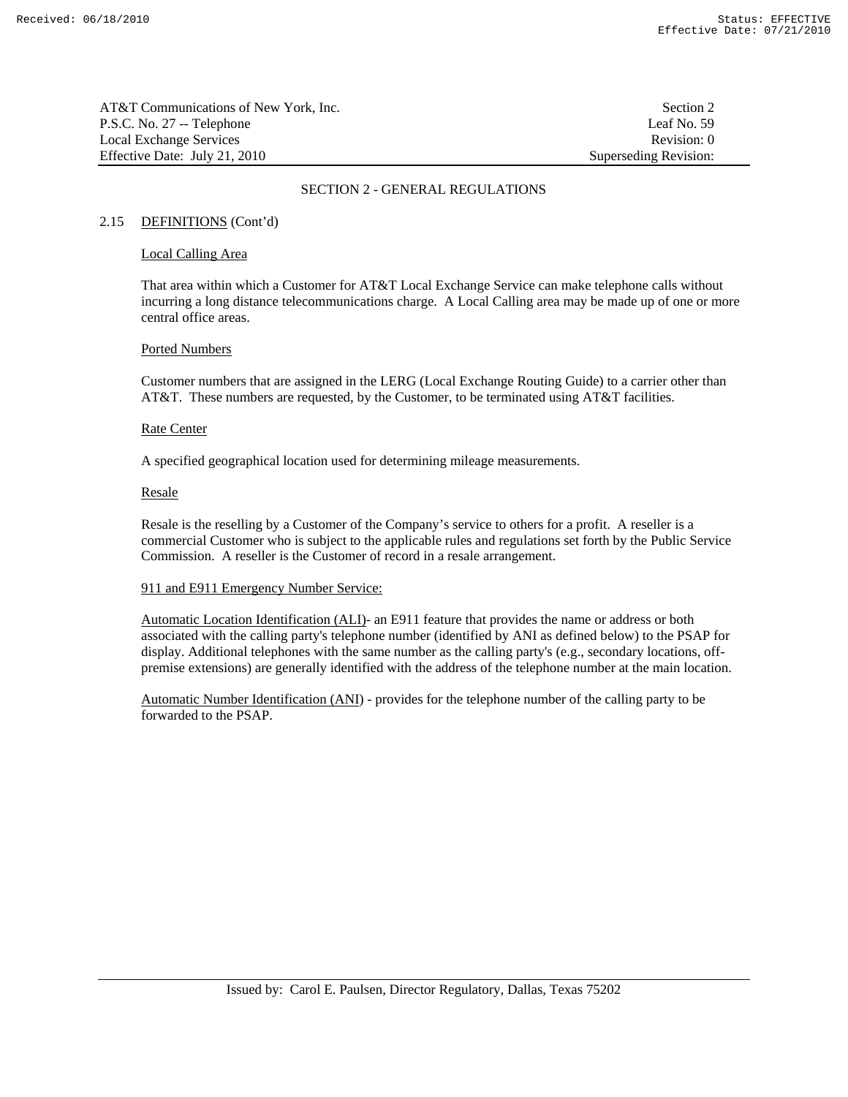AT&T Communications of New York, Inc. Section 2 P.S.C. No. 27 -- Telephone Leaf No. 59 Local Exchange Services **Revision:** 0 Effective Date: July 21, 2010 Superseding Revision:

# SECTION 2 - GENERAL REGULATIONS

# 2.15 DEFINITIONS (Cont'd)

# Local Calling Area

 That area within which a Customer for AT&T Local Exchange Service can make telephone calls without incurring a long distance telecommunications charge. A Local Calling area may be made up of one or more central office areas.

# Ported Numbers

 Customer numbers that are assigned in the LERG (Local Exchange Routing Guide) to a carrier other than AT&T. These numbers are requested, by the Customer, to be terminated using AT&T facilities.

# Rate Center

A specified geographical location used for determining mileage measurements.

#### Resale

 Resale is the reselling by a Customer of the Company's service to others for a profit. A reseller is a commercial Customer who is subject to the applicable rules and regulations set forth by the Public Service Commission. A reseller is the Customer of record in a resale arrangement.

# 911 and E911 Emergency Number Service:

 Automatic Location Identification (ALI)- an E911 feature that provides the name or address or both associated with the calling party's telephone number (identified by ANI as defined below) to the PSAP for display. Additional telephones with the same number as the calling party's (e.g., secondary locations, offpremise extensions) are generally identified with the address of the telephone number at the main location.

 Automatic Number Identification (ANI) - provides for the telephone number of the calling party to be forwarded to the PSAP.